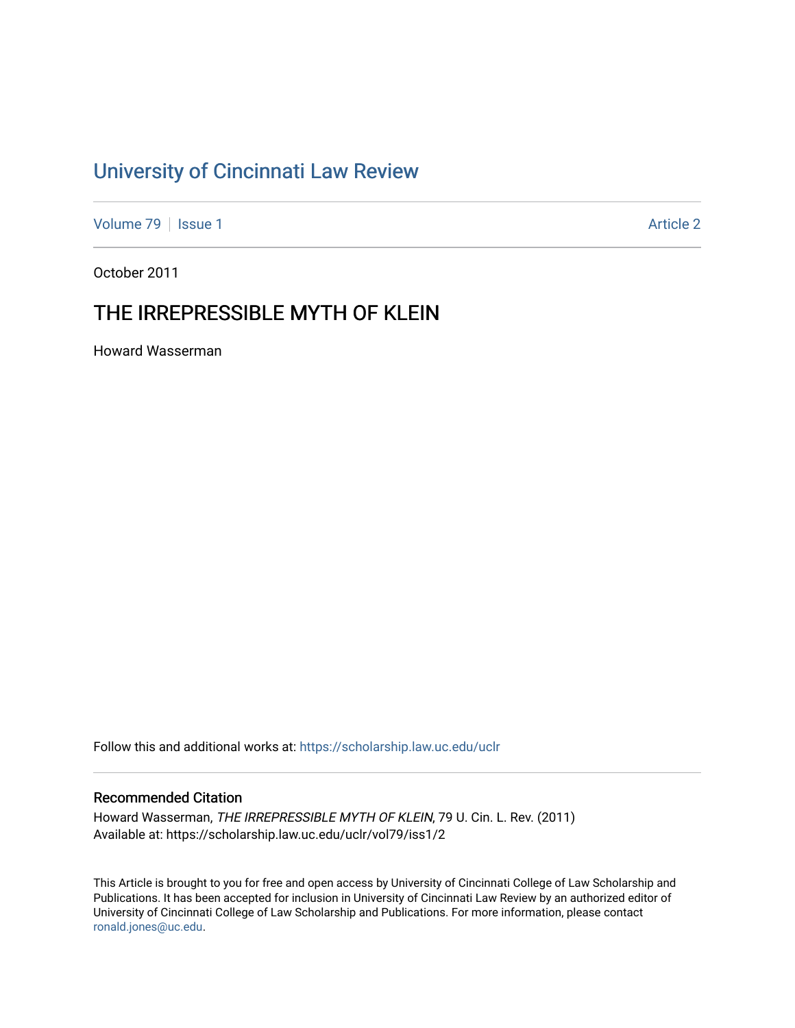# [University of Cincinnati Law Review](https://scholarship.law.uc.edu/uclr)

[Volume 79](https://scholarship.law.uc.edu/uclr/vol79) | [Issue 1](https://scholarship.law.uc.edu/uclr/vol79/iss1) Article 2

October 2011

# THE IRREPRESSIBLE MYTH OF KLEIN

Howard Wasserman

Follow this and additional works at: [https://scholarship.law.uc.edu/uclr](https://scholarship.law.uc.edu/uclr?utm_source=scholarship.law.uc.edu%2Fuclr%2Fvol79%2Fiss1%2F2&utm_medium=PDF&utm_campaign=PDFCoverPages)

# Recommended Citation

Howard Wasserman, THE IRREPRESSIBLE MYTH OF KLEIN, 79 U. Cin. L. Rev. (2011) Available at: https://scholarship.law.uc.edu/uclr/vol79/iss1/2

This Article is brought to you for free and open access by University of Cincinnati College of Law Scholarship and Publications. It has been accepted for inclusion in University of Cincinnati Law Review by an authorized editor of University of Cincinnati College of Law Scholarship and Publications. For more information, please contact [ronald.jones@uc.edu](mailto:ronald.jones@uc.edu).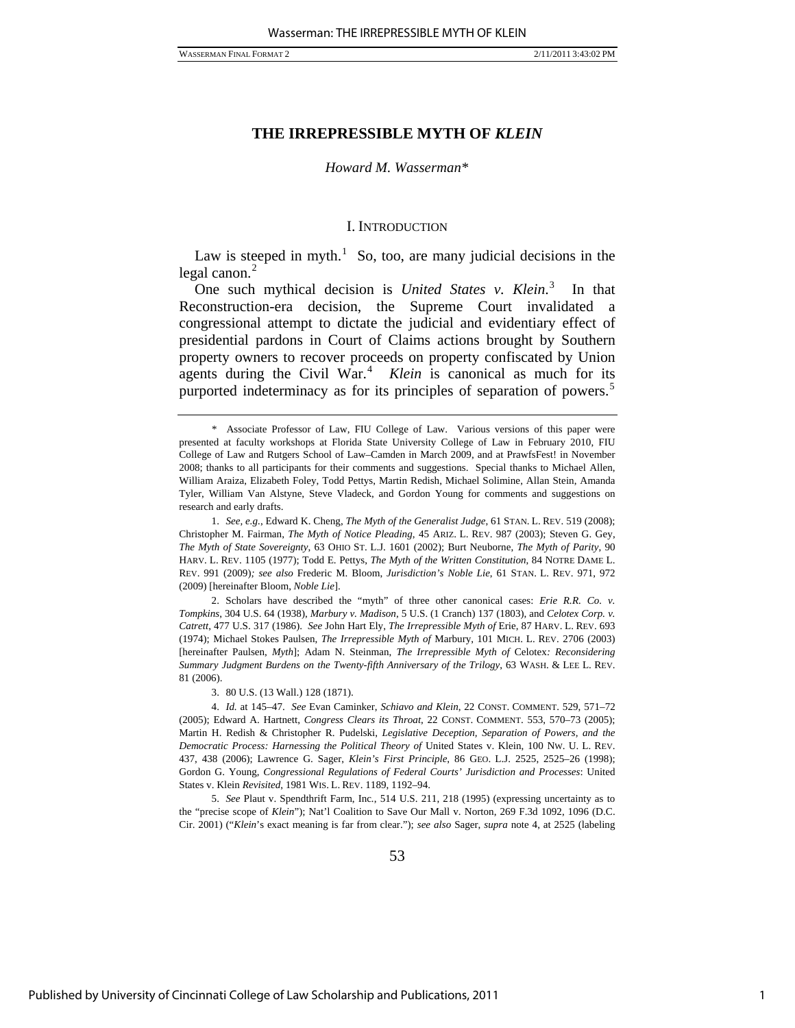#### *Howard M. Wasserman*[\\*](#page-1-0)

#### I. INTRODUCTION

Law is steeped in myth.<sup>[1](#page-1-1)</sup> So, too, are many judicial decisions in the legal canon. $<sup>2</sup>$  $<sup>2</sup>$  $<sup>2</sup>$ </sup>

One such mythical decision is *United States v. Klein*. [3](#page-1-3) In that Reconstruction-era decision, the Supreme Court invalidated a congressional attempt to dictate the judicial and evidentiary effect of presidential pardons in Court of Claims actions brought by Southern property owners to recover proceeds on property confiscated by Union agents during the Civil War.<sup>[4](#page-1-4)</sup> Klein is canonical as much for its purported indeterminacy as for its principles of separation of powers.<sup>[5](#page-1-5)</sup>

<span id="page-1-1"></span>1. *See, e.g.*, Edward K. Cheng, *The Myth of the Generalist Judge*, 61 STAN. L. REV. 519 (2008); Christopher M. Fairman, *The Myth of Notice Pleading*, 45 ARIZ. L. REV. 987 (2003); Steven G. Gey, *The Myth of State Sovereignty*, 63 OHIO ST. L.J. 1601 (2002); Burt Neuborne, *The Myth of Parity*, 90 HARV. L. REV. 1105 (1977); Todd E. Pettys, *The Myth of the Written Constitution*, 84 NOTRE DAME L. REV. 991 (2009)*; see also* Frederic M. Bloom, *Jurisdiction's Noble Lie*, 61 STAN. L. REV. 971, 972 (2009) [hereinafter Bloom, *Noble Lie*].

<span id="page-1-2"></span> 2. Scholars have described the "myth" of three other canonical cases: *Erie R.R. Co. v. Tompkins*, 304 U.S. 64 (1938), *Marbury v. Madison*, 5 U.S. (1 Cranch) 137 (1803), and *Celotex Corp. v. Catrett*, 477 U.S. 317 (1986). *See* John Hart Ely, *The Irrepressible Myth of* Erie, 87 HARV. L. REV. 693 (1974); Michael Stokes Paulsen, *The Irrepressible Myth of* Marbury, 101 MICH. L. REV. 2706 (2003) [hereinafter Paulsen, *Myth*]; Adam N. Steinman, *The Irrepressible Myth of* Celotex*: Reconsidering Summary Judgment Burdens on the Twenty-fifth Anniversary of the Trilogy*, 63 WASH. & LEE L. REV. 81 (2006).

3. 80 U.S. (13 Wall.) 128 (1871).

<span id="page-1-4"></span><span id="page-1-3"></span>4. *Id.* at 145–47. *See* Evan Caminker, *Schiavo and Klein*, 22 CONST. COMMENT. 529, 571–72 (2005); Edward A. Hartnett, *Congress Clears its Throat*, 22 CONST. COMMENT. 553, 570–73 (2005); Martin H. Redish & Christopher R. Pudelski, *Legislative Deception, Separation of Powers, and the Democratic Process: Harnessing the Political Theory of* United States v. Klein, 100 NW. U. L. REV. 437, 438 (2006); Lawrence G. Sager, *Klein's First Principle*, 86 GEO. L.J. 2525, 2525–26 (1998); Gordon G. Young, *Congressional Regulations of Federal Courts' Jurisdiction and Processes*: United States v. Klein *Revisited*, 1981 WIS. L. REV. 1189, 1192–94.

<span id="page-1-5"></span>5. *See* Plaut v. Spendthrift Farm, Inc*.*, 514 U.S. 211, 218 (1995) (expressing uncertainty as to the "precise scope of *Klein*"); Nat'l Coalition to Save Our Mall v. Norton, 269 F.3d 1092, 1096 (D.C. Cir. 2001) ("*Klein*'s exact meaning is far from clear."); *see also* Sager, *supra* note 4, at 2525 (labeling

<span id="page-1-0"></span> <sup>\*</sup> Associate Professor of Law, FIU College of Law. Various versions of this paper were presented at faculty workshops at Florida State University College of Law in February 2010, FIU College of Law and Rutgers School of Law–Camden in March 2009, and at PrawfsFest! in November 2008; thanks to all participants for their comments and suggestions. Special thanks to Michael Allen, William Araiza, Elizabeth Foley, Todd Pettys, Martin Redish, Michael Solimine, Allan Stein, Amanda Tyler, William Van Alstyne, Steve Vladeck, and Gordon Young for comments and suggestions on research and early drafts.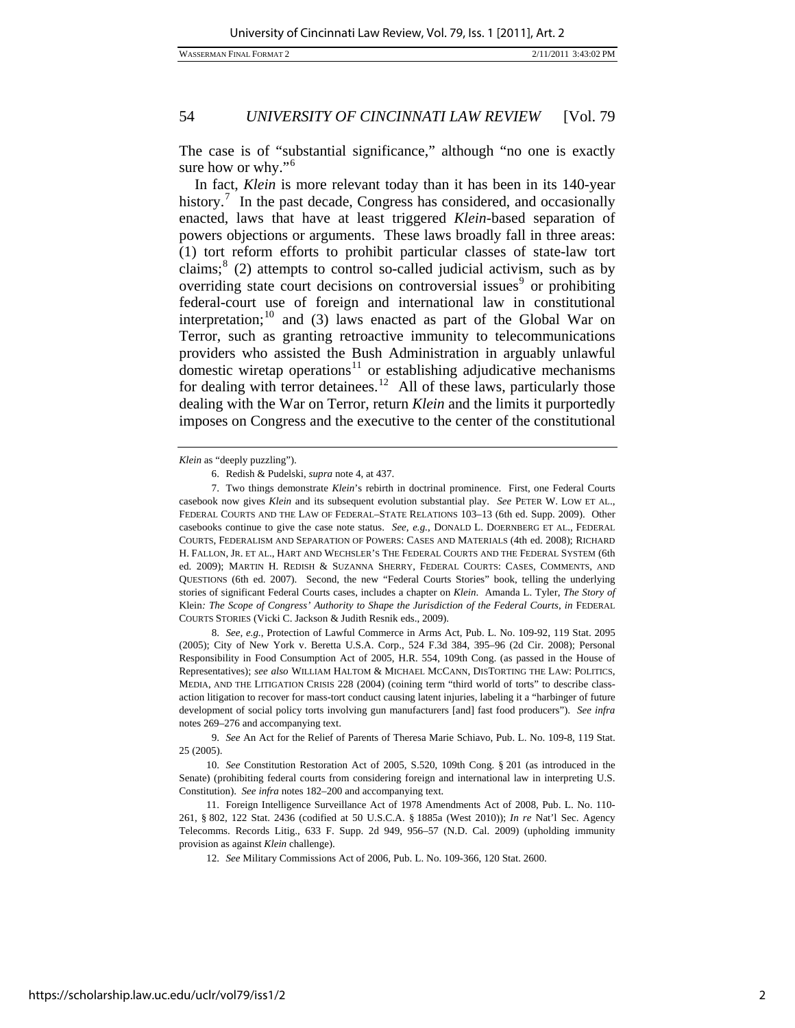WASSERMAN FINAL FORMAT 2 2/11/2011 3:43:02 PM

# 54 *UNIVERSITY OF CINCINNATI LAW REVIEW* [Vol. 79

The case is of "substantial significance," although "no one is exactly sure how or why."<sup>[6](#page-2-0)</sup>

In fact, *Klein* is more relevant today than it has been in its 140-year history.<sup>[7](#page-2-1)</sup> In the past decade, Congress has considered, and occasionally enacted, laws that have at least triggered *Klein*-based separation of powers objections or arguments. These laws broadly fall in three areas: (1) tort reform efforts to prohibit particular classes of state-law tort claims; $8$  (2) attempts to control so-called judicial activism, such as by overriding state court decisions on controversial issues<sup>[9](#page-2-3)</sup> or prohibiting federal-court use of foreign and international law in constitutional interpretation;<sup>[10](#page-2-4)</sup> and (3) laws enacted as part of the Global War on Terror, such as granting retroactive immunity to telecommunications providers who assisted the Bush Administration in arguably unlawful domestic wiretap operations $11$  or establishing adjudicative mechanisms for dealing with terror detainees.<sup>[12](#page-2-6)</sup> All of these laws, particularly those dealing with the War on Terror, return *Klein* and the limits it purportedly imposes on Congress and the executive to the center of the constitutional

*Klein* as "deeply puzzling").

<span id="page-2-2"></span>8. *See, e.g.*, Protection of Lawful Commerce in Arms Act, Pub. L. No. 109-92, 119 Stat. 2095 (2005); City of New York v. Beretta U.S.A. Corp., 524 F.3d 384, 395–96 (2d Cir. 2008); Personal Responsibility in Food Consumption Act of 2005, H.R. 554, 109th Cong. (as passed in the House of Representatives); *see also* WILLIAM HALTOM & MICHAEL MCCANN, DISTORTING THE LAW: POLITICS, MEDIA, AND THE LITIGATION CRISIS 228 (2004) (coining term "third world of torts" to describe classaction litigation to recover for mass-tort conduct causing latent injuries, labeling it a "harbinger of future development of social policy torts involving gun manufacturers [and] fast food producers"). *See infra* notes 269–276 and accompanying text.

 <sup>6.</sup> Redish & Pudelski, *supra* note 4, at 437.

<span id="page-2-1"></span><span id="page-2-0"></span> <sup>7.</sup> Two things demonstrate *Klein*'s rebirth in doctrinal prominence. First, one Federal Courts casebook now gives *Klein* and its subsequent evolution substantial play. *See* PETER W. LOW ET AL., FEDERAL COURTS AND THE LAW OF FEDERAL–STATE RELATIONS 103–13 (6th ed. Supp. 2009). Other casebooks continue to give the case note status. *See, e.g.*, DONALD L. DOERNBERG ET AL., FEDERAL COURTS, FEDERALISM AND SEPARATION OF POWERS: CASES AND MATERIALS (4th ed. 2008); RICHARD H. FALLON, JR. ET AL., HART AND WECHSLER'S THE FEDERAL COURTS AND THE FEDERAL SYSTEM (6th ed. 2009); MARTIN H. REDISH & SUZANNA SHERRY, FEDERAL COURTS: CASES, COMMENTS, AND QUESTIONS (6th ed. 2007). Second, the new "Federal Courts Stories" book, telling the underlying stories of significant Federal Courts cases, includes a chapter on *Klein*. Amanda L. Tyler, *The Story of*  Klein*: The Scope of Congress' Authority to Shape the Jurisdiction of the Federal Courts*, *in* FEDERAL COURTS STORIES (Vicki C. Jackson & Judith Resnik eds., 2009).

<span id="page-2-3"></span><sup>9.</sup> *See* An Act for the Relief of Parents of Theresa Marie Schiavo, Pub. L. No. 109-8, 119 Stat. 25 (2005).

<span id="page-2-4"></span><sup>10.</sup> *See* Constitution Restoration Act of 2005, S.520, 109th Cong. § 201 (as introduced in the Senate) (prohibiting federal courts from considering foreign and international law in interpreting U.S. Constitution). *See infra* notes 182–200 and accompanying text.

<span id="page-2-6"></span><span id="page-2-5"></span> <sup>11.</sup> Foreign Intelligence Surveillance Act of 1978 Amendments Act of 2008, Pub. L. No. 110- 261, § 802, 122 Stat. 2436 (codified at 50 U.S.C.A. § 1885a (West 2010)); *In re* Nat'l Sec. Agency Telecomms. Records Litig., 633 F. Supp. 2d 949, 956–57 (N.D. Cal. 2009) (upholding immunity provision as against *Klein* challenge).

<sup>12.</sup> *See* Military Commissions Act of 2006, Pub. L. No. 109-366, 120 Stat. 2600.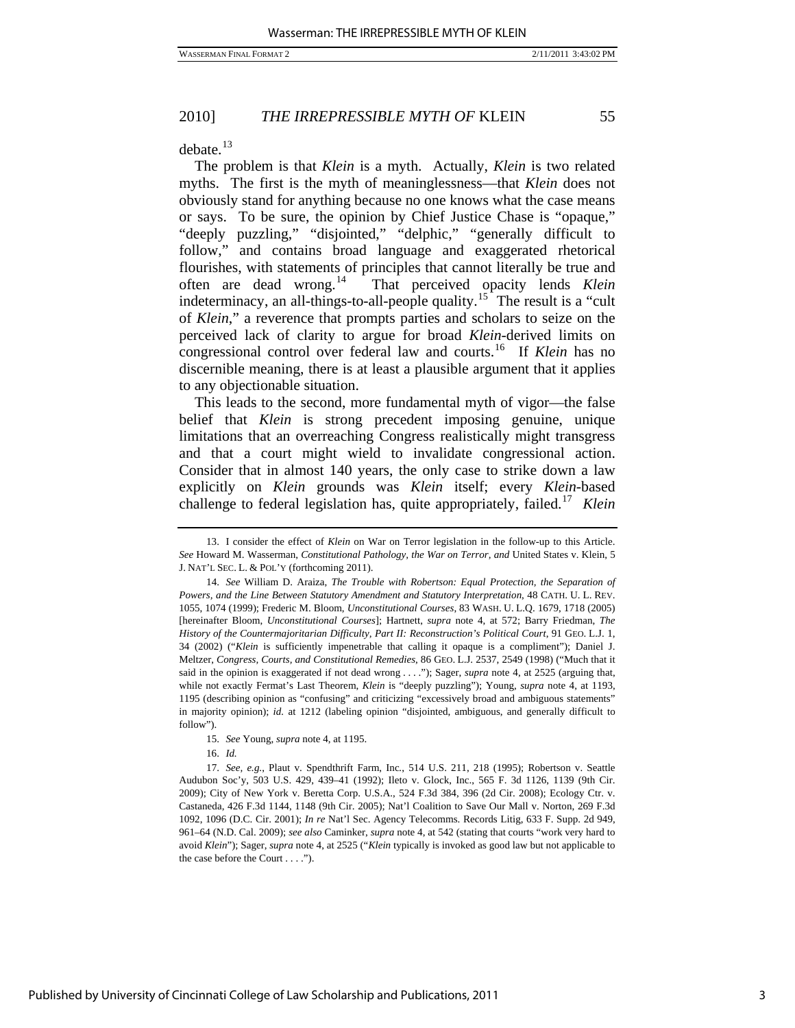$debate.<sup>13</sup>$  $debate.<sup>13</sup>$  $debate.<sup>13</sup>$ 

The problem is that *Klein* is a myth. Actually, *Klein* is two related myths. The first is the myth of meaninglessness—that *Klein* does not obviously stand for anything because no one knows what the case means or says. To be sure, the opinion by Chief Justice Chase is "opaque," "deeply puzzling," "disjointed," "delphic," "generally difficult to follow," and contains broad language and exaggerated rhetorical flourishes, with statements of principles that cannot literally be true and often are dead wrong.[14](#page-3-1) That perceived opacity lends *Klein* indeterminacy, an all-things-to-all-people quality.<sup>[15](#page-3-2)</sup> The result is a "cult of *Klein*," a reverence that prompts parties and scholars to seize on the perceived lack of clarity to argue for broad *Klein*-derived limits on congressional control over federal law and courts.[16](#page-3-3) If *Klein* has no discernible meaning, there is at least a plausible argument that it applies to any objectionable situation.

This leads to the second, more fundamental myth of vigor—the false belief that *Klein* is strong precedent imposing genuine, unique limitations that an overreaching Congress realistically might transgress and that a court might wield to invalidate congressional action. Consider that in almost 140 years, the only case to strike down a law explicitly on *Klein* grounds was *Klein* itself; every *Klein*-based challenge to federal legislation has, quite appropriately, failed.[17](#page-3-4) *Klein*

16. *Id.*

<span id="page-3-0"></span> <sup>13.</sup> I consider the effect of *Klein* on War on Terror legislation in the follow-up to this Article. *See* Howard M. Wasserman, *Constitutional Pathology, the War on Terror, and* United States v. Klein, 5 J. NAT'L SEC. L. & POL'Y (forthcoming 2011).

<span id="page-3-1"></span><sup>14.</sup> *See* William D. Araiza, *The Trouble with Robertson: Equal Protection, the Separation of Powers, and the Line Between Statutory Amendment and Statutory Interpretation*, 48 CATH. U. L. REV. 1055, 1074 (1999); Frederic M. Bloom, *Unconstitutional Courses*, 83 WASH. U. L.Q. 1679, 1718 (2005) [hereinafter Bloom, *Unconstitutional Courses*]; Hartnett, *supra* note 4, at 572; Barry Friedman, *The History of the Countermajoritarian Difficulty, Part II: Reconstruction's Political Court*, 91 GEO. L.J. 1, 34 (2002) ("*Klein* is sufficiently impenetrable that calling it opaque is a compliment"); Daniel J. Meltzer, *Congress, Courts, and Constitutional Remedies*, 86 GEO. L.J. 2537, 2549 (1998) ("Much that it said in the opinion is exaggerated if not dead wrong . . . ."); Sager, *supra* note 4, at 2525 (arguing that, while not exactly Fermat's Last Theorem, *Klein* is "deeply puzzling"); Young, *supra* note 4, at 1193, 1195 (describing opinion as "confusing" and criticizing "excessively broad and ambiguous statements" in majority opinion); *id.* at 1212 (labeling opinion "disjointed, ambiguous, and generally difficult to follow").

<sup>15.</sup> *See* Young, *supra* note 4, at 1195.

<span id="page-3-4"></span><span id="page-3-3"></span><span id="page-3-2"></span><sup>17.</sup> *See, e.g.*, Plaut v. Spendthrift Farm, Inc*.*, 514 U.S. 211, 218 (1995); Robertson v. Seattle Audubon Soc'y, 503 U.S. 429, 439–41 (1992); Ileto v. Glock, Inc., 565 F. 3d 1126, 1139 (9th Cir. 2009); City of New York v. Beretta Corp. U.S.A., 524 F.3d 384, 396 (2d Cir. 2008); Ecology Ctr. v. Castaneda, 426 F.3d 1144, 1148 (9th Cir. 2005); Nat'l Coalition to Save Our Mall v. Norton, 269 F.3d 1092, 1096 (D.C. Cir. 2001); *In re* Nat'l Sec. Agency Telecomms. Records Litig, 633 F. Supp. 2d 949, 961–64 (N.D. Cal. 2009); *see also* Caminker, *supra* note 4, at 542 (stating that courts "work very hard to avoid *Klein*"); Sager, *supra* note 4, at 2525 ("*Klein* typically is invoked as good law but not applicable to the case before the Court . . . .").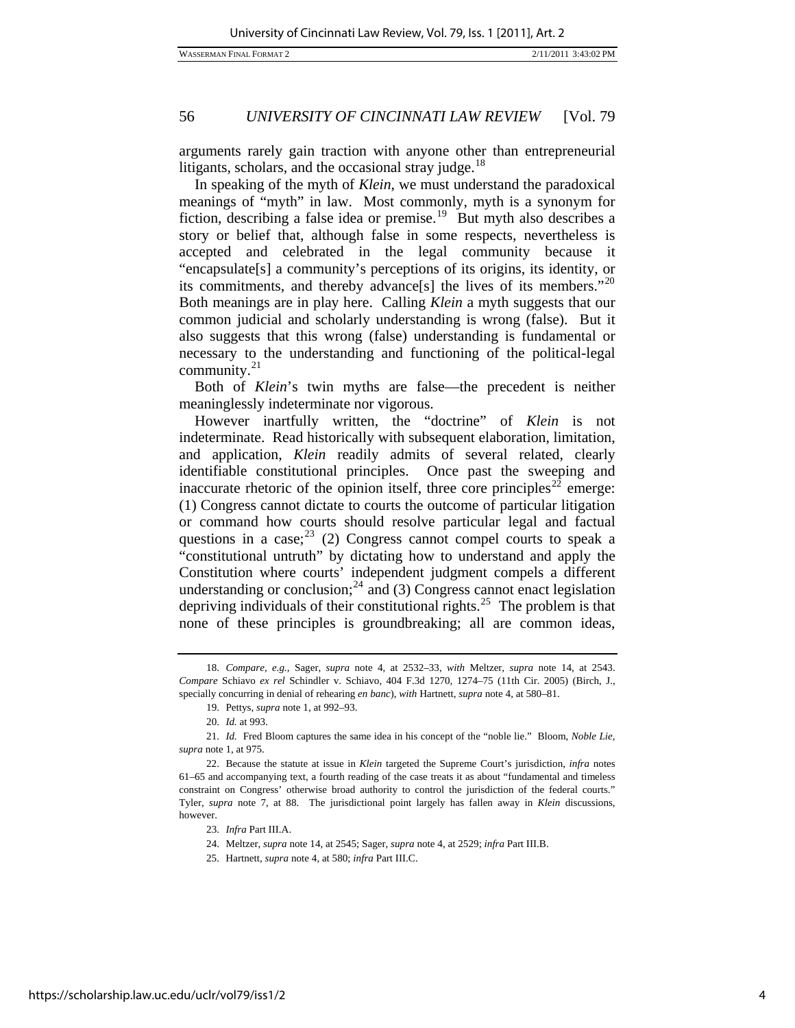arguments rarely gain traction with anyone other than entrepreneurial litigants, scholars, and the occasional stray judge.<sup>[18](#page-4-0)</sup>

In speaking of the myth of *Klein*, we must understand the paradoxical meanings of "myth" in law. Most commonly, myth is a synonym for fiction, describing a false idea or premise.<sup>[19](#page-4-1)</sup> But myth also describes a story or belief that, although false in some respects, nevertheless is accepted and celebrated in the legal community because it "encapsulate[s] a community's perceptions of its origins, its identity, or its commitments, and thereby advance[s] the lives of its members."[20](#page-4-2) Both meanings are in play here. Calling *Klein* a myth suggests that our common judicial and scholarly understanding is wrong (false). But it also suggests that this wrong (false) understanding is fundamental or necessary to the understanding and functioning of the political-legal community.<sup>[21](#page-4-3)</sup>

Both of *Klein*'s twin myths are false—the precedent is neither meaninglessly indeterminate nor vigorous.

However inartfully written, the "doctrine" of *Klein* is not indeterminate. Read historically with subsequent elaboration, limitation, and application, *Klein* readily admits of several related, clearly identifiable constitutional principles. Once past the sweeping and inaccurate rhetoric of the opinion itself, three core principles<sup>[22](#page-4-4)</sup> emerge: (1) Congress cannot dictate to courts the outcome of particular litigation or command how courts should resolve particular legal and factual questions in a case;  $23$  (2) Congress cannot compel courts to speak a "constitutional untruth" by dictating how to understand and apply the Constitution where courts' independent judgment compels a different understanding or conclusion; $^{24}$  $^{24}$  $^{24}$  and (3) Congress cannot enact legislation depriving individuals of their constitutional rights.<sup>[25](#page-4-7)</sup> The problem is that none of these principles is groundbreaking; all are common ideas,

<span id="page-4-0"></span><sup>18.</sup> *Compare, e.g.*, Sager, *supra* note 4, at 2532–33, *with* Meltzer, *supra* note 14, at 2543. *Compare* Schiavo *ex rel* Schindler v. Schiavo, 404 F.3d 1270, 1274–75 (11th Cir. 2005) (Birch, J., specially concurring in denial of rehearing *en banc*), *with* Hartnett, *supra* note 4, at 580–81.

 <sup>19.</sup> Pettys, *supra* note 1, at 992–93.

 <sup>20.</sup> *Id.* at 993.

<span id="page-4-3"></span><span id="page-4-2"></span><span id="page-4-1"></span> <sup>21.</sup> *Id.* Fred Bloom captures the same idea in his concept of the "noble lie." Bloom, *Noble Lie*, *supra* note 1, at 975.

<span id="page-4-7"></span><span id="page-4-6"></span><span id="page-4-5"></span><span id="page-4-4"></span> <sup>22.</sup> Because the statute at issue in *Klein* targeted the Supreme Court's jurisdiction, *infra* notes 61–65 and accompanying text, a fourth reading of the case treats it as about "fundamental and timeless constraint on Congress' otherwise broad authority to control the jurisdiction of the federal courts." Tyler, *supra* note 7, at 88. The jurisdictional point largely has fallen away in *Klein* discussions, however.

<sup>23.</sup> *Infra* Part III.A.

 <sup>24.</sup> Meltzer, *supra* note 14, at 2545; Sager, *supra* note 4, at 2529; *infra* Part III.B.

 <sup>25.</sup> Hartnett, *supra* note 4, at 580; *infra* Part III.C.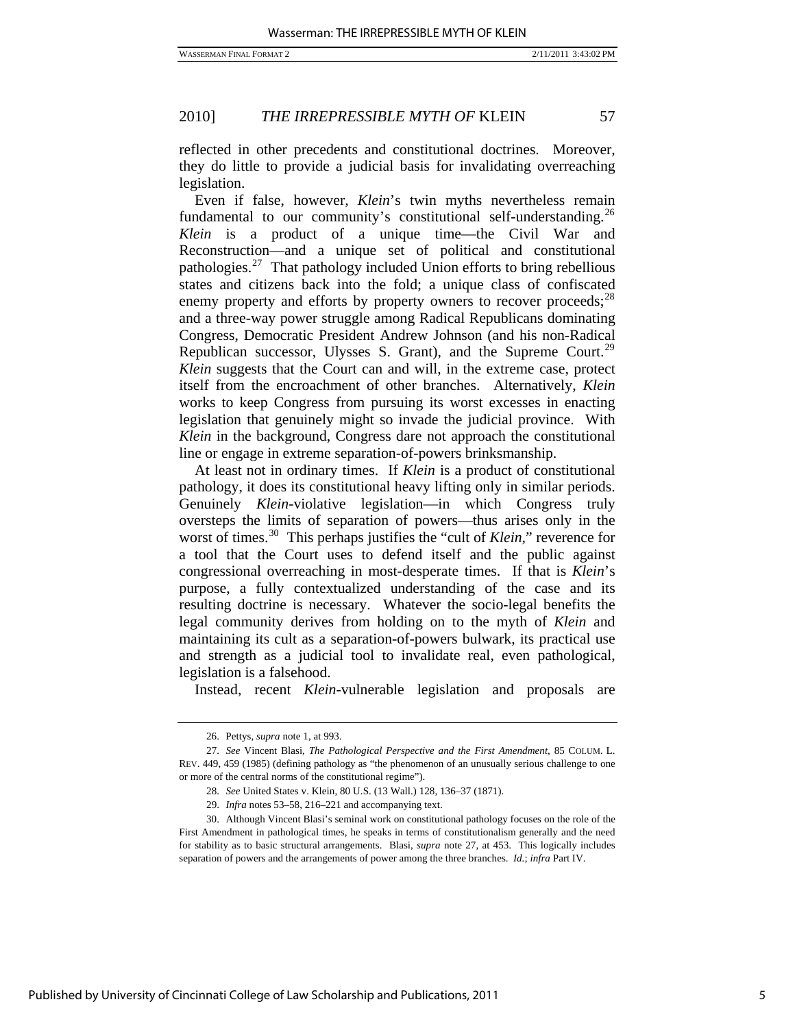reflected in other precedents and constitutional doctrines. Moreover, they do little to provide a judicial basis for invalidating overreaching legislation.

Even if false, however, *Klein*'s twin myths nevertheless remain fundamental to our community's constitutional self-understanding.<sup>[26](#page-5-0)</sup> *Klein* is a product of a unique time—the Civil War and Reconstruction—and a unique set of political and constitutional pathologies.[27](#page-5-1) That pathology included Union efforts to bring rebellious states and citizens back into the fold; a unique class of confiscated enemy property and efforts by property owners to recover proceeds;<sup>[28](#page-5-2)</sup> and a three-way power struggle among Radical Republicans dominating Congress, Democratic President Andrew Johnson (and his non-Radical Republican successor, Ulysses S. Grant), and the Supreme Court.<sup>[29](#page-5-3)</sup> *Klein* suggests that the Court can and will, in the extreme case, protect itself from the encroachment of other branches. Alternatively, *Klein* works to keep Congress from pursuing its worst excesses in enacting legislation that genuinely might so invade the judicial province. With *Klein* in the background, Congress dare not approach the constitutional line or engage in extreme separation-of-powers brinksmanship.

At least not in ordinary times. If *Klein* is a product of constitutional pathology, it does its constitutional heavy lifting only in similar periods. Genuinely *Klein*-violative legislation—in which Congress truly oversteps the limits of separation of powers—thus arises only in the worst of times.[30](#page-5-4) This perhaps justifies the "cult of *Klein*," reverence for a tool that the Court uses to defend itself and the public against congressional overreaching in most-desperate times. If that is *Klein*'s purpose, a fully contextualized understanding of the case and its resulting doctrine is necessary. Whatever the socio-legal benefits the legal community derives from holding on to the myth of *Klein* and maintaining its cult as a separation-of-powers bulwark, its practical use and strength as a judicial tool to invalidate real, even pathological, legislation is a falsehood.

Instead, recent *Klein*-vulnerable legislation and proposals are

 <sup>26.</sup> Pettys, *supra* note 1, at 993.

<span id="page-5-1"></span><span id="page-5-0"></span><sup>27.</sup> *See* Vincent Blasi, *The Pathological Perspective and the First Amendment*, 85 COLUM. L. REV. 449, 459 (1985) (defining pathology as "the phenomenon of an unusually serious challenge to one or more of the central norms of the constitutional regime").

<sup>28.</sup> *See* United States v. Klein, 80 U.S. (13 Wall.) 128, 136–37 (1871).

<sup>29.</sup> *Infra* notes 53–58, 216–221 and accompanying text.

<span id="page-5-4"></span><span id="page-5-3"></span><span id="page-5-2"></span> <sup>30.</sup> Although Vincent Blasi's seminal work on constitutional pathology focuses on the role of the First Amendment in pathological times, he speaks in terms of constitutionalism generally and the need for stability as to basic structural arrangements. Blasi, *supra* note 27, at 453. This logically includes separation of powers and the arrangements of power among the three branches. *Id.*; *infra* Part IV.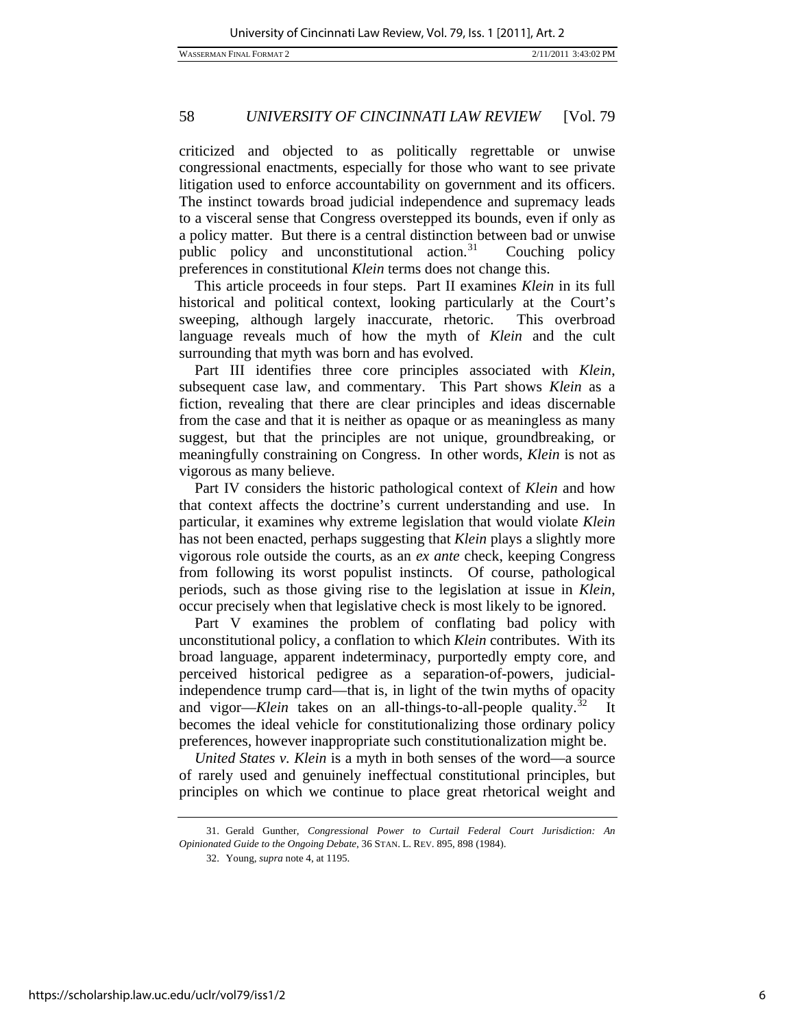criticized and objected to as politically regrettable or unwise congressional enactments, especially for those who want to see private litigation used to enforce accountability on government and its officers. The instinct towards broad judicial independence and supremacy leads to a visceral sense that Congress overstepped its bounds, even if only as a policy matter. But there is a central distinction between bad or unwise public policy and unconstitutional action.<sup>[31](#page-6-0)</sup> Couching policy preferences in constitutional *Klein* terms does not change this.

This article proceeds in four steps. Part II examines *Klein* in its full historical and political context, looking particularly at the Court's sweeping, although largely inaccurate, rhetoric. This overbroad language reveals much of how the myth of *Klein* and the cult surrounding that myth was born and has evolved.

Part III identifies three core principles associated with *Klein*, subsequent case law, and commentary. This Part shows *Klein* as a fiction, revealing that there are clear principles and ideas discernable from the case and that it is neither as opaque or as meaningless as many suggest, but that the principles are not unique, groundbreaking, or meaningfully constraining on Congress. In other words, *Klein* is not as vigorous as many believe.

Part IV considers the historic pathological context of *Klein* and how that context affects the doctrine's current understanding and use. In particular, it examines why extreme legislation that would violate *Klein* has not been enacted, perhaps suggesting that *Klein* plays a slightly more vigorous role outside the courts, as an *ex ante* check, keeping Congress from following its worst populist instincts. Of course, pathological periods, such as those giving rise to the legislation at issue in *Klein*, occur precisely when that legislative check is most likely to be ignored.

Part V examines the problem of conflating bad policy with unconstitutional policy, a conflation to which *Klein* contributes. With its broad language, apparent indeterminacy, purportedly empty core, and perceived historical pedigree as a separation-of-powers, judicialindependence trump card—that is, in light of the twin myths of opacity and vigor—*Klein* takes on an all-things-to-all-people quality.<sup>[32](#page-6-1)</sup> It becomes the ideal vehicle for constitutionalizing those ordinary policy preferences, however inappropriate such constitutionalization might be.

*United States v. Klein* is a myth in both senses of the word—a source of rarely used and genuinely ineffectual constitutional principles, but principles on which we continue to place great rhetorical weight and

<span id="page-6-1"></span><span id="page-6-0"></span> <sup>31.</sup> Gerald Gunther, *Congressional Power to Curtail Federal Court Jurisdiction: An Opinionated Guide to the Ongoing Debate*, 36 STAN. L. REV. 895, 898 (1984).

 <sup>32.</sup> Young, *supra* note 4, at 1195.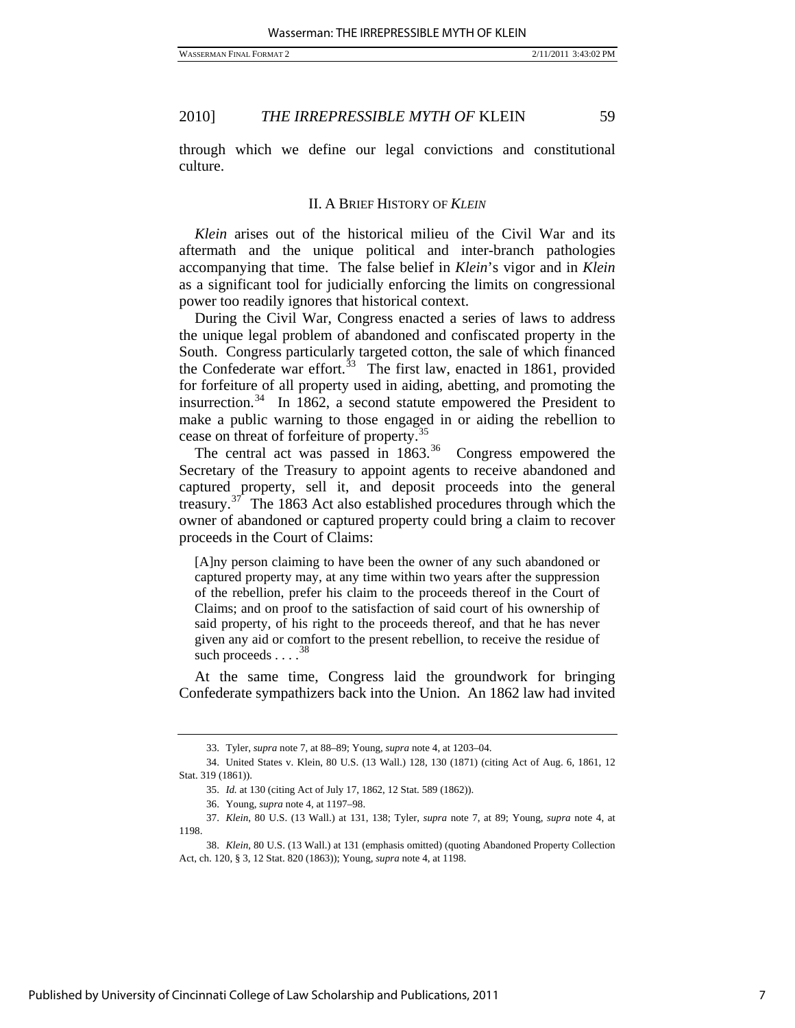through which we define our legal convictions and constitutional culture.

#### II. A BRIEF HISTORY OF *KLEIN*

*Klein* arises out of the historical milieu of the Civil War and its aftermath and the unique political and inter-branch pathologies accompanying that time. The false belief in *Klein*'s vigor and in *Klein* as a significant tool for judicially enforcing the limits on congressional power too readily ignores that historical context.

During the Civil War, Congress enacted a series of laws to address the unique legal problem of abandoned and confiscated property in the South. Congress particularly targeted cotton, the sale of which financed the Confederate war effort.<sup>[33](#page-7-0)</sup> The first law, enacted in 1861, provided for forfeiture of all property used in aiding, abetting, and promoting the insurrection.<sup>[34](#page-7-1)</sup> In 1862, a second statute empowered the President to make a public warning to those engaged in or aiding the rebellion to cease on threat of forfeiture of property.[35](#page-7-2)

The central act was passed in  $1863<sup>36</sup>$  $1863<sup>36</sup>$  $1863<sup>36</sup>$  Congress empowered the Secretary of the Treasury to appoint agents to receive abandoned and captured property, sell it, and deposit proceeds into the general treasury.<sup>[37](#page-7-4)</sup> The 1863 Act also established procedures through which the owner of abandoned or captured property could bring a claim to recover proceeds in the Court of Claims:

[A]ny person claiming to have been the owner of any such abandoned or captured property may, at any time within two years after the suppression of the rebellion, prefer his claim to the proceeds thereof in the Court of Claims; and on proof to the satisfaction of said court of his ownership of said property, of his right to the proceeds thereof, and that he has never given any aid or comfort to the present rebellion, to receive the residue of such proceeds  $\ldots$ <sup>3</sup>

At the same time, Congress laid the groundwork for bringing Confederate sympathizers back into the Union. An 1862 law had invited

 <sup>33.</sup> Tyler, *supra* note 7, at 88–89; Young, *supra* note 4, at 1203–04.

<span id="page-7-2"></span><span id="page-7-1"></span><span id="page-7-0"></span> <sup>34.</sup> United States v. Klein, 80 U.S. (13 Wall.) 128, 130 (1871) (citing Act of Aug. 6, 1861, 12 Stat. 319 (1861)).

<sup>35.</sup> *Id.* at 130 (citing Act of July 17, 1862, 12 Stat. 589 (1862)).

 <sup>36.</sup> Young, *supra* note 4, at 1197–98.

<span id="page-7-4"></span><span id="page-7-3"></span><sup>37.</sup> *Klein*, 80 U.S. (13 Wall.) at 131, 138; Tyler, *supra* note 7, at 89; Young, *supra* note 4, at 1198.

<span id="page-7-5"></span><sup>38.</sup> *Klein*, 80 U.S. (13 Wall.) at 131 (emphasis omitted) (quoting Abandoned Property Collection Act, ch. 120, § 3, 12 Stat. 820 (1863)); Young, *supra* note 4, at 1198.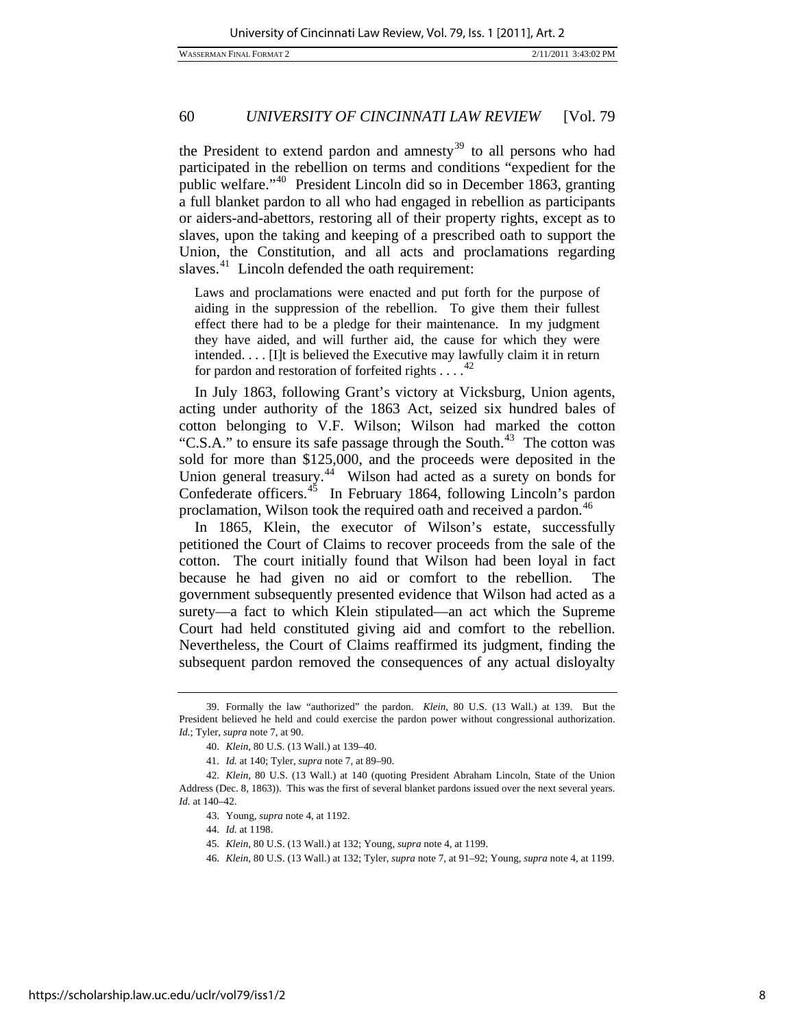WASSERMAN FINAL FORMAT 2 2/11/2011 3:43:02 PM

# 60 *UNIVERSITY OF CINCINNATI LAW REVIEW* [Vol. 79

the President to extend pardon and amnesty<sup>[39](#page-8-0)</sup> to all persons who had participated in the rebellion on terms and conditions "expedient for the public welfare."[40](#page-8-1) President Lincoln did so in December 1863, granting a full blanket pardon to all who had engaged in rebellion as participants or aiders-and-abettors, restoring all of their property rights, except as to slaves, upon the taking and keeping of a prescribed oath to support the Union, the Constitution, and all acts and proclamations regarding slaves. $41$  Lincoln defended the oath requirement:

Laws and proclamations were enacted and put forth for the purpose of aiding in the suppression of the rebellion. To give them their fullest effect there had to be a pledge for their maintenance. In my judgment they have aided, and will further aid, the cause for which they were intended. . . . [I]t is believed the Executive may lawfully claim it in return for pardon and restoration of forfeited rights . . . .<sup>4</sup>

In July 1863, following Grant's victory at Vicksburg, Union agents, acting under authority of the 1863 Act, seized six hundred bales of cotton belonging to V.F. Wilson; Wilson had marked the cotton "C.S.A." to ensure its safe passage through the South.<sup>[43](#page-8-4)</sup> The cotton was sold for more than \$125,000, and the proceeds were deposited in the Union general treasury.<sup>[44](#page-8-5)</sup> Wilson had acted as a surety on bonds for Confederate officers.<sup>[45](#page-8-6)</sup> In February 1864, following Lincoln's pardon proclamation, Wilson took the required oath and received a pardon.<sup>[46](#page-8-7)</sup>

In 1865, Klein, the executor of Wilson's estate, successfully petitioned the Court of Claims to recover proceeds from the sale of the cotton. The court initially found that Wilson had been loyal in fact because he had given no aid or comfort to the rebellion. The government subsequently presented evidence that Wilson had acted as a surety—a fact to which Klein stipulated—an act which the Supreme Court had held constituted giving aid and comfort to the rebellion. Nevertheless, the Court of Claims reaffirmed its judgment, finding the subsequent pardon removed the consequences of any actual disloyalty

<span id="page-8-0"></span> <sup>39.</sup> Formally the law "authorized" the pardon. *Klein*, 80 U.S. (13 Wall.) at 139. But the President believed he held and could exercise the pardon power without congressional authorization. *Id.*; Tyler, *supra* note 7, at 90.

<sup>40.</sup> *Klein*, 80 U.S. (13 Wall.) at 139–40.

<sup>41.</sup> *Id.* at 140; Tyler, *supra* note 7, at 89–90.

<span id="page-8-7"></span><span id="page-8-6"></span><span id="page-8-5"></span><span id="page-8-4"></span><span id="page-8-3"></span><span id="page-8-2"></span><span id="page-8-1"></span><sup>42.</sup> *Klein*, 80 U.S. (13 Wall.) at 140 (quoting President Abraham Lincoln, State of the Union Address (Dec. 8, 1863)). This was the first of several blanket pardons issued over the next several years. *Id.* at 140–42.

 <sup>43.</sup> Young, *supra* note 4, at 1192.

 <sup>44.</sup> *Id.* at 1198.

<sup>45.</sup> *Klein*, 80 U.S. (13 Wall.) at 132; Young, *supra* note 4, at 1199.

<sup>46.</sup> *Klein*, 80 U.S. (13 Wall.) at 132; Tyler, *supra* note 7, at 91–92; Young, *supra* note 4, at 1199.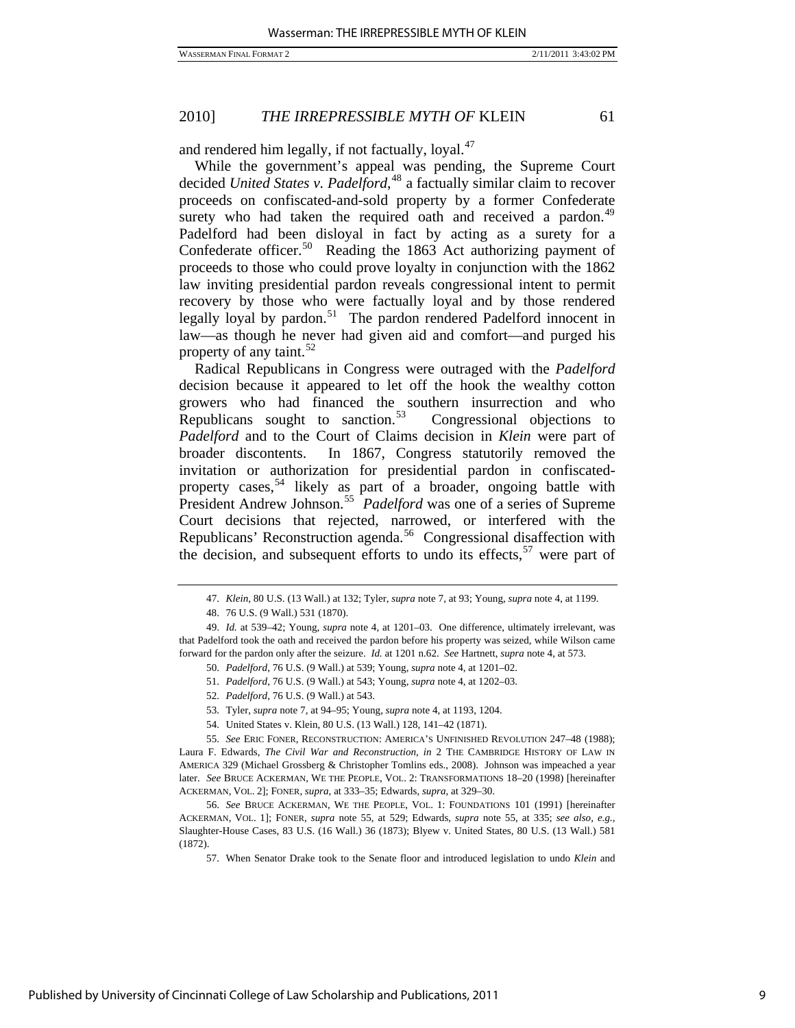and rendered him legally, if not factually, loyal. $47$ 

While the government's appeal was pending, the Supreme Court decided *United States v. Padelford*, [48](#page-9-1) a factually similar claim to recover proceeds on confiscated-and-sold property by a former Confederate surety who had taken the required oath and received a pardon. $49$ Padelford had been disloyal in fact by acting as a surety for a Confederate officer.<sup>[50](#page-9-3)</sup> Reading the 1863 Act authorizing payment of proceeds to those who could prove loyalty in conjunction with the 1862 law inviting presidential pardon reveals congressional intent to permit recovery by those who were factually loyal and by those rendered legally loyal by pardon.<sup>[51](#page-9-4)</sup> The pardon rendered Padelford innocent in law—as though he never had given aid and comfort—and purged his property of any taint.<sup>[52](#page-9-5)</sup>

Radical Republicans in Congress were outraged with the *Padelford* decision because it appeared to let off the hook the wealthy cotton growers who had financed the southern insurrection and who Republicans sought to sanction. $53$  Congressional objections to *Padelford* and to the Court of Claims decision in *Klein* were part of broader discontents. In 1867, Congress statutorily removed the invitation or authorization for presidential pardon in confiscated-property cases,<sup>[54](#page-9-7)</sup> likely as part of a broader, ongoing battle with President Andrew Johnson.<sup>[55](#page-9-8)</sup> Padelford was one of a series of Supreme Court decisions that rejected, narrowed, or interfered with the Republicans' Reconstruction agenda.<sup>[56](#page-9-9)</sup> Congressional disaffection with the decision, and subsequent efforts to undo its effects,  $57$  were part of

<sup>47.</sup> *Klein*, 80 U.S. (13 Wall.) at 132; Tyler, *supra* note 7, at 93; Young, *supra* note 4, at 1199.

 <sup>48. 76</sup> U.S. (9 Wall.) 531 (1870).

<span id="page-9-4"></span><span id="page-9-3"></span><span id="page-9-2"></span><span id="page-9-1"></span><span id="page-9-0"></span><sup>49.</sup> *Id.* at 539–42; Young, *supra* note 4, at 1201–03. One difference, ultimately irrelevant, was that Padelford took the oath and received the pardon before his property was seized, while Wilson came forward for the pardon only after the seizure. *Id.* at 1201 n.62. *See* Hartnett, *supra* note 4, at 573.

<sup>50.</sup> *Padelford*, 76 U.S. (9 Wall.) at 539; Young, *supra* note 4, at 1201–02.

<sup>51.</sup> *Padelford*, 76 U.S. (9 Wall.) at 543; Young, *supra* note 4, at 1202–03.

<sup>52.</sup> *Padelford*, 76 U.S. (9 Wall.) at 543.

 <sup>53.</sup> Tyler, *supra* note 7, at 94–95; Young, *supra* note 4, at 1193, 1204.

 <sup>54.</sup> United States v. Klein, 80 U.S. (13 Wall.) 128, 141–42 (1871).

<span id="page-9-8"></span><span id="page-9-7"></span><span id="page-9-6"></span><span id="page-9-5"></span><sup>55.</sup> *See* ERIC FONER, RECONSTRUCTION: AMERICA'S UNFINISHED REVOLUTION 247–48 (1988); Laura F. Edwards, *The Civil War and Reconstruction*, *in* 2 THE CAMBRIDGE HISTORY OF LAW IN AMERICA 329 (Michael Grossberg & Christopher Tomlins eds., 2008). Johnson was impeached a year later. *See* BRUCE ACKERMAN, WE THE PEOPLE, VOL. 2: TRANSFORMATIONS 18–20 (1998) [hereinafter ACKERMAN, VOL. 2]; FONER, *supra*, at 333–35; Edwards, *supra*, at 329–30.

<span id="page-9-10"></span><span id="page-9-9"></span><sup>56.</sup> *See* BRUCE ACKERMAN, WE THE PEOPLE, VOL. 1: FOUNDATIONS 101 (1991) [hereinafter ACKERMAN, VOL. 1]; FONER, *supra* note 55, at 529; Edwards, *supra* note 55, at 335; *see also, e.g.*, Slaughter-House Cases, 83 U.S. (16 Wall.) 36 (1873); Blyew v. United States, 80 U.S. (13 Wall.) 581 (1872).

 <sup>57.</sup> When Senator Drake took to the Senate floor and introduced legislation to undo *Klein* and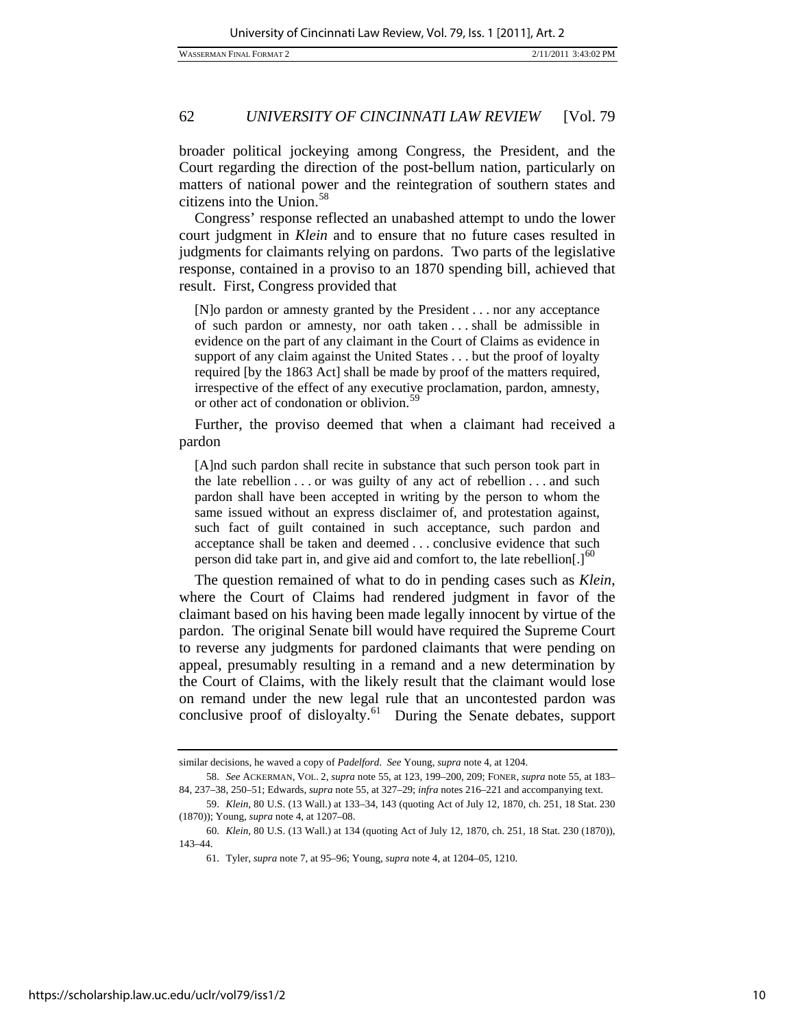broader political jockeying among Congress, the President, and the Court regarding the direction of the post-bellum nation, particularly on matters of national power and the reintegration of southern states and citizens into the Union. $58$ 

Congress' response reflected an unabashed attempt to undo the lower court judgment in *Klein* and to ensure that no future cases resulted in judgments for claimants relying on pardons. Two parts of the legislative response, contained in a proviso to an 1870 spending bill, achieved that result. First, Congress provided that

[N]o pardon or amnesty granted by the President . . . nor any acceptance of such pardon or amnesty, nor oath taken . . . shall be admissible in evidence on the part of any claimant in the Court of Claims as evidence in support of any claim against the United States . . . but the proof of loyalty required [by the 1863 Act] shall be made by proof of the matters required, irrespective of the effect of any executive proclamation, pardon, amnesty, or other act of condonation or oblivion.<sup>[59](#page-10-1)</sup>

Further, the proviso deemed that when a claimant had received a pardon

[A]nd such pardon shall recite in substance that such person took part in the late rebellion . . . or was guilty of any act of rebellion . . . and such pardon shall have been accepted in writing by the person to whom the same issued without an express disclaimer of, and protestation against, such fact of guilt contained in such acceptance, such pardon and acceptance shall be taken and deemed . . . conclusive evidence that such person did take part in, and give aid and comfort to, the late rebellion[.] $<sup>60</sup>$  $<sup>60</sup>$  $<sup>60</sup>$ </sup>

The question remained of what to do in pending cases such as *Klein*, where the Court of Claims had rendered judgment in favor of the claimant based on his having been made legally innocent by virtue of the pardon. The original Senate bill would have required the Supreme Court to reverse any judgments for pardoned claimants that were pending on appeal, presumably resulting in a remand and a new determination by the Court of Claims, with the likely result that the claimant would lose on remand under the new legal rule that an uncontested pardon was conclusive proof of disloyalty.<sup>[61](#page-10-3)</sup> During the Senate debates, support

similar decisions, he waved a copy of *Padelford*. *See* Young, *supra* note 4, at 1204.

<span id="page-10-0"></span><sup>58.</sup> *See* ACKERMAN, VOL. 2, *supra* note 55, at 123, 199–200, 209; FONER, *supra* note 55, at 183– 84, 237–38, 250–51; Edwards, *supra* note 55, at 327–29; *infra* notes 216–221 and accompanying text.

<span id="page-10-2"></span><span id="page-10-1"></span> <sup>59.</sup> *Klein*, 80 U.S. (13 Wall.) at 133–34, 143 (quoting Act of July 12, 1870, ch. 251, 18 Stat. 230 (1870)); Young, *supra* note 4, at 1207–08.

<span id="page-10-3"></span><sup>60.</sup> *Klein*, 80 U.S. (13 Wall.) at 134 (quoting Act of July 12, 1870, ch. 251, 18 Stat. 230 (1870)), 143–44.

 <sup>61.</sup> Tyler, *supra* note 7, at 95–96; Young, *supra* note 4, at 1204–05, 1210.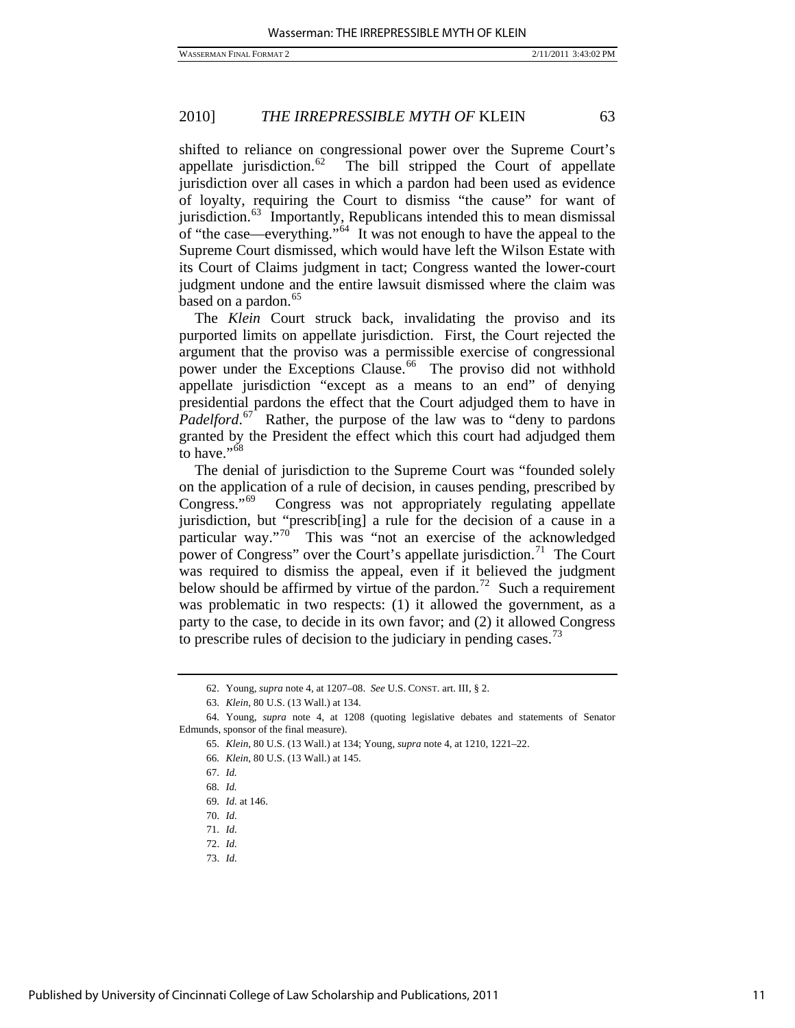shifted to reliance on congressional power over the Supreme Court's appellate jurisdiction.<sup>[62](#page-11-0)</sup> The bill stripped the Court of appellate jurisdiction over all cases in which a pardon had been used as evidence of loyalty, requiring the Court to dismiss "the cause" for want of jurisdiction.<sup>[63](#page-11-1)</sup> Importantly, Republicans intended this to mean dismissal of "the case—everything."[64](#page-11-2) It was not enough to have the appeal to the Supreme Court dismissed, which would have left the Wilson Estate with its Court of Claims judgment in tact; Congress wanted the lower-court judgment undone and the entire lawsuit dismissed where the claim was based on a pardon.<sup>[65](#page-11-3)</sup>

The *Klein* Court struck back, invalidating the proviso and its purported limits on appellate jurisdiction. First, the Court rejected the argument that the proviso was a permissible exercise of congressional power under the Exceptions Clause.<sup>[66](#page-11-4)</sup> The proviso did not withhold appellate jurisdiction "except as a means to an end" of denying presidential pardons the effect that the Court adjudged them to have in *Padelford*.<sup>[67](#page-11-5)</sup> Rather, the purpose of the law was to "deny to pardons" granted by the President the effect which this court had adjudged them to have."<sup>[68](#page-11-6)</sup>

The denial of jurisdiction to the Supreme Court was "founded solely on the application of a rule of decision, in causes pending, prescribed by Congress."[69](#page-11-7) Congress was not appropriately regulating appellate jurisdiction, but "prescrib[ing] a rule for the decision of a cause in a particular way."[70](#page-11-8) This was "not an exercise of the acknowledged power of Congress" over the Court's appellate jurisdiction.<sup>[71](#page-11-9)</sup> The Court was required to dismiss the appeal, even if it believed the judgment below should be affirmed by virtue of the pardon.<sup>[72](#page-11-10)</sup> Such a requirement was problematic in two respects: (1) it allowed the government, as a party to the case, to decide in its own favor; and (2) it allowed Congress to prescribe rules of decision to the judiciary in pending cases.<sup>[73](#page-11-11)</sup>

 <sup>62.</sup> Young, *supra* note 4, at 1207–08. *See* U.S. CONST. art. III, § 2.

<sup>63.</sup> *Klein*, 80 U.S. (13 Wall.) at 134.

<span id="page-11-8"></span><span id="page-11-7"></span><span id="page-11-6"></span><span id="page-11-5"></span><span id="page-11-4"></span><span id="page-11-3"></span><span id="page-11-2"></span><span id="page-11-1"></span><span id="page-11-0"></span> <sup>64.</sup> Young, *supra* note 4, at 1208 (quoting legislative debates and statements of Senator Edmunds, sponsor of the final measure).

<sup>65.</sup> *Klein*, 80 U.S. (13 Wall.) at 134; Young, *supra* note 4, at 1210, 1221–22.

<sup>66.</sup> *Klein*, 80 U.S. (13 Wall.) at 145.

<sup>67.</sup> *Id.*

<sup>68.</sup> *Id.*

<sup>69.</sup> *Id.* at 146.

<sup>70.</sup> *Id.*

<span id="page-11-9"></span><sup>71.</sup> *Id.*

<span id="page-11-10"></span><sup>72.</sup> *Id.* 

<span id="page-11-11"></span><sup>73.</sup> *Id.*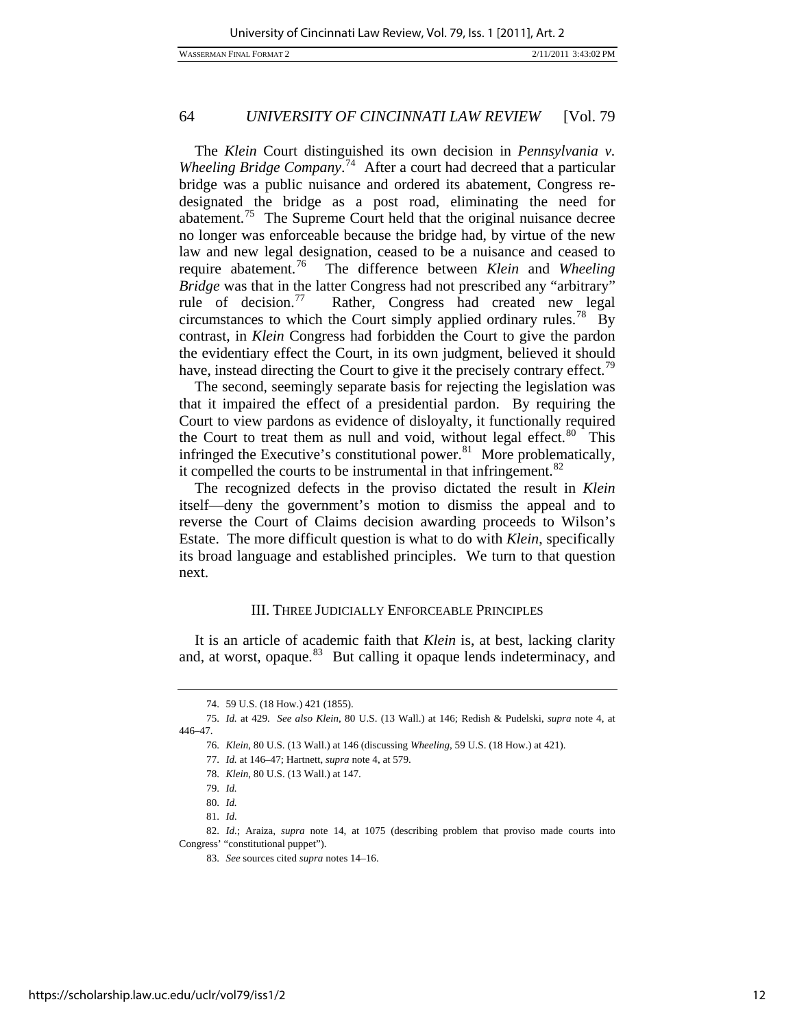WASSERMAN FINAL FORMAT 2 2/11/2011 3:43:02 PM

# 64 *UNIVERSITY OF CINCINNATI LAW REVIEW* [Vol. 79

have, instead directing the Court to give it the precisely contrary effect.<sup>79</sup> The *Klein* Court distinguished its own decision in *Pennsylvania v. Wheeling Bridge Company*. [74](#page-12-0) After a court had decreed that a particular bridge was a public nuisance and ordered its abatement, Congress redesignated the bridge as a post road, eliminating the need for abatement.<sup>[75](#page-12-1)</sup> The Supreme Court held that the original nuisance decree no longer was enforceable because the bridge had, by virtue of the new law and new legal designation, ceased to be a nuisance and ceased to require abatement.[76](#page-12-2) The difference between *Klein* and *Wheeling Bridge* was that in the latter Congress had not prescribed any "arbitrary" rule of decision.<sup>[77](#page-12-3)</sup> Rather, Congress had created new legal circumstances to which the Court simply applied ordinary rules.<sup>[78](#page-12-4)</sup> By contrast, in *Klein* Congress had forbidden the Court to give the pardon the evidentiary effect the Court, in its own judgment, believed it should

The second, seemingly separate basis for rejecting the legislation was that it impaired the effect of a presidential pardon. By requiring the Court to view pardons as evidence of disloyalty, it functionally required the Court to treat them as null and void, without legal effect. $80$  This infringed the Executive's constitutional power. $81$  More problematically, it compelled the courts to be instrumental in that infringement. $82$ 

The recognized defects in the proviso dictated the result in *Klein* itself—deny the government's motion to dismiss the appeal and to reverse the Court of Claims decision awarding proceeds to Wilson's Estate. The more difficult question is what to do with *Klein*, specifically its broad language and established principles. We turn to that question next.

# III. THREE JUDICIALLY ENFORCEABLE PRINCIPLES

It is an article of academic faith that *Klein* is, at best, lacking clarity and, at worst, opaque. $83$  But calling it opaque lends indeterminacy, and

 <sup>74. 59</sup> U.S. (18 How.) 421 (1855).

<span id="page-12-4"></span><span id="page-12-3"></span><span id="page-12-2"></span><span id="page-12-1"></span><span id="page-12-0"></span><sup>75.</sup> *Id.* at 429. *See also Klein*, 80 U.S. (13 Wall.) at 146; Redish & Pudelski, *supra* note 4, at 446–47.

<sup>76.</sup> *Klein*, 80 U.S. (13 Wall.) at 146 (discussing *Wheeling*, 59 U.S. (18 How.) at 421).

<sup>77.</sup> *Id.* at 146–47; Hartnett, *supra* note 4, at 579.

<sup>78.</sup> *Klein*, 80 U.S. (13 Wall.) at 147.

<sup>79.</sup> *Id.*

<sup>80.</sup> *Id.*

<sup>81.</sup> *Id.*

<span id="page-12-8"></span><span id="page-12-7"></span><span id="page-12-6"></span><span id="page-12-5"></span><sup>82.</sup> *Id.*; Araiza, *supra* note 14, at 1075 (describing problem that proviso made courts into Congress' "constitutional puppet").

<sup>83.</sup> *See* sources cited *supra* notes 14–16.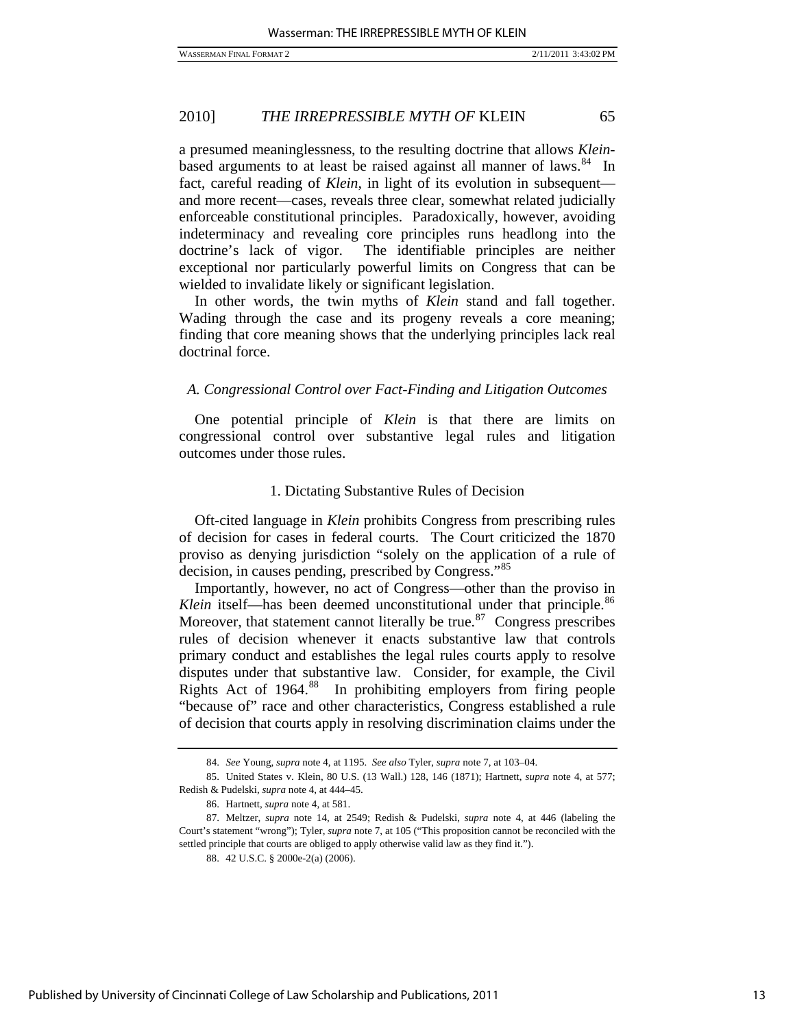a presumed meaninglessness, to the resulting doctrine that allows *Klein*based arguments to at least be raised against all manner of laws. $84$  In fact, careful reading of *Klein*, in light of its evolution in subsequent and more recent—cases, reveals three clear, somewhat related judicially enforceable constitutional principles. Paradoxically, however, avoiding indeterminacy and revealing core principles runs headlong into the doctrine's lack of vigor. The identifiable principles are neither exceptional nor particularly powerful limits on Congress that can be wielded to invalidate likely or significant legislation.

In other words, the twin myths of *Klein* stand and fall together. Wading through the case and its progeny reveals a core meaning; finding that core meaning shows that the underlying principles lack real doctrinal force.

#### *A. Congressional Control over Fact-Finding and Litigation Outcomes*

One potential principle of *Klein* is that there are limits on congressional control over substantive legal rules and litigation outcomes under those rules.

#### 1. Dictating Substantive Rules of Decision

Oft-cited language in *Klein* prohibits Congress from prescribing rules of decision for cases in federal courts. The Court criticized the 1870 proviso as denying jurisdiction "solely on the application of a rule of decision, in causes pending, prescribed by Congress."[85](#page-13-1)

Importantly, however, no act of Congress—other than the proviso in *Klein* itself—has been deemed unconstitutional under that principle.<sup>[86](#page-13-2)</sup> Moreover, that statement cannot literally be true.<sup>[87](#page-13-3)</sup> Congress prescribes rules of decision whenever it enacts substantive law that controls primary conduct and establishes the legal rules courts apply to resolve disputes under that substantive law. Consider, for example, the Civil Rights Act of 1964.<sup>[88](#page-13-4)</sup> In prohibiting employers from firing people "because of" race and other characteristics, Congress established a rule of decision that courts apply in resolving discrimination claims under the

<sup>84.</sup> *See* Young, *supra* note 4, at 1195. *See also* Tyler, *supra* note 7, at 103–04.

<span id="page-13-1"></span><span id="page-13-0"></span> <sup>85.</sup> United States v. Klein, 80 U.S. (13 Wall.) 128, 146 (1871); Hartnett, *supra* note 4, at 577; Redish & Pudelski, *supra* note 4, at 444–45.

 <sup>86.</sup> Hartnett, *supra* note 4, at 581.

<span id="page-13-4"></span><span id="page-13-3"></span><span id="page-13-2"></span> <sup>87.</sup> Meltzer, *supra* note 14, at 2549; Redish & Pudelski, *supra* note 4, at 446 (labeling the Court's statement "wrong"); Tyler, *supra* note 7, at 105 ("This proposition cannot be reconciled with the settled principle that courts are obliged to apply otherwise valid law as they find it.").

 <sup>88. 42</sup> U.S.C. § 2000e-2(a) (2006).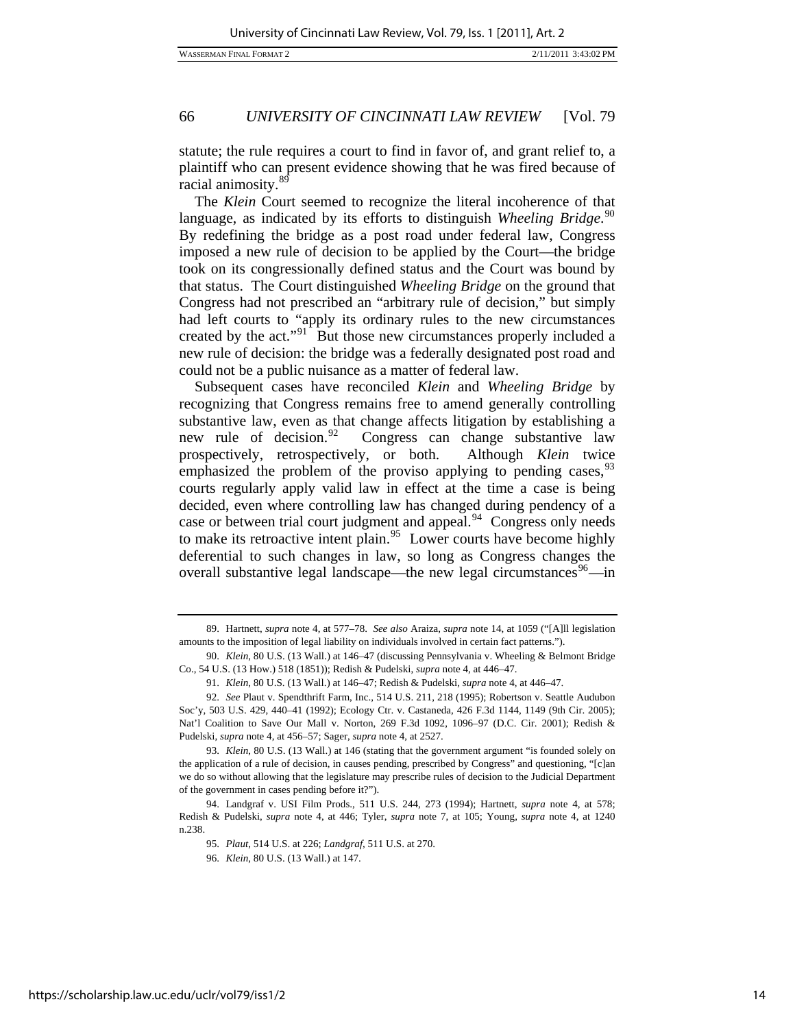statute; the rule requires a court to find in favor of, and grant relief to, a plaintiff who can present evidence showing that he was fired because of racial animosity.[89](#page-14-0)

The *Klein* Court seemed to recognize the literal incoherence of that language, as indicated by its efforts to distinguish *Wheeling Bridge*. [90](#page-14-1) By redefining the bridge as a post road under federal law, Congress imposed a new rule of decision to be applied by the Court—the bridge took on its congressionally defined status and the Court was bound by that status. The Court distinguished *Wheeling Bridge* on the ground that Congress had not prescribed an "arbitrary rule of decision," but simply had left courts to "apply its ordinary rules to the new circumstances created by the act."<sup>[91](#page-14-2)</sup> But those new circumstances properly included a new rule of decision: the bridge was a federally designated post road and could not be a public nuisance as a matter of federal law.

Subsequent cases have reconciled *Klein* and *Wheeling Bridge* by recognizing that Congress remains free to amend generally controlling substantive law, even as that change affects litigation by establishing a new rule of decision.<sup>[92](#page-14-3)</sup> Congress can change substantive law prospectively, retrospectively, or both. Although *Klein* twice emphasized the problem of the proviso applying to pending cases,  $93$ courts regularly apply valid law in effect at the time a case is being decided, even where controlling law has changed during pendency of a case or between trial court judgment and appeal.<sup>[94](#page-14-5)</sup> Congress only needs to make its retroactive intent plain.<sup>[95](#page-14-6)</sup> Lower courts have become highly deferential to such changes in law, so long as Congress changes the overall substantive legal landscape—the new legal circumstances<sup>[96](#page-14-7)</sup>—in

<span id="page-14-0"></span> <sup>89.</sup> Hartnett, *supra* note 4, at 577–78. *See also* Araiza, *supra* note 14, at 1059 ("[A]ll legislation amounts to the imposition of legal liability on individuals involved in certain fact patterns.").

<span id="page-14-1"></span> <sup>90.</sup> *Klein*, 80 U.S. (13 Wall.) at 146–47 (discussing Pennsylvania v. Wheeling & Belmont Bridge Co., 54 U.S. (13 How.) 518 (1851)); Redish & Pudelski, *supra* note 4, at 446–47.

<sup>91.</sup> *Klein*, 80 U.S. (13 Wall.) at 146–47; Redish & Pudelski, *supra* note 4, at 446–47.

<span id="page-14-3"></span><span id="page-14-2"></span><sup>92.</sup> *See* Plaut v. Spendthrift Farm, Inc., 514 U.S. 211, 218 (1995); Robertson v. Seattle Audubon Soc'y, 503 U.S. 429, 440–41 (1992); Ecology Ctr. v. Castaneda, 426 F.3d 1144, 1149 (9th Cir. 2005); Nat'l Coalition to Save Our Mall v. Norton, 269 F.3d 1092, 1096–97 (D.C. Cir. 2001); Redish & Pudelski, *supra* note 4, at 456–57; Sager, *supra* note 4, at 2527.

<span id="page-14-4"></span><sup>93.</sup> *Klein*, 80 U.S. (13 Wall.) at 146 (stating that the government argument "is founded solely on the application of a rule of decision, in causes pending, prescribed by Congress" and questioning, "[c]an we do so without allowing that the legislature may prescribe rules of decision to the Judicial Department of the government in cases pending before it?").

<span id="page-14-7"></span><span id="page-14-6"></span><span id="page-14-5"></span> <sup>94.</sup> Landgraf v. USI Film Prods., 511 U.S. 244, 273 (1994); Hartnett, *supra* note 4, at 578; Redish & Pudelski, *supra* note 4, at 446; Tyler, *supra* note 7, at 105; Young, *supra* note 4, at 1240 n.238.

<sup>95.</sup> *Plaut*, 514 U.S. at 226; *Landgraf*, 511 U.S. at 270.

<sup>96.</sup> *Klein*, 80 U.S. (13 Wall.) at 147.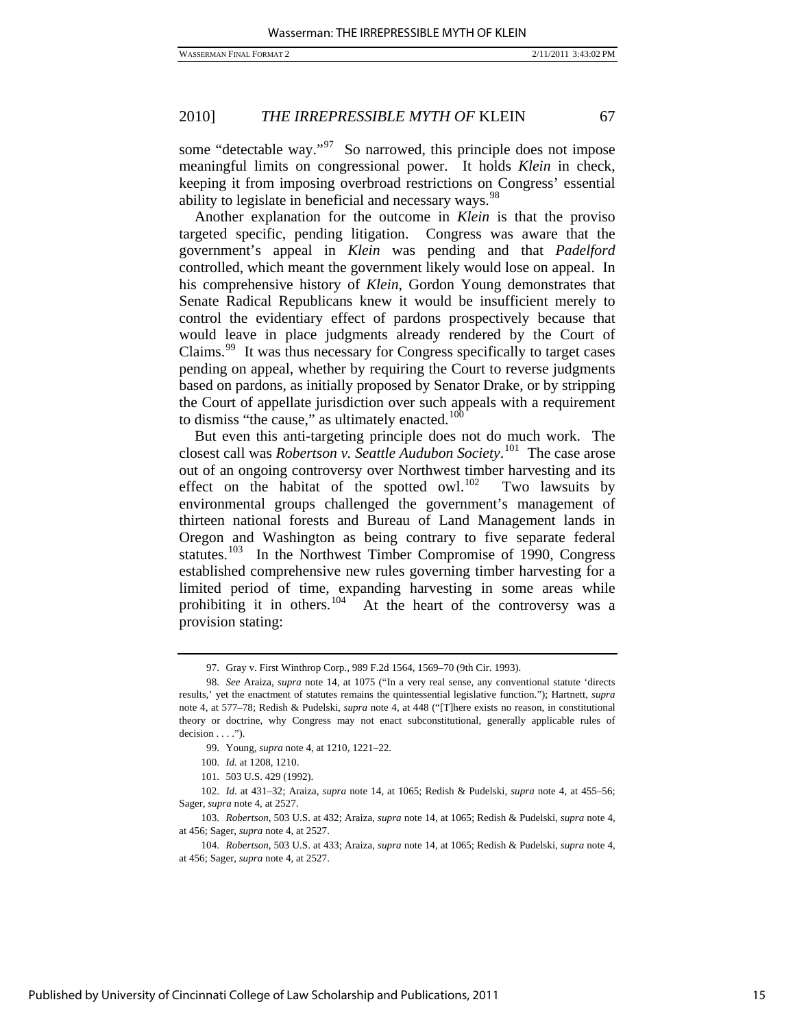some "detectable way."<sup>[97](#page-15-0)</sup> So narrowed, this principle does not impose meaningful limits on congressional power. It holds *Klein* in check, keeping it from imposing overbroad restrictions on Congress' essential ability to legislate in beneficial and necessary ways.<sup>[98](#page-15-1)</sup>

Another explanation for the outcome in *Klein* is that the proviso targeted specific, pending litigation. Congress was aware that the government's appeal in *Klein* was pending and that *Padelford* controlled, which meant the government likely would lose on appeal. In his comprehensive history of *Klein*, Gordon Young demonstrates that Senate Radical Republicans knew it would be insufficient merely to control the evidentiary effect of pardons prospectively because that would leave in place judgments already rendered by the Court of Claims.[99](#page-15-2) It was thus necessary for Congress specifically to target cases pending on appeal, whether by requiring the Court to reverse judgments based on pardons, as initially proposed by Senator Drake, or by stripping the Court of appellate jurisdiction over such appeals with a requirement to dismiss "the cause," as ultimately enacted. $100$ 

But even this anti-targeting principle does not do much work. The closest call was *Robertson v. Seattle Audubon Society*. [101](#page-15-4) The case arose out of an ongoing controversy over Northwest timber harvesting and its effect on the habitat of the spotted owl.<sup>[102](#page-15-5)</sup> Two lawsuits by environmental groups challenged the government's management of thirteen national forests and Bureau of Land Management lands in Oregon and Washington as being contrary to five separate federal statutes.<sup>[103](#page-15-6)</sup> In the Northwest Timber Compromise of 1990, Congress established comprehensive new rules governing timber harvesting for a limited period of time, expanding harvesting in some areas while prohibiting it in others.<sup>[104](#page-15-7)</sup> At the heart of the controversy was a provision stating:

<span id="page-15-6"></span>103. *Robertson*, 503 U.S. at 432; Araiza, *supra* note 14, at 1065; Redish & Pudelski, *supra* note 4, at 456; Sager, *supra* note 4, at 2527.

 <sup>97.</sup> Gray v. First Winthrop Corp*.*, 989 F.2d 1564, 1569–70 (9th Cir. 1993).

<span id="page-15-1"></span><span id="page-15-0"></span><sup>98.</sup> *See* Araiza, *supra* note 14, at 1075 ("In a very real sense, any conventional statute 'directs results,' yet the enactment of statutes remains the quintessential legislative function."); Hartnett, *supra* note 4, at 577–78; Redish & Pudelski, *supra* note 4, at 448 ("[T]here exists no reason, in constitutional theory or doctrine, why Congress may not enact subconstitutional, generally applicable rules of  $decision \dots$ ").

 <sup>99.</sup> Young, *supra* note 4, at 1210, 1221–22.

 <sup>100.</sup> *Id.* at 1208, 1210.

 <sup>101. 503</sup> U.S. 429 (1992).

<span id="page-15-5"></span><span id="page-15-4"></span><span id="page-15-3"></span><span id="page-15-2"></span><sup>102.</sup> *Id.* at 431–32; Araiza, *supra* note 14, at 1065; Redish & Pudelski, *supra* note 4, at 455–56; Sager, *supra* note 4, at 2527.

<span id="page-15-7"></span><sup>104.</sup> *Robertson*, 503 U.S. at 433; Araiza, *supra* note 14, at 1065; Redish & Pudelski, *supra* note 4, at 456; Sager, *supra* note 4, at 2527.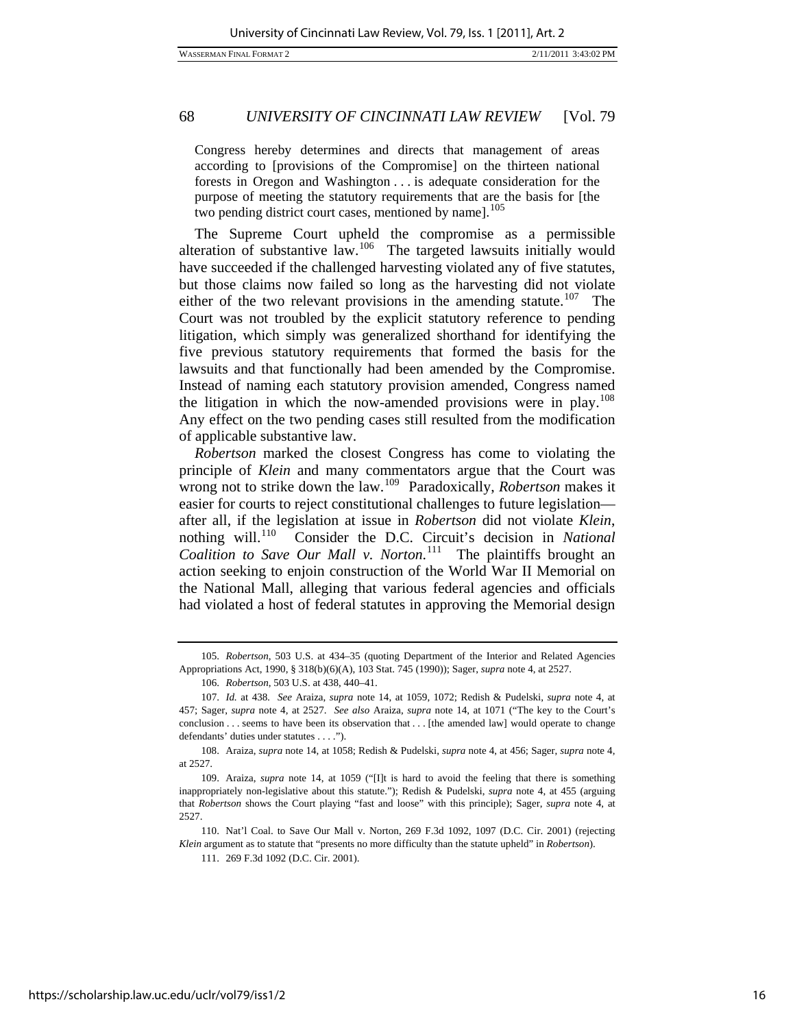Congress hereby determines and directs that management of areas according to [provisions of the Compromise] on the thirteen national forests in Oregon and Washington . . . is adequate consideration for the purpose of meeting the statutory requirements that are the basis for [the two pending district court cases, mentioned by name].<sup>[105](#page-16-0)</sup>

The Supreme Court upheld the compromise as a permissible alteration of substantive law.<sup>[106](#page-16-1)</sup> The targeted lawsuits initially would have succeeded if the challenged harvesting violated any of five statutes, but those claims now failed so long as the harvesting did not violate either of the two relevant provisions in the amending statute.<sup>[107](#page-16-2)</sup> The Court was not troubled by the explicit statutory reference to pending litigation, which simply was generalized shorthand for identifying the five previous statutory requirements that formed the basis for the lawsuits and that functionally had been amended by the Compromise. Instead of naming each statutory provision amended, Congress named the litigation in which the now-amended provisions were in play.<sup>[108](#page-16-3)</sup> Any effect on the two pending cases still resulted from the modification of applicable substantive law.

*Robertson* marked the closest Congress has come to violating the principle of *Klein* and many commentators argue that the Court was wrong not to strike down the law.[109](#page-16-4) Paradoxically, *Robertson* makes it easier for courts to reject constitutional challenges to future legislation after all, if the legislation at issue in *Robertson* did not violate *Klein*, nothing will.[110](#page-16-5) Consider the D.C. Circuit's decision in *National Coalition to Save Our Mall v. Norton*. [111](#page-16-6) The plaintiffs brought an action seeking to enjoin construction of the World War II Memorial on the National Mall, alleging that various federal agencies and officials had violated a host of federal statutes in approving the Memorial design

<span id="page-16-6"></span><span id="page-16-5"></span> 110. Nat'l Coal. to Save Our Mall v. Norton, 269 F.3d 1092, 1097 (D.C. Cir. 2001) (rejecting *Klein* argument as to statute that "presents no more difficulty than the statute upheld" in *Robertson*).

<span id="page-16-0"></span><sup>105.</sup> *Robertson*, 503 U.S. at 434–35 (quoting Department of the Interior and Related Agencies Appropriations Act, 1990, § 318(b)(6)(A), 103 Stat. 745 (1990)); Sager, *supra* note 4, at 2527.

<sup>106.</sup> *Robertson*, 503 U.S. at 438, 440–41.

<span id="page-16-2"></span><span id="page-16-1"></span><sup>107.</sup> *Id.* at 438*. See* Araiza, *supra* note 14, at 1059, 1072; Redish & Pudelski, *supra* note 4, at 457; Sager, *supra* note 4, at 2527. *See also* Araiza, *supra* note 14, at 1071 ("The key to the Court's conclusion . . . seems to have been its observation that . . . [the amended law] would operate to change defendants' duties under statutes . . . .").

<span id="page-16-3"></span> <sup>108.</sup> Araiza, *supra* note 14, at 1058; Redish & Pudelski, *supra* note 4, at 456; Sager, *supra* note 4, at 2527.

<span id="page-16-4"></span> <sup>109.</sup> Araiza, *supra* note 14, at 1059 ("[I]t is hard to avoid the feeling that there is something inappropriately non-legislative about this statute."); Redish & Pudelski, *supra* note 4, at 455 (arguing that *Robertson* shows the Court playing "fast and loose" with this principle); Sager, *supra* note 4, at 2527.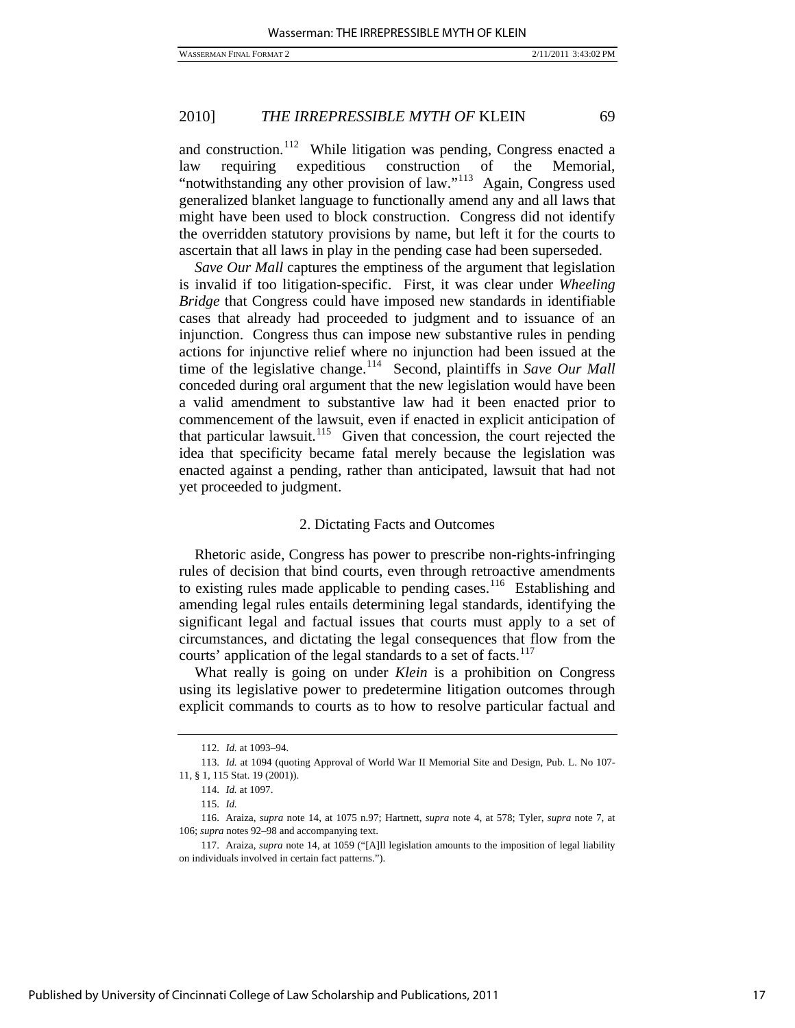and construction.<sup>[112](#page-17-0)</sup> While litigation was pending, Congress enacted a law requiring expeditious construction of the Memorial, "notwithstanding any other provision of law."<sup>[113](#page-17-1)</sup> Again, Congress used generalized blanket language to functionally amend any and all laws that might have been used to block construction. Congress did not identify the overridden statutory provisions by name, but left it for the courts to ascertain that all laws in play in the pending case had been superseded.

*Save Our Mall* captures the emptiness of the argument that legislation is invalid if too litigation-specific. First, it was clear under *Wheeling Bridge* that Congress could have imposed new standards in identifiable cases that already had proceeded to judgment and to issuance of an injunction. Congress thus can impose new substantive rules in pending actions for injunctive relief where no injunction had been issued at the time of the legislative change.<sup>[114](#page-17-2)</sup> Second, plaintiffs in *Save Our Mall* conceded during oral argument that the new legislation would have been a valid amendment to substantive law had it been enacted prior to commencement of the lawsuit, even if enacted in explicit anticipation of that particular lawsuit.<sup>[115](#page-17-3)</sup> Given that concession, the court rejected the idea that specificity became fatal merely because the legislation was enacted against a pending, rather than anticipated, lawsuit that had not yet proceeded to judgment.

# 2. Dictating Facts and Outcomes

Rhetoric aside, Congress has power to prescribe non-rights-infringing rules of decision that bind courts, even through retroactive amendments to existing rules made applicable to pending cases.<sup>[116](#page-17-4)</sup> Establishing and amending legal rules entails determining legal standards, identifying the significant legal and factual issues that courts must apply to a set of circumstances, and dictating the legal consequences that flow from the courts' application of the legal standards to a set of facts.<sup>[117](#page-17-5)</sup>

What really is going on under *Klein* is a prohibition on Congress using its legislative power to predetermine litigation outcomes through explicit commands to courts as to how to resolve particular factual and

<sup>112.</sup> *Id.* at 1093–94.

<span id="page-17-1"></span><span id="page-17-0"></span><sup>113.</sup> *Id.* at 1094 (quoting Approval of World War II Memorial Site and Design, Pub. L. No 107- 11, § 1, 115 Stat. 19 (2001)).

<sup>114.</sup> *Id.* at 1097.

<sup>115.</sup> *Id.*

<span id="page-17-4"></span><span id="page-17-3"></span><span id="page-17-2"></span> <sup>116.</sup> Araiza, *supra* note 14, at 1075 n.97; Hartnett, *supra* note 4, at 578; Tyler, *supra* note 7, at 106; *supra* notes 92–98 and accompanying text.

<span id="page-17-5"></span> <sup>117.</sup> Araiza, *supra* note 14, at 1059 ("[A]ll legislation amounts to the imposition of legal liability on individuals involved in certain fact patterns.").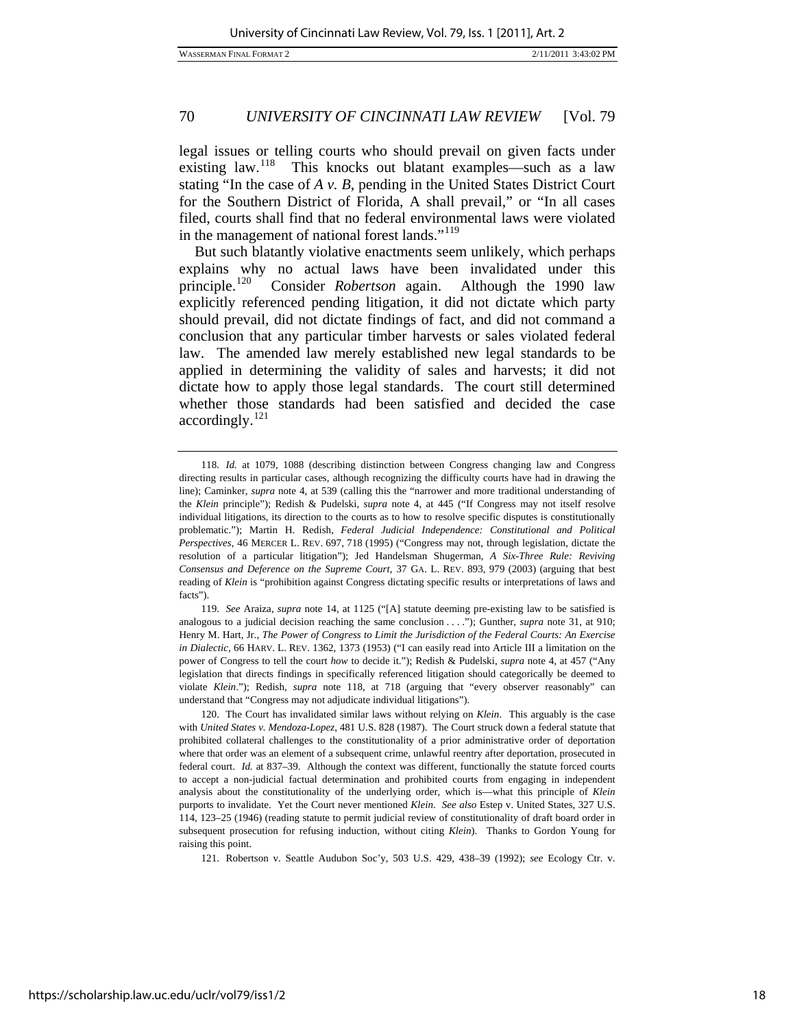in the management of national forest lands."<sup>119</sup> legal issues or telling courts who should prevail on given facts under existing law.<sup>[118](#page-18-0)</sup> This knocks out blatant examples—such as a law stating "In the case of *A v. B*, pending in the United States District Court for the Southern District of Florida, A shall prevail," or "In all cases filed, courts shall find that no federal environmental laws were violated

But such blatantly violative enactments seem unlikely, which perhaps explains why no actual laws have been invalidated under this principle.[120](#page-18-1) Consider *Robertson* again. Although the 1990 law explicitly referenced pending litigation, it did not dictate which party should prevail, did not dictate findings of fact, and did not command a conclusion that any particular timber harvests or sales violated federal law. The amended law merely established new legal standards to be applied in determining the validity of sales and harvests; it did not dictate how to apply those legal standards. The court still determined whether those standards had been satisfied and decided the case  $accordingly.<sup>121</sup>$  $accordingly.<sup>121</sup>$  $accordingly.<sup>121</sup>$ 

<span id="page-18-0"></span> <sup>118.</sup> *Id.* at 1079, 1088 (describing distinction between Congress changing law and Congress directing results in particular cases, although recognizing the difficulty courts have had in drawing the line); Caminker, *supra* note 4, at 539 (calling this the "narrower and more traditional understanding of the *Klein* principle"); Redish & Pudelski, *supra* note 4, at 445 ("If Congress may not itself resolve individual litigations, its direction to the courts as to how to resolve specific disputes is constitutionally problematic."); Martin H. Redish, *Federal Judicial Independence: Constitutional and Political Perspectives*, 46 MERCER L. REV. 697, 718 (1995) ("Congress may not, through legislation, dictate the resolution of a particular litigation"); Jed Handelsman Shugerman, *A Six-Three Rule: Reviving Consensus and Deference on the Supreme Court*, 37 GA. L. REV. 893, 979 (2003) (arguing that best reading of *Klein* is "prohibition against Congress dictating specific results or interpretations of laws and facts").

<sup>119.</sup> *See* Araiza, *supra* note 14, at 1125 ("[A] statute deeming pre-existing law to be satisfied is analogous to a judicial decision reaching the same conclusion . . . ."); Gunther, *supra* note 31, at 910; Henry M. Hart, Jr., *The Power of Congress to Limit the Jurisdiction of the Federal Courts: An Exercise in Dialectic*, 66 HARV. L. REV. 1362, 1373 (1953) ("I can easily read into Article III a limitation on the power of Congress to tell the court *how* to decide it."); Redish & Pudelski, *supra* note 4, at 457 ("Any legislation that directs findings in specifically referenced litigation should categorically be deemed to violate *Klein*."); Redish, *supra* note 118, at 718 (arguing that "every observer reasonably" can understand that "Congress may not adjudicate individual litigations").

<span id="page-18-1"></span> <sup>120.</sup> The Court has invalidated similar laws without relying on *Klein*. This arguably is the case with *United States v. Mendoza-Lopez*, 481 U.S. 828 (1987). The Court struck down a federal statute that prohibited collateral challenges to the constitutionality of a prior administrative order of deportation where that order was an element of a subsequent crime, unlawful reentry after deportation, prosecuted in federal court. *Id.* at 837–39. Although the context was different, functionally the statute forced courts to accept a non-judicial factual determination and prohibited courts from engaging in independent analysis about the constitutionality of the underlying order, which is—what this principle of *Klein* purports to invalidate. Yet the Court never mentioned *Klein*. *See also* Estep v. United States, 327 U.S. 114, 123–25 (1946) (reading statute to permit judicial review of constitutionality of draft board order in subsequent prosecution for refusing induction, without citing *Klein*). Thanks to Gordon Young for raising this point.

<span id="page-18-2"></span><sup>121.</sup> Robertson v. Seattle Audubon Soc'y, 503 U.S. 429, 438–39 (1992); *see* Ecology Ctr. v.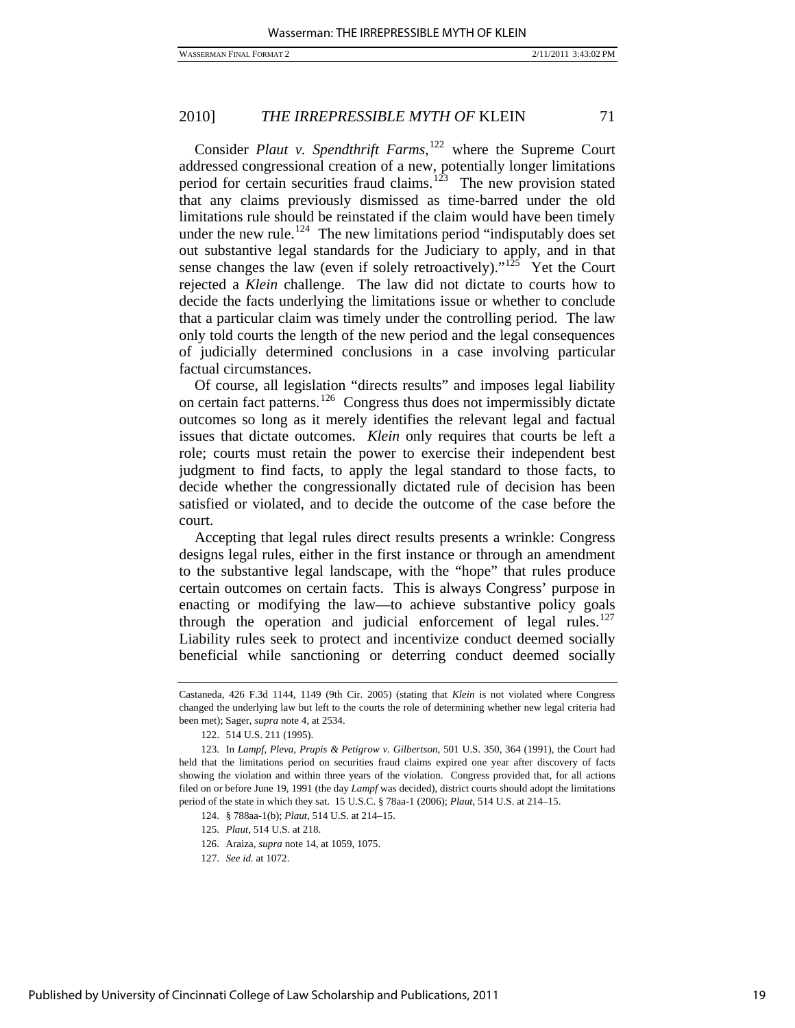Consider *Plaut v. Spendthrift Farms*, [122](#page-19-0) where the Supreme Court addressed congressional creation of a new, potentially longer limitations period for certain securities fraud claims. $123$  The new provision stated that any claims previously dismissed as time-barred under the old limitations rule should be reinstated if the claim would have been timely under the new rule.<sup>[124](#page-19-2)</sup> The new limitations period "indisputably does set out substantive legal standards for the Judiciary to apply, and in that sense changes the law (even if solely retroactively)."<sup>[125](#page-19-3)</sup> Yet the Court rejected a *Klein* challenge. The law did not dictate to courts how to decide the facts underlying the limitations issue or whether to conclude that a particular claim was timely under the controlling period. The law only told courts the length of the new period and the legal consequences of judicially determined conclusions in a case involving particular factual circumstances.

Of course, all legislation "directs results" and imposes legal liability on certain fact patterns.[126](#page-19-4) Congress thus does not impermissibly dictate outcomes so long as it merely identifies the relevant legal and factual issues that dictate outcomes. *Klein* only requires that courts be left a role; courts must retain the power to exercise their independent best judgment to find facts, to apply the legal standard to those facts, to decide whether the congressionally dictated rule of decision has been satisfied or violated, and to decide the outcome of the case before the court.

Accepting that legal rules direct results presents a wrinkle: Congress designs legal rules, either in the first instance or through an amendment to the substantive legal landscape, with the "hope" that rules produce certain outcomes on certain facts. This is always Congress' purpose in enacting or modifying the law—to achieve substantive policy goals through the operation and judicial enforcement of legal rules. $127$ Liability rules seek to protect and incentivize conduct deemed socially beneficial while sanctioning or deterring conduct deemed socially

124. § 788aa-1(b); *Plaut*, 514 U.S. at 214–15.

126. Araiza, *supra* note 14, at 1059, 1075.

Castaneda, 426 F.3d 1144, 1149 (9th Cir. 2005) (stating that *Klein* is not violated where Congress changed the underlying law but left to the courts the role of determining whether new legal criteria had been met); Sager, *supra* note 4, at 2534.

 <sup>122. 514</sup> U.S. 211 (1995).

<span id="page-19-3"></span><span id="page-19-2"></span><span id="page-19-1"></span><span id="page-19-0"></span> <sup>123.</sup> In *Lampf, Pleva, Prupis & Petigrow v. Gilbertson*, 501 U.S. 350, 364 (1991), the Court had held that the limitations period on securities fraud claims expired one year after discovery of facts showing the violation and within three years of the violation. Congress provided that, for all actions filed on or before June 19, 1991 (the day *Lampf* was decided), district courts should adopt the limitations period of the state in which they sat. 15 U.S.C. § 78aa-1 (2006); *Plaut*, 514 U.S. at 214–15.

<sup>125.</sup> *Plaut*, 514 U.S. at 218.

<span id="page-19-5"></span><span id="page-19-4"></span><sup>127.</sup> *See id.* at 1072.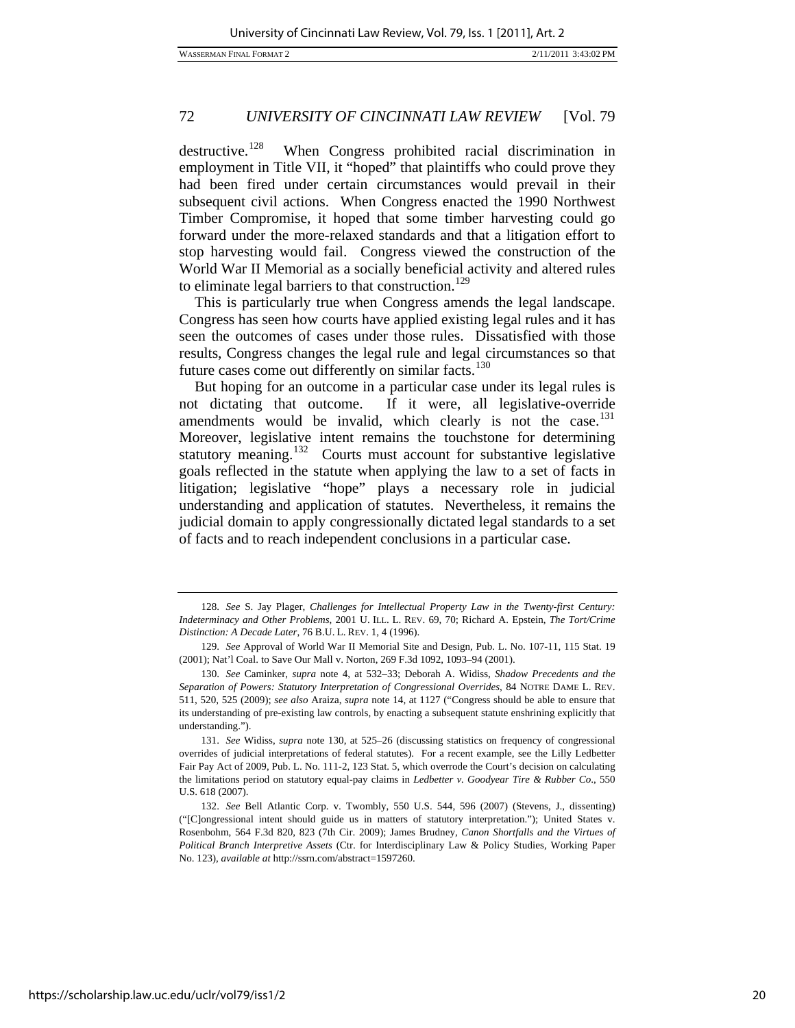WASSERMAN FINAL FORMAT 2 2/11/2011 3:43:02 PM

# 72 *UNIVERSITY OF CINCINNATI LAW REVIEW* [Vol. 79

destructive.<sup>[128](#page-20-0)</sup> When Congress prohibited racial discrimination in employment in Title VII, it "hoped" that plaintiffs who could prove they had been fired under certain circumstances would prevail in their subsequent civil actions. When Congress enacted the 1990 Northwest Timber Compromise, it hoped that some timber harvesting could go forward under the more-relaxed standards and that a litigation effort to stop harvesting would fail. Congress viewed the construction of the World War II Memorial as a socially beneficial activity and altered rules to eliminate legal barriers to that construction.<sup>[129](#page-20-1)</sup>

This is particularly true when Congress amends the legal landscape. Congress has seen how courts have applied existing legal rules and it has seen the outcomes of cases under those rules. Dissatisfied with those results, Congress changes the legal rule and legal circumstances so that future cases come out differently on similar facts. $130$ 

But hoping for an outcome in a particular case under its legal rules is not dictating that outcome. If it were, all legislative-override amendments would be invalid, which clearly is not the case. $131$ Moreover, legislative intent remains the touchstone for determining statutory meaning.<sup>[132](#page-20-4)</sup> Courts must account for substantive legislative goals reflected in the statute when applying the law to a set of facts in litigation; legislative "hope" plays a necessary role in judicial understanding and application of statutes. Nevertheless, it remains the judicial domain to apply congressionally dictated legal standards to a set of facts and to reach independent conclusions in a particular case.

<span id="page-20-0"></span><sup>128.</sup> *See* S. Jay Plager, *Challenges for Intellectual Property Law in the Twenty-first Century: Indeterminacy and Other Problems*, 2001 U. ILL. L. REV. 69, 70; Richard A. Epstein, *The Tort/Crime Distinction: A Decade Later*, 76 B.U. L. REV. 1, 4 (1996).

<span id="page-20-1"></span><sup>129.</sup> *See* Approval of World War II Memorial Site and Design, Pub. L. No. 107-11, 115 Stat. 19 (2001); Nat'l Coal. to Save Our Mall v. Norton, 269 F.3d 1092, 1093–94 (2001).

<span id="page-20-2"></span><sup>130.</sup> *See* Caminker, *supra* note 4, at 532–33; Deborah A. Widiss, *Shadow Precedents and the Separation of Powers: Statutory Interpretation of Congressional Overrides*, 84 NOTRE DAME L. REV. 511, 520, 525 (2009); *see also* Araiza, *supra* note 14, at 1127 ("Congress should be able to ensure that its understanding of pre-existing law controls, by enacting a subsequent statute enshrining explicitly that understanding.").

<span id="page-20-3"></span><sup>131.</sup> *See* Widiss, *supra* note 130, at 525–26 (discussing statistics on frequency of congressional overrides of judicial interpretations of federal statutes). For a recent example, see the Lilly Ledbetter Fair Pay Act of 2009, Pub. L. No. 111-2, 123 Stat. 5, which overrode the Court's decision on calculating the limitations period on statutory equal-pay claims in *Ledbetter v. Goodyear Tire & Rubber Co*., 550 U.S. 618 (2007).

<span id="page-20-4"></span><sup>132.</sup> *See* Bell Atlantic Corp. v. Twombly, 550 U.S. 544, 596 (2007) (Stevens, J., dissenting) ("[C]ongressional intent should guide us in matters of statutory interpretation."); United States v. Rosenbohm, 564 F.3d 820, 823 (7th Cir. 2009); James Brudney, *Canon Shortfalls and the Virtues of Political Branch Interpretive Assets* (Ctr. for Interdisciplinary Law & Policy Studies, Working Paper No. 123), *available at* http://ssrn.com/abstract=1597260.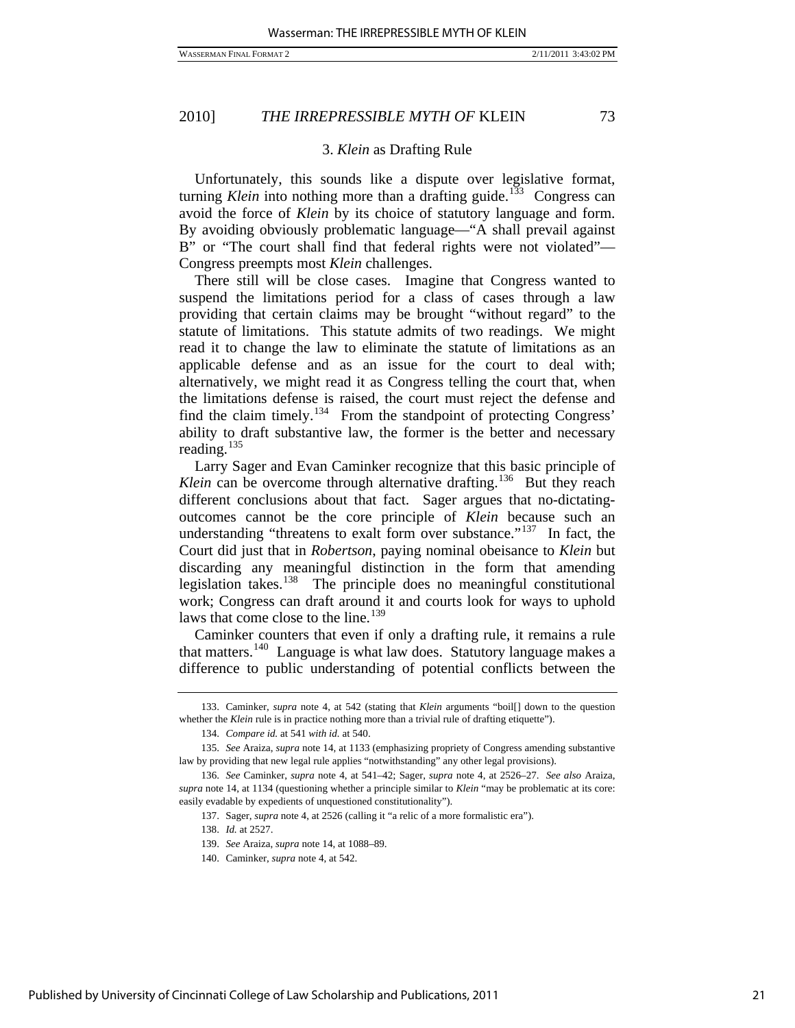### 3. *Klein* as Drafting Rule

Unfortunately, this sounds like a dispute over legislative format, turning *Klein* into nothing more than a drafting guide.<sup>[133](#page-21-0)</sup> Congress can avoid the force of *Klein* by its choice of statutory language and form. By avoiding obviously problematic language—"A shall prevail against B" or "The court shall find that federal rights were not violated"— Congress preempts most *Klein* challenges.

There still will be close cases. Imagine that Congress wanted to suspend the limitations period for a class of cases through a law providing that certain claims may be brought "without regard" to the statute of limitations. This statute admits of two readings. We might read it to change the law to eliminate the statute of limitations as an applicable defense and as an issue for the court to deal with; alternatively, we might read it as Congress telling the court that, when the limitations defense is raised, the court must reject the defense and find the claim timely.<sup>[134](#page-21-1)</sup> From the standpoint of protecting Congress' ability to draft substantive law, the former is the better and necessary reading.<sup>[135](#page-21-2)</sup>

Larry Sager and Evan Caminker recognize that this basic principle of *Klein* can be overcome through alternative drafting.<sup>[136](#page-21-3)</sup> But they reach different conclusions about that fact. Sager argues that no-dictatingoutcomes cannot be the core principle of *Klein* because such an understanding "threatens to exalt form over substance."<sup>[137](#page-21-4)</sup> In fact, the Court did just that in *Robertson*, paying nominal obeisance to *Klein* but discarding any meaningful distinction in the form that amending legislation takes.<sup>[138](#page-21-5)</sup> The principle does no meaningful constitutional work; Congress can draft around it and courts look for ways to uphold laws that come close to the line.<sup>[139](#page-21-6)</sup>

Caminker counters that even if only a drafting rule, it remains a rule that matters.[140](#page-21-7) Language is what law does. Statutory language makes a difference to public understanding of potential conflicts between the

137. Sager, *supra* note 4, at 2526 (calling it "a relic of a more formalistic era").

138. *Id.* at 2527.

<span id="page-21-0"></span> <sup>133.</sup> Caminker, *supra* note 4, at 542 (stating that *Klein* arguments "boil[] down to the question whether the *Klein* rule is in practice nothing more than a trivial rule of drafting etiquette").

<sup>134.</sup> *Compare id.* at 541 *with id.* at 540.

<span id="page-21-2"></span><span id="page-21-1"></span><sup>135.</sup> *See* Araiza, *supra* note 14, at 1133 (emphasizing propriety of Congress amending substantive law by providing that new legal rule applies "notwithstanding" any other legal provisions).

<span id="page-21-7"></span><span id="page-21-6"></span><span id="page-21-5"></span><span id="page-21-4"></span><span id="page-21-3"></span><sup>136.</sup> *See* Caminker, *supra* note 4, at 541–42; Sager, *supra* note 4, at 2526–27. *See also* Araiza, *supra* note 14, at 1134 (questioning whether a principle similar to *Klein* "may be problematic at its core: easily evadable by expedients of unquestioned constitutionality").

<sup>139.</sup> *See* Araiza, *supra* note 14, at 1088–89.

 <sup>140.</sup> Caminker, *supra* note 4, at 542.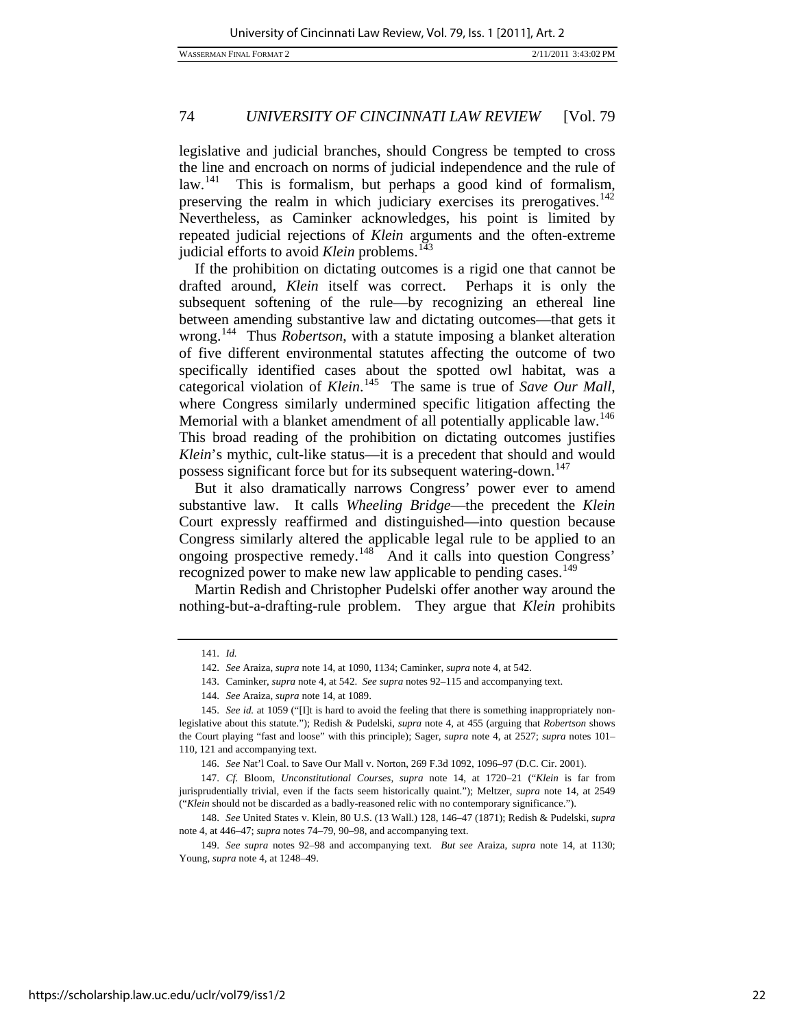legislative and judicial branches, should Congress be tempted to cross the line and encroach on norms of judicial independence and the rule of law.<sup>[141](#page-22-0)</sup> This is formalism, but perhaps a good kind of formalism, preserving the realm in which judiciary exercises its prerogatives.<sup>[142](#page-22-1)</sup> Nevertheless, as Caminker acknowledges, his point is limited by repeated judicial rejections of *Klein* arguments and the often-extreme judicial efforts to avoid *Klein* problems.<sup>[143](#page-22-2)</sup>

If the prohibition on dictating outcomes is a rigid one that cannot be drafted around, *Klein* itself was correct. Perhaps it is only the subsequent softening of the rule—by recognizing an ethereal line between amending substantive law and dictating outcomes—that gets it wrong.<sup>[144](#page-22-3)</sup> Thus *Robertson*, with a statute imposing a blanket alteration of five different environmental statutes affecting the outcome of two specifically identified cases about the spotted owl habitat, was a categorical violation of *Klein*. [145](#page-22-4) The same is true of *Save Our Mall*, where Congress similarly undermined specific litigation affecting the Memorial with a blanket amendment of all potentially applicable law.<sup>[146](#page-22-5)</sup> This broad reading of the prohibition on dictating outcomes justifies *Klein*'s mythic, cult-like status—it is a precedent that should and would possess significant force but for its subsequent watering-down.<sup>[147](#page-22-6)</sup>

But it also dramatically narrows Congress' power ever to amend substantive law. It calls *Wheeling Bridge*—the precedent the *Klein* Court expressly reaffirmed and distinguished—into question because Congress similarly altered the applicable legal rule to be applied to an ongoing prospective remedy.<sup>[148](#page-22-7)</sup> And it calls into question Congress' recognized power to make new law applicable to pending cases.<sup>[149](#page-22-8)</sup>

Martin Redish and Christopher Pudelski offer another way around the nothing-but-a-drafting-rule problem. They argue that *Klein* prohibits

 <sup>141.</sup> *Id.*

<sup>142.</sup> *See* Araiza, *supra* note 14, at 1090, 1134; Caminker, *supra* note 4, at 542.

 <sup>143.</sup> Caminker, *supra* note 4, at 542. *See supra* notes 92–115 and accompanying text.

<sup>144.</sup> *See* Araiza, *supra* note 14, at 1089.

<span id="page-22-4"></span><span id="page-22-3"></span><span id="page-22-2"></span><span id="page-22-1"></span><span id="page-22-0"></span><sup>145.</sup> *See id.* at 1059 ("[I]t is hard to avoid the feeling that there is something inappropriately nonlegislative about this statute."); Redish & Pudelski, *supra* note 4, at 455 (arguing that *Robertson* shows the Court playing "fast and loose" with this principle); Sager, *supra* note 4, at 2527; *supra* notes 101– 110, 121 and accompanying text.

<sup>146.</sup> *See* Nat'l Coal. to Save Our Mall v. Norton, 269 F.3d 1092, 1096–97 (D.C. Cir. 2001).

<span id="page-22-6"></span><span id="page-22-5"></span><sup>147.</sup> *Cf.* Bloom, *Unconstitutional Courses*, *supra* note 14, at 1720–21 ("*Klein* is far from jurisprudentially trivial, even if the facts seem historically quaint."); Meltzer, *supra* note 14, at 2549 ("*Klein* should not be discarded as a badly-reasoned relic with no contemporary significance.").

<span id="page-22-7"></span><sup>148.</sup> *See* United States v. Klein, 80 U.S. (13 Wall.) 128, 146–47 (1871); Redish & Pudelski, *supra* note 4, at 446–47; *supra* notes 74–79, 90–98, and accompanying text.

<span id="page-22-8"></span><sup>149.</sup> *See supra* notes 92–98 and accompanying text*. But see* Araiza, *supra* note 14, at 1130; Young, *supra* note 4, at 1248–49.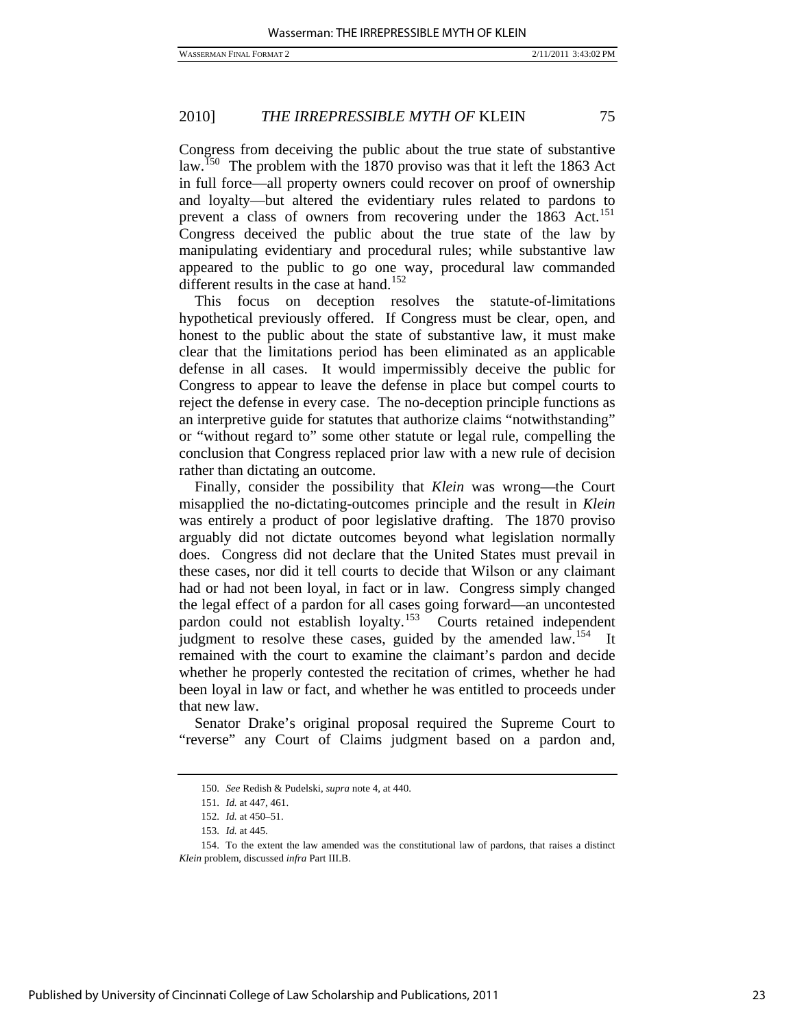Congress from deceiving the public about the true state of substantive law.<sup>[150](#page-23-0)</sup> The problem with the 1870 proviso was that it left the 1863 Act in full force—all property owners could recover on proof of ownership and loyalty—but altered the evidentiary rules related to pardons to prevent a class of owners from recovering under the 1863 Act.<sup>[151](#page-23-1)</sup> Congress deceived the public about the true state of the law by manipulating evidentiary and procedural rules; while substantive law appeared to the public to go one way, procedural law commanded different results in the case at hand.<sup>[152](#page-23-2)</sup>

This focus on deception resolves the statute-of-limitations hypothetical previously offered. If Congress must be clear, open, and honest to the public about the state of substantive law, it must make clear that the limitations period has been eliminated as an applicable defense in all cases. It would impermissibly deceive the public for Congress to appear to leave the defense in place but compel courts to reject the defense in every case. The no-deception principle functions as an interpretive guide for statutes that authorize claims "notwithstanding" or "without regard to" some other statute or legal rule, compelling the conclusion that Congress replaced prior law with a new rule of decision rather than dictating an outcome.

Finally, consider the possibility that *Klein* was wrong—the Court misapplied the no-dictating-outcomes principle and the result in *Klein* was entirely a product of poor legislative drafting. The 1870 proviso arguably did not dictate outcomes beyond what legislation normally does. Congress did not declare that the United States must prevail in these cases, nor did it tell courts to decide that Wilson or any claimant had or had not been loyal, in fact or in law. Congress simply changed the legal effect of a pardon for all cases going forward—an uncontested pardon could not establish loyalty.<sup>153</sup> Courts retained independent pardon could not establish loyalty.<sup>[153](#page-23-3)</sup> judgment to resolve these cases, guided by the amended law.<sup>[154](#page-23-4)</sup> It remained with the court to examine the claimant's pardon and decide whether he properly contested the recitation of crimes, whether he had been loyal in law or fact, and whether he was entitled to proceeds under that new law.

Senator Drake's original proposal required the Supreme Court to "reverse" any Court of Claims judgment based on a pardon and,

<sup>150.</sup> *See* Redish & Pudelski, *supra* note 4, at 440.

 <sup>151.</sup> *Id.* at 447, 461.

 <sup>152.</sup> *Id.* at 450–51.

 <sup>153.</sup> *Id.* at 445.

<span id="page-23-4"></span><span id="page-23-3"></span><span id="page-23-2"></span><span id="page-23-1"></span><span id="page-23-0"></span> <sup>154.</sup> To the extent the law amended was the constitutional law of pardons, that raises a distinct *Klein* problem, discussed *infra* Part III.B.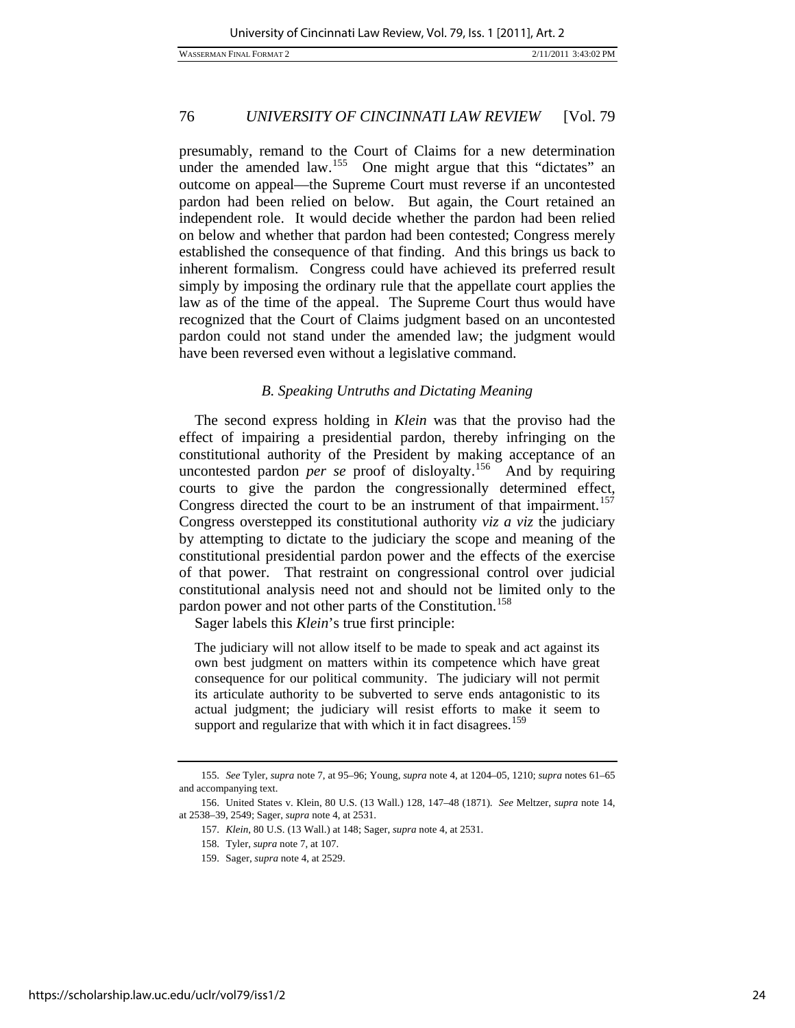presumably, remand to the Court of Claims for a new determination under the amended law.<sup>[155](#page-24-0)</sup> One might argue that this "dictates" an outcome on appeal—the Supreme Court must reverse if an uncontested pardon had been relied on below. But again, the Court retained an independent role. It would decide whether the pardon had been relied on below and whether that pardon had been contested; Congress merely established the consequence of that finding. And this brings us back to inherent formalism. Congress could have achieved its preferred result simply by imposing the ordinary rule that the appellate court applies the law as of the time of the appeal. The Supreme Court thus would have recognized that the Court of Claims judgment based on an uncontested pardon could not stand under the amended law; the judgment would have been reversed even without a legislative command.

#### *B. Speaking Untruths and Dictating Meaning*

The second express holding in *Klein* was that the proviso had the effect of impairing a presidential pardon, thereby infringing on the constitutional authority of the President by making acceptance of an uncontested pardon *per se* proof of disloyalty.<sup>[156](#page-24-1)</sup> And by requiring courts to give the pardon the congressionally determined effect, Congress directed the court to be an instrument of that impairment.<sup>[157](#page-24-2)</sup> Congress overstepped its constitutional authority *viz a viz* the judiciary by attempting to dictate to the judiciary the scope and meaning of the constitutional presidential pardon power and the effects of the exercise of that power. That restraint on congressional control over judicial constitutional analysis need not and should not be limited only to the pardon power and not other parts of the Constitution.<sup>[158](#page-24-3)</sup>

Sager labels this *Klein*'s true first principle:

The judiciary will not allow itself to be made to speak and act against its own best judgment on matters within its competence which have great consequence for our political community. The judiciary will not permit its articulate authority to be subverted to serve ends antagonistic to its actual judgment; the judiciary will resist efforts to make it seem to support and regularize that with which it in fact disagrees.<sup>[159](#page-24-4)</sup>

<span id="page-24-0"></span><sup>155.</sup> *See* Tyler, *supra* note 7, at 95–96; Young, *supra* note 4, at 1204–05, 1210; *supra* notes 61–65 and accompanying text.

<span id="page-24-4"></span><span id="page-24-3"></span><span id="page-24-2"></span><span id="page-24-1"></span> <sup>156.</sup> United States v. Klein, 80 U.S. (13 Wall.) 128, 147–48 (1871). *See* Meltzer, *supra* note 14, at 2538–39, 2549; Sager, *supra* note 4, at 2531.

<sup>157.</sup> *Klein*, 80 U.S. (13 Wall.) at 148; Sager, *supra* note 4, at 2531.

 <sup>158.</sup> Tyler, *supra* note 7, at 107.

 <sup>159.</sup> Sager, *supra* note 4, at 2529.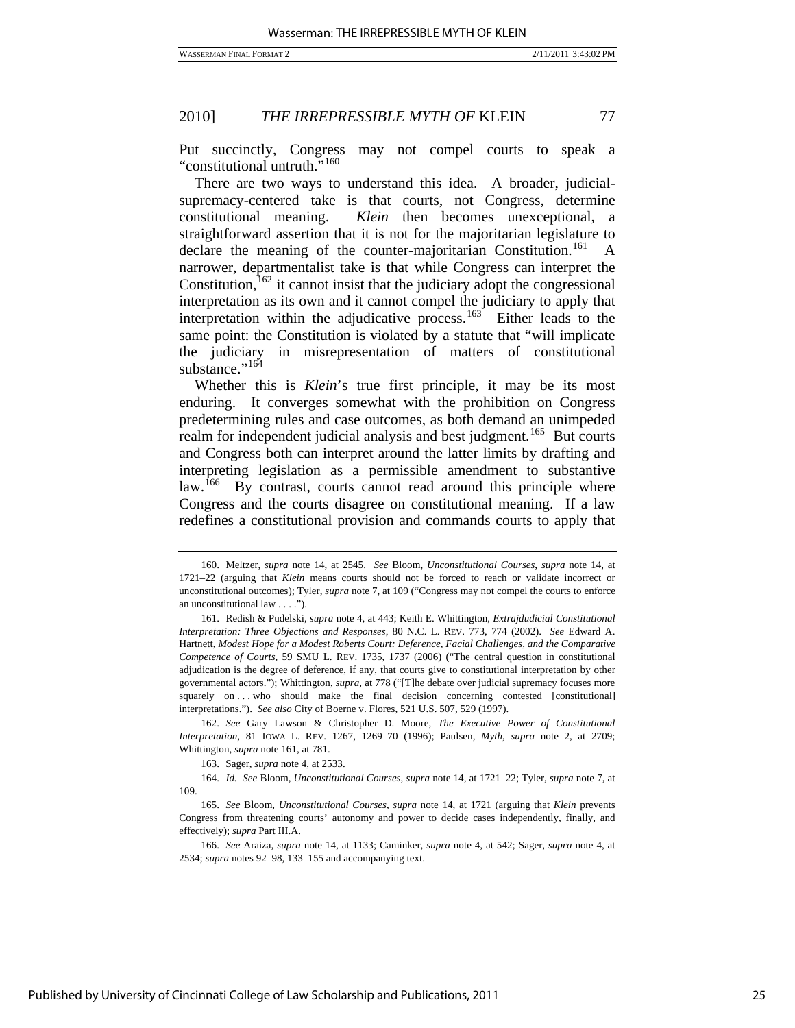Put succinctly, Congress may not compel courts to speak a "constitutional untruth."<sup>[160](#page-25-0)</sup>

There are two ways to understand this idea. A broader, judicialsupremacy-centered take is that courts, not Congress, determine constitutional meaning. *Klein* then becomes unexceptional, a straightforward assertion that it is not for the majoritarian legislature to declare the meaning of the counter-majoritarian Constitution.<sup>[161](#page-25-1)</sup> A narrower, departmentalist take is that while Congress can interpret the Constitution,  $162$  it cannot insist that the judiciary adopt the congressional interpretation as its own and it cannot compel the judiciary to apply that interpretation within the adjudicative process.<sup>[163](#page-25-3)</sup> Either leads to the same point: the Constitution is violated by a statute that "will implicate the judiciary in misrepresentation of matters of constitutional substance."<sup>[164](#page-25-4)</sup>

Whether this is *Klein*'s true first principle, it may be its most enduring. It converges somewhat with the prohibition on Congress predetermining rules and case outcomes, as both demand an unimpeded realm for independent judicial analysis and best judgment.<sup>[165](#page-25-5)</sup> But courts and Congress both can interpret around the latter limits by drafting and interpreting legislation as a permissible amendment to substantive law.<sup>[166](#page-25-6)</sup> By contrast, courts cannot read around this principle where Congress and the courts disagree on constitutional meaning. If a law redefines a constitutional provision and commands courts to apply that

<span id="page-25-2"></span>162. *See* Gary Lawson & Christopher D. Moore, *The Executive Power of Constitutional Interpretation*, 81 IOWA L. REV. 1267, 1269–70 (1996); Paulsen, *Myth*, *supra* note 2, at 2709; Whittington, *supra* note 161, at 781.

163. Sager, *supra* note 4, at 2533.

<span id="page-25-4"></span><span id="page-25-3"></span>164. *Id. See* Bloom, *Unconstitutional Courses*, *supra* note 14, at 1721–22; Tyler, *supra* note 7, at 109.

<span id="page-25-5"></span>165. *See* Bloom, *Unconstitutional Courses*, *supra* note 14, at 1721 (arguing that *Klein* prevents Congress from threatening courts' autonomy and power to decide cases independently, finally, and effectively); *supra* Part III.A.

<span id="page-25-0"></span> <sup>160.</sup> Meltzer, *supra* note 14, at 2545. *See* Bloom, *Unconstitutional Courses*, *supra* note 14, at 1721–22 (arguing that *Klein* means courts should not be forced to reach or validate incorrect or unconstitutional outcomes); Tyler, *supra* note 7, at 109 ("Congress may not compel the courts to enforce an unconstitutional law . . . .").

<span id="page-25-1"></span> <sup>161.</sup> Redish & Pudelski, *supra* note 4, at 443; Keith E. Whittington, *Extrajdudicial Constitutional Interpretation: Three Objections and Responses*, 80 N.C. L. REV. 773, 774 (2002). *See* Edward A. Hartnett, *Modest Hope for a Modest Roberts Court: Deference, Facial Challenges, and the Comparative Competence of Courts*, 59 SMU L. REV. 1735, 1737 (2006) ("The central question in constitutional adjudication is the degree of deference, if any, that courts give to constitutional interpretation by other governmental actors."); Whittington, *supra*, at 778 ("[T]he debate over judicial supremacy focuses more squarely on . . . who should make the final decision concerning contested [constitutional] interpretations."). *See also* City of Boerne v. Flores, 521 U.S. 507, 529 (1997).

<span id="page-25-6"></span><sup>166.</sup> *See* Araiza, *supra* note 14, at 1133; Caminker, *supra* note 4, at 542; Sager, *supra* note 4, at 2534; *supra* notes 92–98, 133–155 and accompanying text.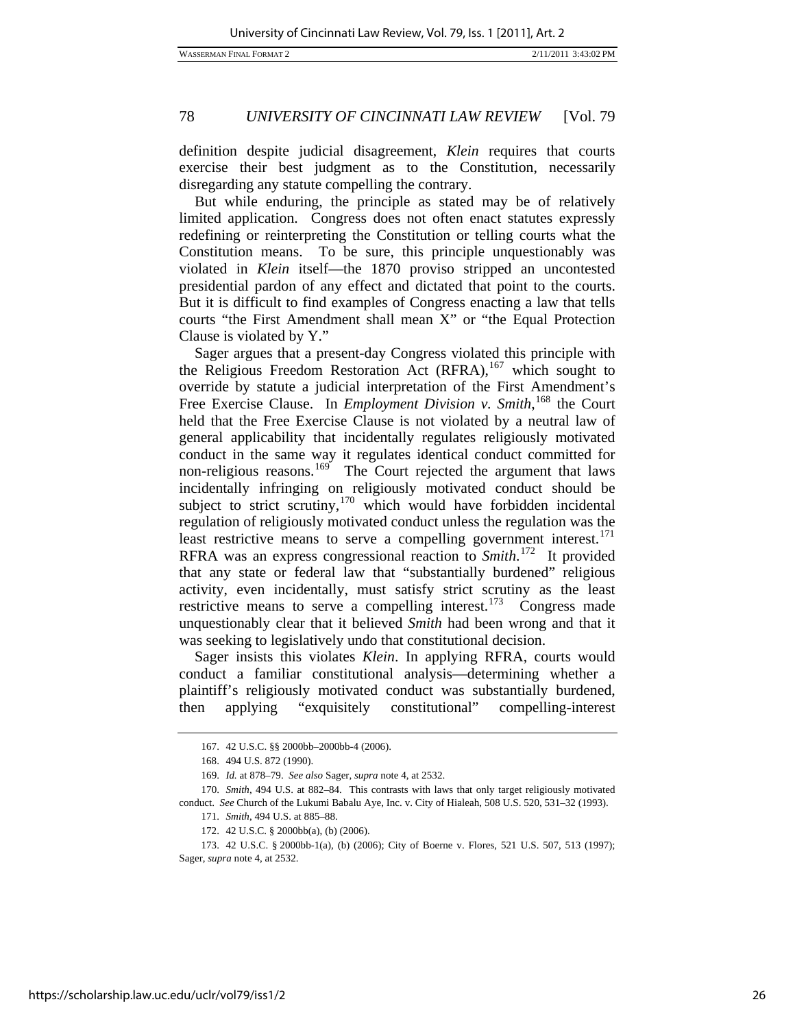definition despite judicial disagreement, *Klein* requires that courts exercise their best judgment as to the Constitution, necessarily disregarding any statute compelling the contrary.

But while enduring, the principle as stated may be of relatively limited application. Congress does not often enact statutes expressly redefining or reinterpreting the Constitution or telling courts what the Constitution means. To be sure, this principle unquestionably was violated in *Klein* itself—the 1870 proviso stripped an uncontested presidential pardon of any effect and dictated that point to the courts. But it is difficult to find examples of Congress enacting a law that tells courts "the First Amendment shall mean X" or "the Equal Protection Clause is violated by Y."

Sager argues that a present-day Congress violated this principle with the Religious Freedom Restoration Act (RFRA),<sup>[167](#page-26-0)</sup> which sought to override by statute a judicial interpretation of the First Amendment's Free Exercise Clause. In *Employment Division v. Smith*, [168](#page-26-1) the Court held that the Free Exercise Clause is not violated by a neutral law of general applicability that incidentally regulates religiously motivated conduct in the same way it regulates identical conduct committed for non-religious reasons.<sup>[169](#page-26-2)</sup> The Court rejected the argument that laws incidentally infringing on religiously motivated conduct should be subject to strict scrutiny, $170$  which would have forbidden incidental regulation of religiously motivated conduct unless the regulation was the least restrictive means to serve a compelling government interest. $^{171}$  $^{171}$  $^{171}$ RFRA was an express congressional reaction to *Smith*. [172](#page-26-5) It provided that any state or federal law that "substantially burdened" religious activity, even incidentally, must satisfy strict scrutiny as the least restrictive means to serve a compelling interest.<sup>[173](#page-26-6)</sup> Congress made unquestionably clear that it believed *Smith* had been wrong and that it was seeking to legislatively undo that constitutional decision.

Sager insists this violates *Klein*. In applying RFRA, courts would conduct a familiar constitutional analysis—determining whether a plaintiff's religiously motivated conduct was substantially burdened, then applying "exquisitely constitutional" compelling-interest

 <sup>167. 42</sup> U.S.C. §§ 2000bb–2000bb-4 (2006).

 <sup>168. 494</sup> U.S. 872 (1990).

<sup>169.</sup> *Id.* at 878–79. *See also* Sager, *supra* note 4, at 2532.

<span id="page-26-4"></span><span id="page-26-3"></span><span id="page-26-2"></span><span id="page-26-1"></span><span id="page-26-0"></span><sup>170.</sup> *Smith*, 494 U.S. at 882–84. This contrasts with laws that only target religiously motivated conduct. *See* Church of the Lukumi Babalu Aye, Inc. v. City of Hialeah, 508 U.S. 520, 531–32 (1993).

<sup>171.</sup> *Smith*, 494 U.S. at 885–88.

 <sup>172. 42</sup> U.S.C. § 2000bb(a), (b) (2006).

<span id="page-26-6"></span><span id="page-26-5"></span> <sup>173. 42</sup> U.S.C. § 2000bb-1(a), (b) (2006); City of Boerne v. Flores, 521 U.S. 507, 513 (1997); Sager, *supra* note 4, at 2532.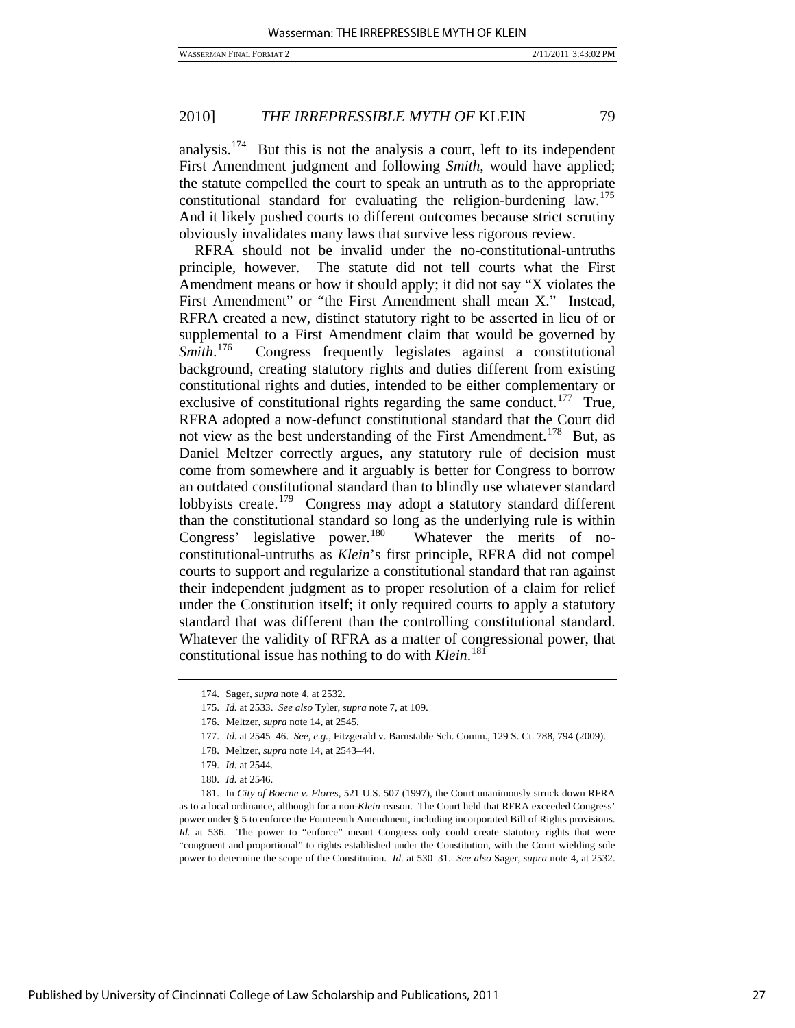analysis.<sup>[174](#page-27-0)</sup> But this is not the analysis a court, left to its independent First Amendment judgment and following *Smith*, would have applied; the statute compelled the court to speak an untruth as to the appropriate constitutional standard for evaluating the religion-burdening law.[175](#page-27-1) And it likely pushed courts to different outcomes because strict scrutiny obviously invalidates many laws that survive less rigorous review.

RFRA should not be invalid under the no-constitutional-untruths principle, however. The statute did not tell courts what the First Amendment means or how it should apply; it did not say "X violates the First Amendment" or "the First Amendment shall mean X." Instead, RFRA created a new, distinct statutory right to be asserted in lieu of or supplemental to a First Amendment claim that would be governed by *Smith*. [176](#page-27-2) Congress frequently legislates against a constitutional background, creating statutory rights and duties different from existing constitutional rights and duties, intended to be either complementary or exclusive of constitutional rights regarding the same conduct.<sup>[177](#page-27-3)</sup> True, RFRA adopted a now-defunct constitutional standard that the Court did not view as the best understanding of the First Amendment.<sup>[178](#page-27-4)</sup> But, as Daniel Meltzer correctly argues, any statutory rule of decision must come from somewhere and it arguably is better for Congress to borrow an outdated constitutional standard than to blindly use whatever standard lobbyists create.<sup>[179](#page-27-5)</sup> Congress may adopt a statutory standard different than the constitutional standard so long as the underlying rule is within Congress' legislative power.<sup>[180](#page-27-6)</sup> Whatever the merits of noconstitutional-untruths as *Klein*'s first principle, RFRA did not compel courts to support and regularize a constitutional standard that ran against their independent judgment as to proper resolution of a claim for relief under the Constitution itself; it only required courts to apply a statutory standard that was different than the controlling constitutional standard. Whatever the validity of RFRA as a matter of congressional power, that constitutional issue has nothing to do with *Klein*. [181](#page-27-7)

178. Meltzer, *supra* note 14, at 2543–44.

 <sup>174.</sup> Sager, *supra* note 4, at 2532.

 <sup>175.</sup> *Id.* at 2533. *See also* Tyler, *supra* note 7, at 109.

<span id="page-27-0"></span> <sup>176.</sup> Meltzer, *supra* note 14, at 2545.

<sup>177.</sup> *Id.* at 2545–46. *See, e.g.*, Fitzgerald v. Barnstable Sch. Comm., 129 S. Ct. 788, 794 (2009).

<sup>179.</sup> *Id.* at 2544.

<sup>180.</sup> *Id.* at 2546.

<span id="page-27-7"></span><span id="page-27-6"></span><span id="page-27-5"></span><span id="page-27-4"></span><span id="page-27-3"></span><span id="page-27-2"></span><span id="page-27-1"></span> <sup>181.</sup> In *City of Boerne v. Flores*, 521 U.S. 507 (1997), the Court unanimously struck down RFRA as to a local ordinance, although for a non-*Klein* reason. The Court held that RFRA exceeded Congress' power under § 5 to enforce the Fourteenth Amendment, including incorporated Bill of Rights provisions. *Id.* at 536. The power to "enforce" meant Congress only could create statutory rights that were "congruent and proportional" to rights established under the Constitution, with the Court wielding sole power to determine the scope of the Constitution. *Id.* at 530–31. *See also* Sager, *supra* note 4, at 2532.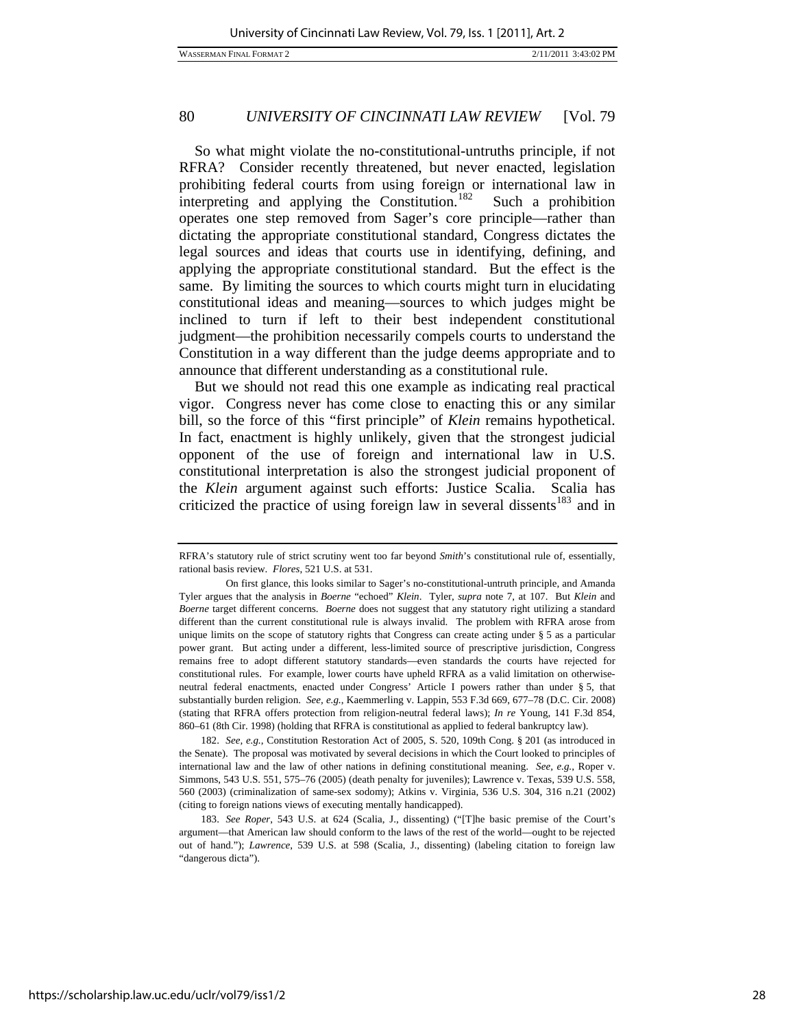WASSERMAN FINAL FORMAT 2 2/11/2011 3:43:02 PM

# 80 *UNIVERSITY OF CINCINNATI LAW REVIEW* [Vol. 79

So what might violate the no-constitutional-untruths principle, if not RFRA? Consider recently threatened, but never enacted, legislation prohibiting federal courts from using foreign or international law in interpreting and applying the Constitution.<sup>[182](#page-28-0)</sup> Such a prohibition operates one step removed from Sager's core principle—rather than dictating the appropriate constitutional standard, Congress dictates the legal sources and ideas that courts use in identifying, defining, and applying the appropriate constitutional standard. But the effect is the same. By limiting the sources to which courts might turn in elucidating constitutional ideas and meaning—sources to which judges might be inclined to turn if left to their best independent constitutional judgment—the prohibition necessarily compels courts to understand the Constitution in a way different than the judge deems appropriate and to announce that different understanding as a constitutional rule.

But we should not read this one example as indicating real practical vigor. Congress never has come close to enacting this or any similar bill, so the force of this "first principle" of *Klein* remains hypothetical. In fact, enactment is highly unlikely, given that the strongest judicial opponent of the use of foreign and international law in U.S. constitutional interpretation is also the strongest judicial proponent of the *Klein* argument against such efforts: Justice Scalia. Scalia has criticized the practice of using foreign law in several dissents<sup>[183](#page-28-1)</sup> and in

<span id="page-28-0"></span>182. *See, e.g.*, Constitution Restoration Act of 2005, S. 520, 109th Cong. § 201 (as introduced in the Senate). The proposal was motivated by several decisions in which the Court looked to principles of international law and the law of other nations in defining constitutional meaning. *See, e.g.*, Roper v. Simmons, 543 U.S. 551, 575–76 (2005) (death penalty for juveniles); Lawrence v. Texas, 539 U.S. 558, 560 (2003) (criminalization of same-sex sodomy); Atkins v. Virginia, 536 U.S. 304, 316 n.21 (2002) (citing to foreign nations views of executing mentally handicapped).

RFRA's statutory rule of strict scrutiny went too far beyond *Smith*'s constitutional rule of, essentially, rational basis review. *Flores*, 521 U.S. at 531.

On first glance, this looks similar to Sager's no-constitutional-untruth principle, and Amanda Tyler argues that the analysis in *Boerne* "echoed" *Klein*. Tyler, *supra* note 7, at 107. But *Klein* and *Boerne* target different concerns. *Boerne* does not suggest that any statutory right utilizing a standard different than the current constitutional rule is always invalid. The problem with RFRA arose from unique limits on the scope of statutory rights that Congress can create acting under § 5 as a particular power grant. But acting under a different, less-limited source of prescriptive jurisdiction, Congress remains free to adopt different statutory standards—even standards the courts have rejected for constitutional rules. For example, lower courts have upheld RFRA as a valid limitation on otherwiseneutral federal enactments, enacted under Congress' Article I powers rather than under § 5, that substantially burden religion. *See, e.g.*, Kaemmerling v. Lappin, 553 F.3d 669, 677–78 (D.C. Cir. 2008) (stating that RFRA offers protection from religion-neutral federal laws); *In re* Young, 141 F.3d 854, 860–61 (8th Cir. 1998) (holding that RFRA is constitutional as applied to federal bankruptcy law).

<span id="page-28-1"></span><sup>183.</sup> *See Roper*, 543 U.S. at 624 (Scalia, J., dissenting) ("[T]he basic premise of the Court's argument—that American law should conform to the laws of the rest of the world—ought to be rejected out of hand."); *Lawrence*, 539 U.S. at 598 (Scalia, J., dissenting) (labeling citation to foreign law "dangerous dicta").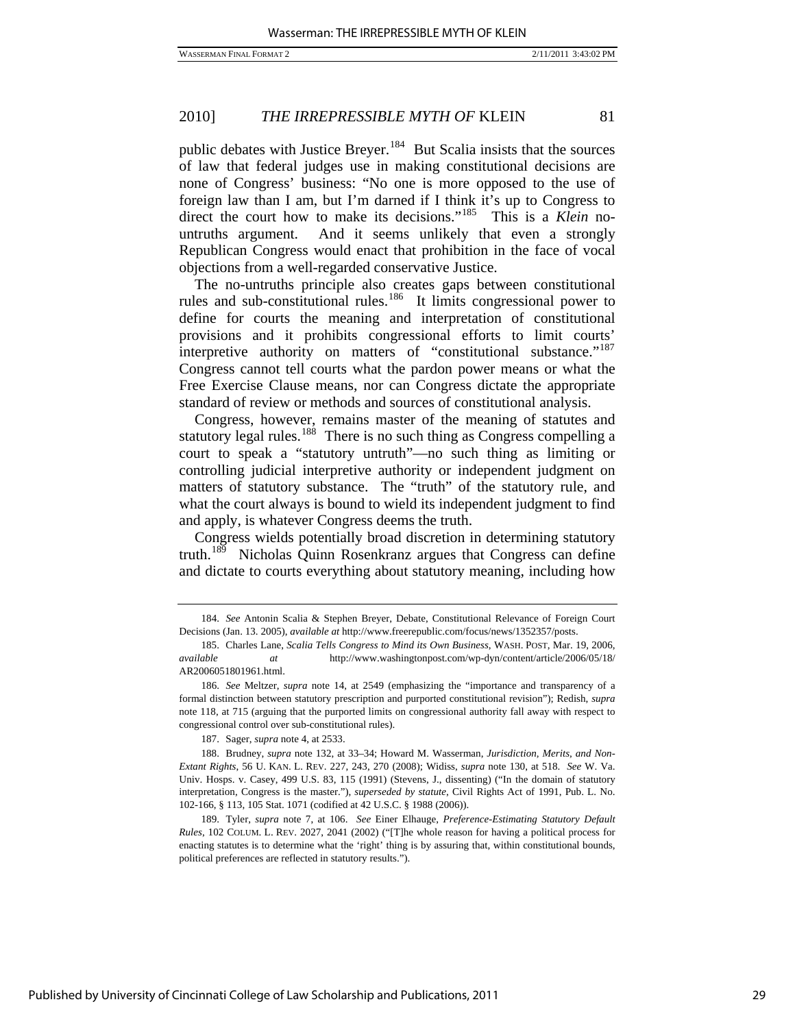public debates with Justice Breyer.<sup>[184](#page-29-0)</sup> But Scalia insists that the sources of law that federal judges use in making constitutional decisions are none of Congress' business: "No one is more opposed to the use of foreign law than I am, but I'm darned if I think it's up to Congress to direct the court how to make its decisions."<sup>[185](#page-29-1)</sup> This is a *Klein* nountruths argument. And it seems unlikely that even a strongly Republican Congress would enact that prohibition in the face of vocal objections from a well-regarded conservative Justice.

The no-untruths principle also creates gaps between constitutional rules and sub-constitutional rules.<sup>[186](#page-29-2)</sup> It limits congressional power to define for courts the meaning and interpretation of constitutional provisions and it prohibits congressional efforts to limit courts' interpretive authority on matters of "constitutional substance."<sup>[187](#page-29-3)</sup> Congress cannot tell courts what the pardon power means or what the Free Exercise Clause means, nor can Congress dictate the appropriate standard of review or methods and sources of constitutional analysis.

Congress, however, remains master of the meaning of statutes and statutory legal rules.<sup>[188](#page-29-4)</sup> There is no such thing as Congress compelling a court to speak a "statutory untruth"—no such thing as limiting or controlling judicial interpretive authority or independent judgment on matters of statutory substance. The "truth" of the statutory rule, and what the court always is bound to wield its independent judgment to find and apply, is whatever Congress deems the truth.

Congress wields potentially broad discretion in determining statutory truth.[189](#page-29-5) Nicholas Quinn Rosenkranz argues that Congress can define and dictate to courts everything about statutory meaning, including how

187. Sager, *supra* note 4, at 2533.

<span id="page-29-5"></span> 189. Tyler, *supra* note 7, at 106. *See* Einer Elhauge, *Preference-Estimating Statutory Default Rules*, 102 COLUM. L. REV. 2027, 2041 (2002) ("[T]he whole reason for having a political process for enacting statutes is to determine what the 'right' thing is by assuring that, within constitutional bounds, political preferences are reflected in statutory results.").

<span id="page-29-0"></span><sup>184.</sup> *See* Antonin Scalia & Stephen Breyer, Debate, Constitutional Relevance of Foreign Court Decisions (Jan. 13. 2005), *available at* http://www.freerepublic.com/focus/news/1352357/posts.

<span id="page-29-1"></span> <sup>185.</sup> Charles Lane, *Scalia Tells Congress to Mind its Own Business*, WASH. POST, Mar. 19, 2006, *available at* http://www.washingtonpost.com/wp-dyn/content/article/2006/05/18/ AR2006051801961.html.

<span id="page-29-2"></span><sup>186.</sup> *See* Meltzer, *supra* note 14, at 2549 (emphasizing the "importance and transparency of a formal distinction between statutory prescription and purported constitutional revision"); Redish, *supra* note 118, at 715 (arguing that the purported limits on congressional authority fall away with respect to congressional control over sub-constitutional rules).

<span id="page-29-4"></span><span id="page-29-3"></span> <sup>188.</sup> Brudney, *supra* note 132, at 33–34; Howard M. Wasserman, *Jurisdiction, Merits, and Non-Extant Rights*, 56 U. KAN. L. REV. 227, 243, 270 (2008); Widiss, *supra* note 130, at 518. *See* W. Va. Univ. Hosps. v. Casey, 499 U.S. 83, 115 (1991) (Stevens, J., dissenting) ("In the domain of statutory interpretation, Congress is the master."), *superseded by statute*, Civil Rights Act of 1991, Pub. L. No. 102-166, § 113, 105 Stat. 1071 (codified at 42 U.S.C. § 1988 (2006)).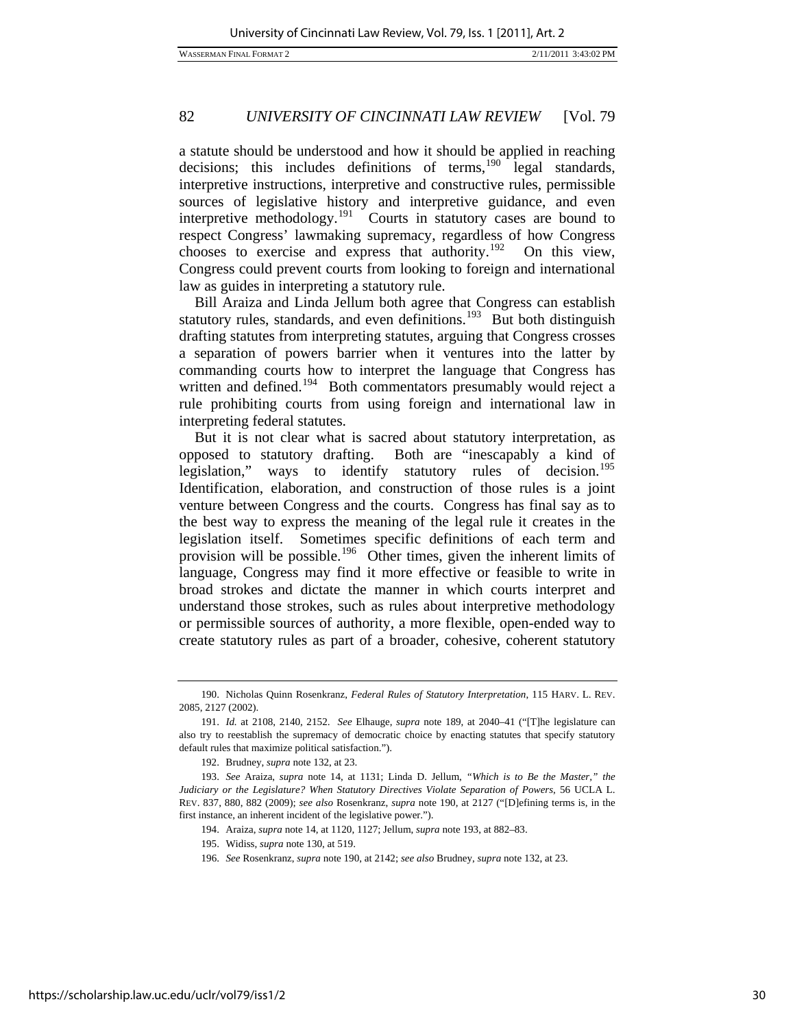a statute should be understood and how it should be applied in reaching decisions; this includes definitions of terms, $190$  legal standards, interpretive instructions, interpretive and constructive rules, permissible sources of legislative history and interpretive guidance, and even interpretive methodology.<sup>[191](#page-30-1)</sup> Courts in statutory cases are bound to respect Congress' lawmaking supremacy, regardless of how Congress chooses to exercise and express that authority.<sup>[192](#page-30-2)</sup> On this view, Congress could prevent courts from looking to foreign and international law as guides in interpreting a statutory rule.

Bill Araiza and Linda Jellum both agree that Congress can establish statutory rules, standards, and even definitions.<sup>[193](#page-30-3)</sup> But both distinguish drafting statutes from interpreting statutes, arguing that Congress crosses a separation of powers barrier when it ventures into the latter by commanding courts how to interpret the language that Congress has written and defined.<sup>[194](#page-30-4)</sup> Both commentators presumably would reject a rule prohibiting courts from using foreign and international law in interpreting federal statutes.

But it is not clear what is sacred about statutory interpretation, as opposed to statutory drafting. Both are "inescapably a kind of legislation," ways to identify statutory rules of decision.<sup>[195](#page-30-5)</sup> Identification, elaboration, and construction of those rules is a joint venture between Congress and the courts. Congress has final say as to the best way to express the meaning of the legal rule it creates in the legislation itself. Sometimes specific definitions of each term and provision will be possible.<sup>[196](#page-30-6)</sup> Other times, given the inherent limits of language, Congress may find it more effective or feasible to write in broad strokes and dictate the manner in which courts interpret and understand those strokes, such as rules about interpretive methodology or permissible sources of authority, a more flexible, open-ended way to create statutory rules as part of a broader, cohesive, coherent statutory

<span id="page-30-0"></span> <sup>190.</sup> Nicholas Quinn Rosenkranz, *Federal Rules of Statutory Interpretation*, 115 HARV. L. REV. 2085, 2127 (2002).

<span id="page-30-1"></span><sup>191.</sup> *Id.* at 2108, 2140, 2152. *See* Elhauge, *supra* note 189, at 2040–41 ("[T]he legislature can also try to reestablish the supremacy of democratic choice by enacting statutes that specify statutory default rules that maximize political satisfaction.").

 <sup>192.</sup> Brudney, *supra* note 132, at 23.

<span id="page-30-6"></span><span id="page-30-5"></span><span id="page-30-4"></span><span id="page-30-3"></span><span id="page-30-2"></span><sup>193.</sup> *See* Araiza, *supra* note 14, at 1131; Linda D. Jellum, *"Which is to Be the Master," the Judiciary or the Legislature? When Statutory Directives Violate Separation of Powers*, 56 UCLA L. REV. 837, 880, 882 (2009); *see also* Rosenkranz, *supra* note 190, at 2127 ("[D]efining terms is, in the first instance, an inherent incident of the legislative power.").

 <sup>194.</sup> Araiza, *supra* note 14, at 1120, 1127; Jellum, *supra* note 193, at 882–83.

 <sup>195.</sup> Widiss, *supra* note 130, at 519.

<sup>196.</sup> *See* Rosenkranz, *supra* note 190, at 2142; *see also* Brudney, *supra* note 132, at 23.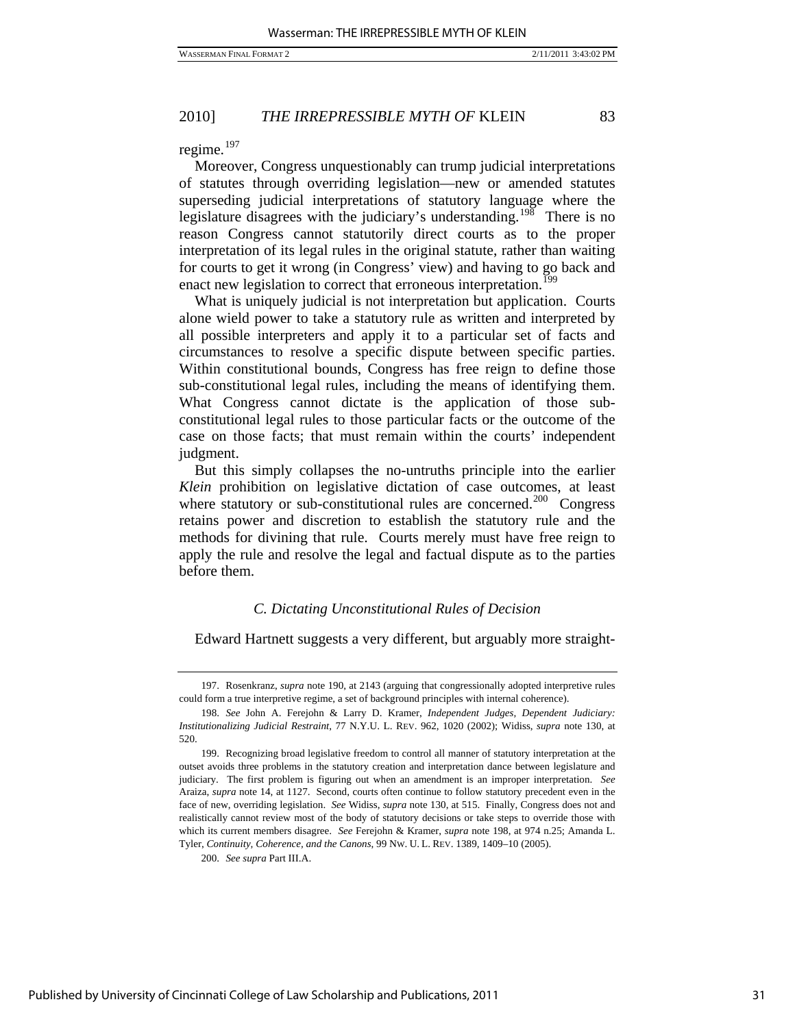regime. $197$ 

Moreover, Congress unquestionably can trump judicial interpretations of statutes through overriding legislation—new or amended statutes superseding judicial interpretations of statutory language where the legislature disagrees with the judiciary's understanding.<sup>[198](#page-31-1)</sup> There is no reason Congress cannot statutorily direct courts as to the proper interpretation of its legal rules in the original statute, rather than waiting for courts to get it wrong (in Congress' view) and having to go back and enact new legislation to correct that erroneous interpretation.<sup>[199](#page-31-2)</sup>

What is uniquely judicial is not interpretation but application. Courts alone wield power to take a statutory rule as written and interpreted by all possible interpreters and apply it to a particular set of facts and circumstances to resolve a specific dispute between specific parties. Within constitutional bounds, Congress has free reign to define those sub-constitutional legal rules, including the means of identifying them. What Congress cannot dictate is the application of those subconstitutional legal rules to those particular facts or the outcome of the case on those facts; that must remain within the courts' independent judgment.

But this simply collapses the no-untruths principle into the earlier *Klein* prohibition on legislative dictation of case outcomes, at least where statutory or sub-constitutional rules are concerned.<sup>[200](#page-31-3)</sup> Congress retains power and discretion to establish the statutory rule and the methods for divining that rule. Courts merely must have free reign to apply the rule and resolve the legal and factual dispute as to the parties before them.

#### *C. Dictating Unconstitutional Rules of Decision*

Edward Hartnett suggests a very different, but arguably more straight-

<span id="page-31-0"></span> <sup>197.</sup> Rosenkranz, *supra* note 190, at 2143 (arguing that congressionally adopted interpretive rules could form a true interpretive regime, a set of background principles with internal coherence).

<span id="page-31-1"></span><sup>198.</sup> *See* John A. Ferejohn & Larry D. Kramer, *Independent Judges, Dependent Judiciary: Institutionalizing Judicial Restraint*, 77 N.Y.U. L. REV. 962, 1020 (2002); Widiss, *supra* note 130, at 520.

<span id="page-31-2"></span> <sup>199.</sup> Recognizing broad legislative freedom to control all manner of statutory interpretation at the outset avoids three problems in the statutory creation and interpretation dance between legislature and judiciary. The first problem is figuring out when an amendment is an improper interpretation. *See* Araiza, *supra* note 14, at 1127. Second, courts often continue to follow statutory precedent even in the face of new, overriding legislation. *See* Widiss, *supra* note 130, at 515. Finally, Congress does not and realistically cannot review most of the body of statutory decisions or take steps to override those with which its current members disagree. *See* Ferejohn & Kramer, *supra* note 198, at 974 n.25; Amanda L. Tyler, *Continuity, Coherence, and the Canons*, 99 NW. U. L. REV. 1389, 1409–10 (2005).

<span id="page-31-3"></span><sup>200.</sup> *See supra* Part III.A.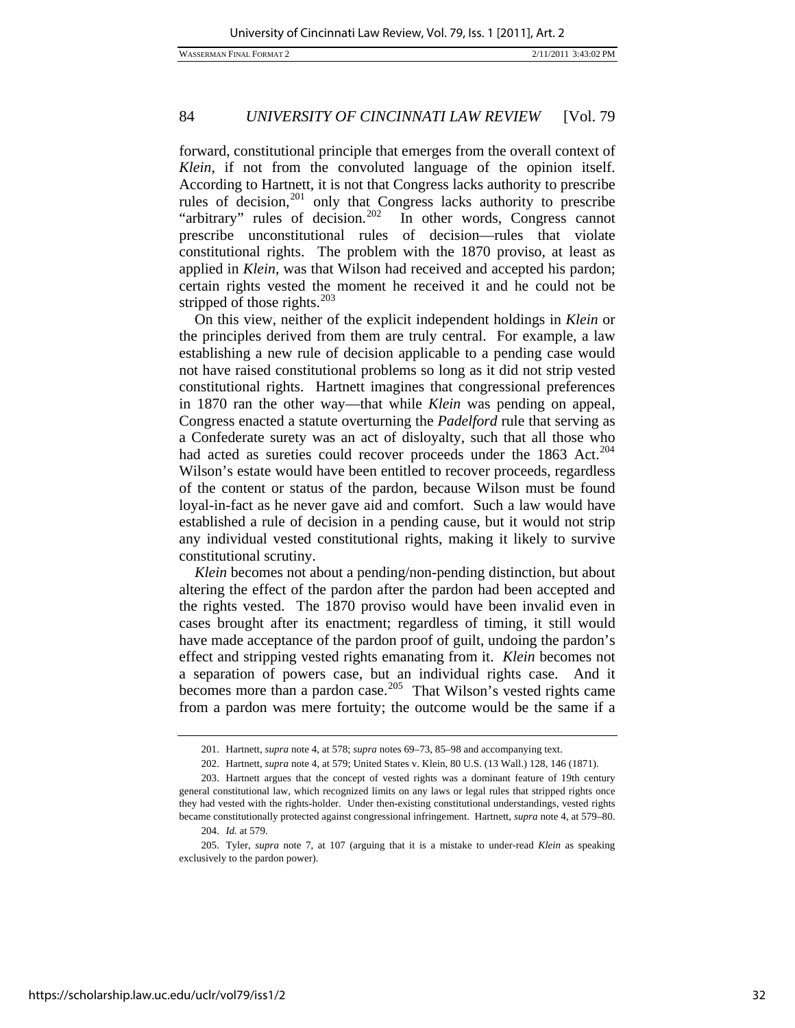WASSERMAN FINAL FORMAT 2 2/11/2011 3:43:02 PM

# 84 *UNIVERSITY OF CINCINNATI LAW REVIEW* [Vol. 79

forward, constitutional principle that emerges from the overall context of *Klein*, if not from the convoluted language of the opinion itself. According to Hartnett, it is not that Congress lacks authority to prescribe rules of decision,<sup>[201](#page-32-0)</sup> only that Congress lacks authority to prescribe "arbitrary" rules of decision.<sup>[202](#page-32-1)</sup> In other words, Congress cannot prescribe unconstitutional rules of decision—rules that violate constitutional rights. The problem with the 1870 proviso, at least as applied in *Klein*, was that Wilson had received and accepted his pardon; certain rights vested the moment he received it and he could not be stripped of those rights.<sup>[203](#page-32-2)</sup>

On this view, neither of the explicit independent holdings in *Klein* or the principles derived from them are truly central. For example, a law establishing a new rule of decision applicable to a pending case would not have raised constitutional problems so long as it did not strip vested constitutional rights. Hartnett imagines that congressional preferences in 1870 ran the other way—that while *Klein* was pending on appeal, Congress enacted a statute overturning the *Padelford* rule that serving as a Confederate surety was an act of disloyalty, such that all those who had acted as sureties could recover proceeds under the 1863 Act.<sup>[204](#page-32-3)</sup> Wilson's estate would have been entitled to recover proceeds, regardless of the content or status of the pardon, because Wilson must be found loyal-in-fact as he never gave aid and comfort. Such a law would have established a rule of decision in a pending cause, but it would not strip any individual vested constitutional rights, making it likely to survive constitutional scrutiny.

*Klein* becomes not about a pending/non-pending distinction, but about altering the effect of the pardon after the pardon had been accepted and the rights vested. The 1870 proviso would have been invalid even in cases brought after its enactment; regardless of timing, it still would have made acceptance of the pardon proof of guilt, undoing the pardon's effect and stripping vested rights emanating from it. *Klein* becomes not a separation of powers case, but an individual rights case. And it becomes more than a pardon case.<sup>[205](#page-32-4)</sup> That Wilson's vested rights came from a pardon was mere fortuity; the outcome would be the same if a

 <sup>201.</sup> Hartnett, *supra* note 4, at 578; *supra* notes 69–73, 85–98 and accompanying text.

 <sup>202.</sup> Hartnett, *supra* note 4, at 579; United States v. Klein, 80 U.S. (13 Wall.) 128, 146 (1871).

<span id="page-32-2"></span><span id="page-32-1"></span><span id="page-32-0"></span> <sup>203.</sup> Hartnett argues that the concept of vested rights was a dominant feature of 19th century general constitutional law, which recognized limits on any laws or legal rules that stripped rights once they had vested with the rights-holder. Under then-existing constitutional understandings, vested rights became constitutionally protected against congressional infringement. Hartnett, *supra* note 4, at 579–80.

 <sup>204.</sup> *Id.* at 579.

<span id="page-32-4"></span><span id="page-32-3"></span> <sup>205.</sup> Tyler, *supra* note 7, at 107 (arguing that it is a mistake to under-read *Klein* as speaking exclusively to the pardon power).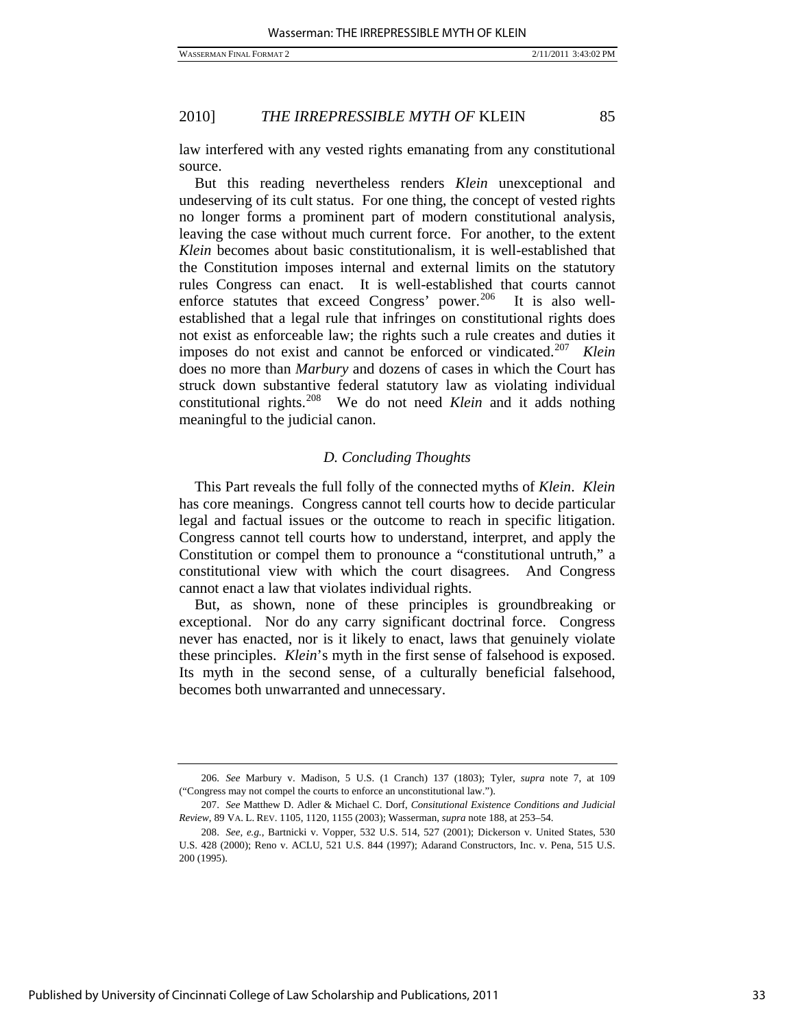law interfered with any vested rights emanating from any constitutional source.

But this reading nevertheless renders *Klein* unexceptional and undeserving of its cult status. For one thing, the concept of vested rights no longer forms a prominent part of modern constitutional analysis, leaving the case without much current force. For another, to the extent *Klein* becomes about basic constitutionalism, it is well-established that the Constitution imposes internal and external limits on the statutory rules Congress can enact. It is well-established that courts cannot enforce statutes that exceed Congress' power.<sup>[206](#page-33-0)</sup> It is also wellestablished that a legal rule that infringes on constitutional rights does not exist as enforceable law; the rights such a rule creates and duties it imposes do not exist and cannot be enforced or vindicated.[207](#page-33-1) *Klein* does no more than *Marbury* and dozens of cases in which the Court has struck down substantive federal statutory law as violating individual constitutional rights.[208](#page-33-2) We do not need *Klein* and it adds nothing meaningful to the judicial canon.

## *D. Concluding Thoughts*

This Part reveals the full folly of the connected myths of *Klein*. *Klein* has core meanings. Congress cannot tell courts how to decide particular legal and factual issues or the outcome to reach in specific litigation. Congress cannot tell courts how to understand, interpret, and apply the Constitution or compel them to pronounce a "constitutional untruth," a constitutional view with which the court disagrees. And Congress cannot enact a law that violates individual rights.

But, as shown, none of these principles is groundbreaking or exceptional. Nor do any carry significant doctrinal force. Congress never has enacted, nor is it likely to enact, laws that genuinely violate these principles. *Klein*'s myth in the first sense of falsehood is exposed. Its myth in the second sense, of a culturally beneficial falsehood, becomes both unwarranted and unnecessary.

<span id="page-33-0"></span><sup>206.</sup> *See* Marbury v. Madison, 5 U.S. (1 Cranch) 137 (1803); Tyler, *supra* note 7, at 109 ("Congress may not compel the courts to enforce an unconstitutional law.").

<span id="page-33-1"></span><sup>207.</sup> *See* Matthew D. Adler & Michael C. Dorf, *Consitutional Existence Conditions and Judicial Review*, 89 VA. L. REV. 1105, 1120, 1155 (2003); Wasserman, *supra* note 188, at 253–54.

<span id="page-33-2"></span><sup>208.</sup> *See, e.g.*, Bartnicki v. Vopper, 532 U.S. 514, 527 (2001); Dickerson v. United States, 530 U.S. 428 (2000); Reno v. ACLU, 521 U.S. 844 (1997); Adarand Constructors, Inc. v. Pena, 515 U.S. 200 (1995).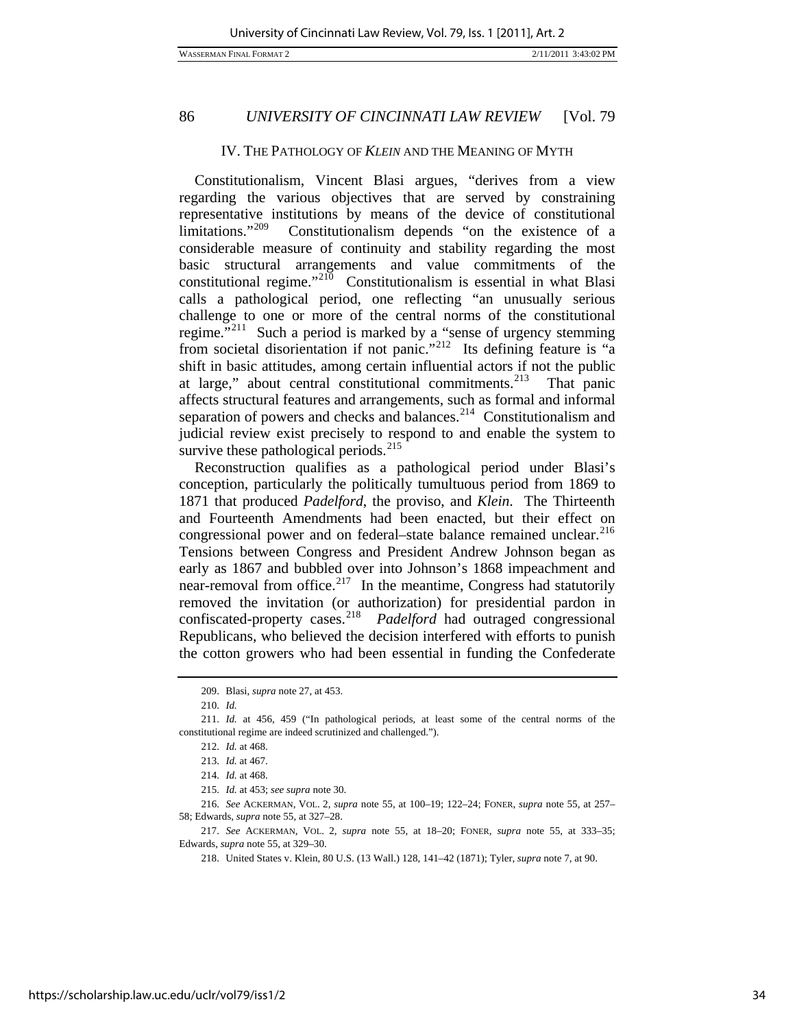#### IV. THE PATHOLOGY OF *KLEIN* AND THE MEANING OF MYTH

Constitutionalism, Vincent Blasi argues, "derives from a view regarding the various objectives that are served by constraining representative institutions by means of the device of constitutional limitations."[209](#page-34-0) Constitutionalism depends "on the existence of a considerable measure of continuity and stability regarding the most basic structural arrangements and value commitments of the constitutional regime."<sup>[210](#page-34-1)</sup> Constitutionalism is essential in what Blasi calls a pathological period, one reflecting "an unusually serious challenge to one or more of the central norms of the constitutional regime. $12^{11}$  Such a period is marked by a "sense of urgency stemming from societal disorientation if not panic."<sup>[212](#page-34-3)</sup> Its defining feature is "a shift in basic attitudes, among certain influential actors if not the public at large," about central constitutional commitments.<sup>[213](#page-34-4)</sup> That panic affects structural features and arrangements, such as formal and informal separation of powers and checks and balances. $2^{14}$  Constitutionalism and judicial review exist precisely to respond to and enable the system to survive these pathological periods. $215$ 

Reconstruction qualifies as a pathological period under Blasi's conception, particularly the politically tumultuous period from 1869 to 1871 that produced *Padelford*, the proviso, and *Klein*. The Thirteenth and Fourteenth Amendments had been enacted, but their effect on congressional power and on federal–state balance remained unclear.<sup>[216](#page-34-7)</sup> Tensions between Congress and President Andrew Johnson began as early as 1867 and bubbled over into Johnson's 1868 impeachment and near-removal from office.<sup>[217](#page-34-8)</sup> In the meantime, Congress had statutorily removed the invitation (or authorization) for presidential pardon in confiscated-property cases.[218](#page-34-9) *Padelford* had outraged congressional Republicans, who believed the decision interfered with efforts to punish the cotton growers who had been essential in funding the Confederate

 <sup>209.</sup> Blasi, *supra* note 27, at 453.

<sup>210.</sup> *Id.*

<span id="page-34-4"></span><span id="page-34-3"></span><span id="page-34-2"></span><span id="page-34-1"></span><span id="page-34-0"></span><sup>211.</sup> *Id.* at 456, 459 ("In pathological periods, at least some of the central norms of the constitutional regime are indeed scrutinized and challenged.").

<sup>212.</sup> *Id.* at 468.

<sup>213.</sup> *Id.* at 467.

<sup>214.</sup> *Id.* at 468.

<sup>215.</sup> *Id.* at 453; *see supra* note 30.

<span id="page-34-7"></span><span id="page-34-6"></span><span id="page-34-5"></span><sup>216.</sup> *See* ACKERMAN, VOL. 2, *supra* note 55, at 100–19; 122–24; FONER, *supra* note 55, at 257– 58; Edwards, *supra* note 55, at 327–28.

<span id="page-34-9"></span><span id="page-34-8"></span><sup>217.</sup> *See* ACKERMAN, VOL. 2, *supra* note 55, at 18–20; FONER, *supra* note 55, at 333–35; Edwards, *supra* note 55, at 329–30.

 <sup>218.</sup> United States v. Klein, 80 U.S. (13 Wall.) 128, 141–42 (1871); Tyler, *supra* note 7, at 90.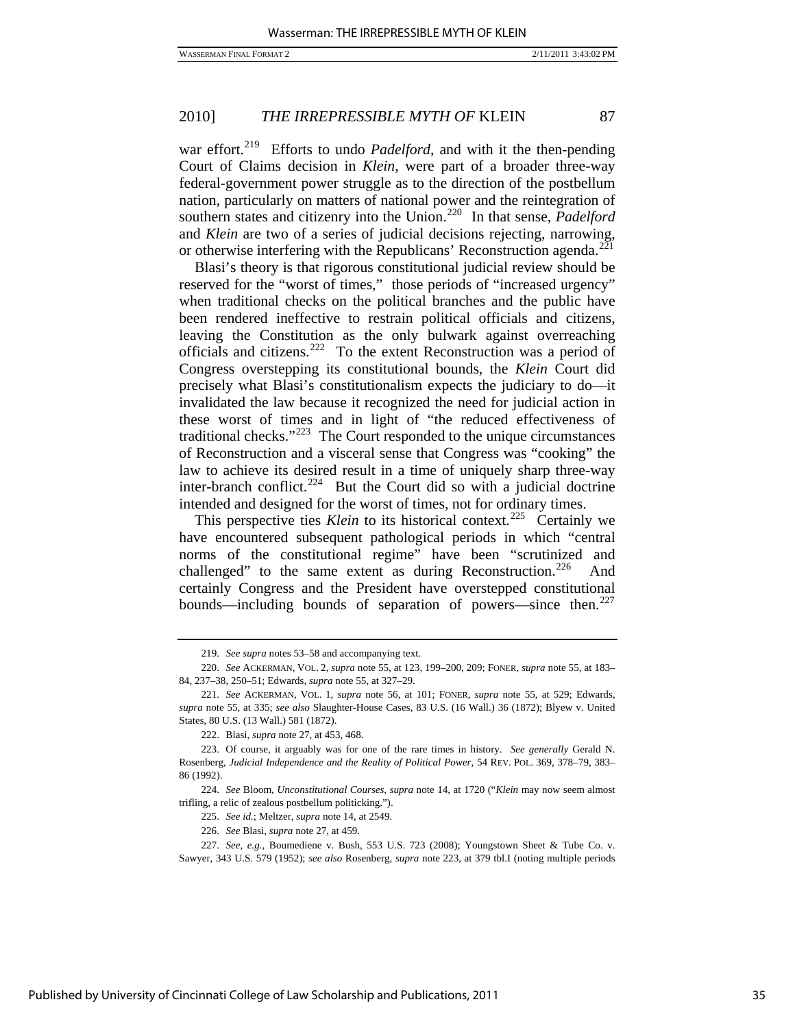war effort.<sup>[219](#page-35-0)</sup> Efforts to undo *Padelford*, and with it the then-pending Court of Claims decision in *Klein*, were part of a broader three-way federal-government power struggle as to the direction of the postbellum nation, particularly on matters of national power and the reintegration of southern states and citizenry into the Union.<sup>[220](#page-35-1)</sup> In that sense, *Padelford* and *Klein* are two of a series of judicial decisions rejecting, narrowing, or otherwise interfering with the Republicans' Reconstruction agenda.<sup>[221](#page-35-2)</sup>

Blasi's theory is that rigorous constitutional judicial review should be reserved for the "worst of times," those periods of "increased urgency" when traditional checks on the political branches and the public have been rendered ineffective to restrain political officials and citizens, leaving the Constitution as the only bulwark against overreaching officials and citizens.[222](#page-35-3)To the extent Reconstruction was a period of Congress overstepping its constitutional bounds, the *Klein* Court did precisely what Blasi's constitutionalism expects the judiciary to do—it invalidated the law because it recognized the need for judicial action in these worst of times and in light of "the reduced effectiveness of traditional checks."[223](#page-35-4)The Court responded to the unique circumstances of Reconstruction and a visceral sense that Congress was "cooking" the law to achieve its desired result in a time of uniquely sharp three-way inter-branch conflict.<sup>[224](#page-35-5)</sup> But the Court did so with a judicial doctrine intended and designed for the worst of times, not for ordinary times.

This perspective ties *Klein* to its historical context.<sup>[225](#page-35-6)</sup> Certainly we have encountered subsequent pathological periods in which "central norms of the constitutional regime" have been "scrutinized and challenged" to the same extent as during Reconstruction.<sup>[226](#page-35-7)</sup> And certainly Congress and the President have overstepped constitutional bounds—including bounds of separation of powers—since then.<sup>[227](#page-35-8)</sup>

<sup>219.</sup> *See supra* notes 53–58 and accompanying text.

<span id="page-35-1"></span><span id="page-35-0"></span><sup>220.</sup> *See* ACKERMAN, VOL. 2, *supra* note 55, at 123, 199–200, 209; FONER, *supra* note 55, at 183– 84, 237–38, 250–51; Edwards, *supra* note 55, at 327–29.

<span id="page-35-2"></span><sup>221.</sup> *See* ACKERMAN, VOL. 1, *supra* note 56, at 101; FONER, *supra* note 55, at 529; Edwards, *supra* note 55, at 335; *see also* Slaughter-House Cases, 83 U.S. (16 Wall.) 36 (1872); Blyew v. United States, 80 U.S. (13 Wall.) 581 (1872).

 <sup>222.</sup> Blasi, *supra* note 27, at 453, 468.

<span id="page-35-4"></span><span id="page-35-3"></span> <sup>223.</sup> Of course, it arguably was for one of the rare times in history. *See generally* Gerald N. Rosenberg, *Judicial Independence and the Reality of Political Power*, 54 REV. POL. 369, 378–79, 383– 86 (1992).

<span id="page-35-6"></span><span id="page-35-5"></span><sup>224.</sup> *See* Bloom, *Unconstitutional Courses*, *supra* note 14, at 1720 ("*Klein* may now seem almost trifling, a relic of zealous postbellum politicking.").

<sup>225.</sup> *See id.*; Meltzer, *supra* note 14, at 2549.

<sup>226.</sup> *See* Blasi, *supra* note 27, at 459.

<span id="page-35-8"></span><span id="page-35-7"></span><sup>227.</sup> *See, e.g.*, Boumediene v. Bush, 553 U.S. 723 (2008); Youngstown Sheet & Tube Co. v. Sawyer, 343 U.S. 579 (1952); *see also* Rosenberg, *supra* note 223, at 379 tbl.I (noting multiple periods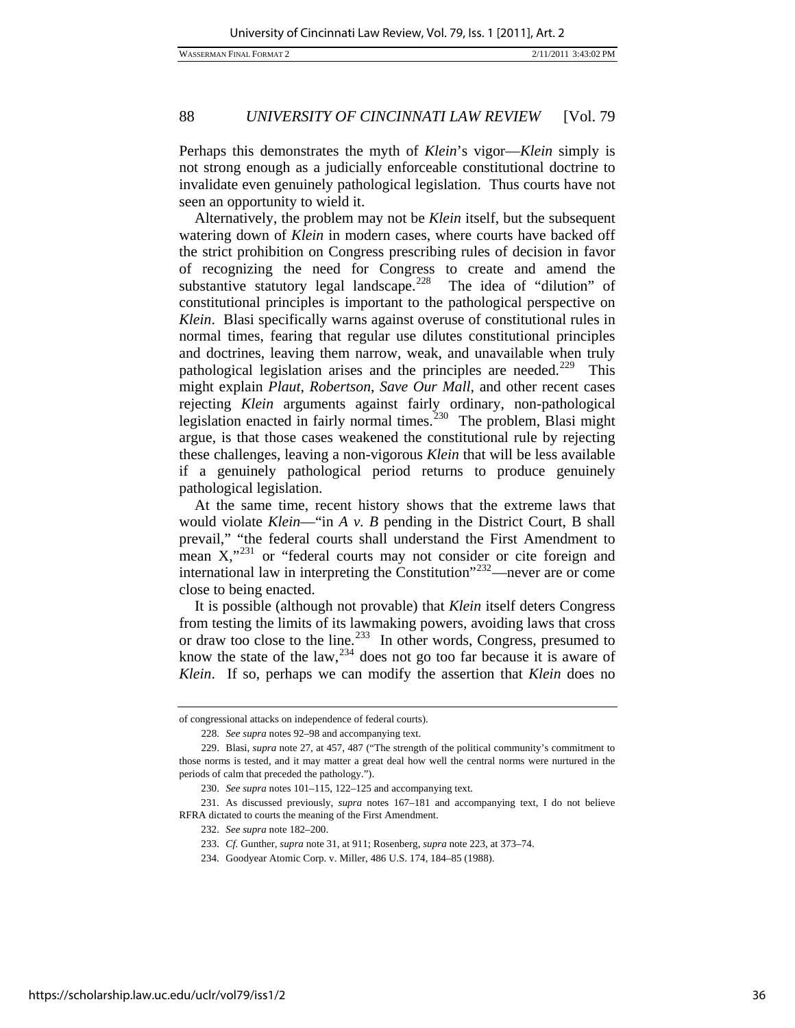Perhaps this demonstrates the myth of *Klein*'s vigor—*Klein* simply is not strong enough as a judicially enforceable constitutional doctrine to invalidate even genuinely pathological legislation. Thus courts have not seen an opportunity to wield it.

Alternatively, the problem may not be *Klein* itself, but the subsequent watering down of *Klein* in modern cases, where courts have backed off the strict prohibition on Congress prescribing rules of decision in favor of recognizing the need for Congress to create and amend the substantive statutory legal landscape.<sup>[228](#page-36-0)</sup> The idea of "dilution" of constitutional principles is important to the pathological perspective on *Klein*. Blasi specifically warns against overuse of constitutional rules in normal times, fearing that regular use dilutes constitutional principles and doctrines, leaving them narrow, weak, and unavailable when truly pathological legislation arises and the principles are needed.<sup>[229](#page-36-1)</sup> This might explain *Plaut*, *Robertson*, *Save Our Mall*, and other recent cases rejecting *Klein* arguments against fairly ordinary, non-pathological legislation enacted in fairly normal times.<sup>[230](#page-36-2)</sup> The problem, Blasi might argue, is that those cases weakened the constitutional rule by rejecting these challenges, leaving a non-vigorous *Klein* that will be less available if a genuinely pathological period returns to produce genuinely pathological legislation.

At the same time, recent history shows that the extreme laws that would violate *Klein*—"in *A v. B* pending in the District Court, B shall prevail," "the federal courts shall understand the First Amendment to mean X,"<sup>[231](#page-36-3)</sup> or "federal courts may not consider or cite foreign and international law in interpreting the Constitution"[232](#page-36-4)—never are or come close to being enacted.

It is possible (although not provable) that *Klein* itself deters Congress from testing the limits of its lawmaking powers, avoiding laws that cross or draw too close to the line.<sup>[233](#page-36-5)</sup> In other words, Congress, presumed to know the state of the law,  $234$  does not go too far because it is aware of *Klein*. If so, perhaps we can modify the assertion that *Klein* does no

of congressional attacks on independence of federal courts).

<sup>228.</sup> *See supra* notes 92–98 and accompanying text.

<span id="page-36-1"></span><span id="page-36-0"></span> <sup>229.</sup> Blasi, *supra* note 27, at 457, 487 ("The strength of the political community's commitment to those norms is tested, and it may matter a great deal how well the central norms were nurtured in the periods of calm that preceded the pathology.").

<sup>230.</sup> *See supra* notes 101–115, 122–125 and accompanying text.

<span id="page-36-6"></span><span id="page-36-5"></span><span id="page-36-4"></span><span id="page-36-3"></span><span id="page-36-2"></span> <sup>231.</sup> As discussed previously, *supra* notes 167–181 and accompanying text, I do not believe RFRA dictated to courts the meaning of the First Amendment.

<sup>232.</sup> *See supra* note 182–200.

<sup>233.</sup> *Cf.* Gunther, *supra* note 31, at 911; Rosenberg, *supra* note 223, at 373–74.

 <sup>234.</sup> Goodyear Atomic Corp. v. Miller, 486 U.S. 174, 184–85 (1988).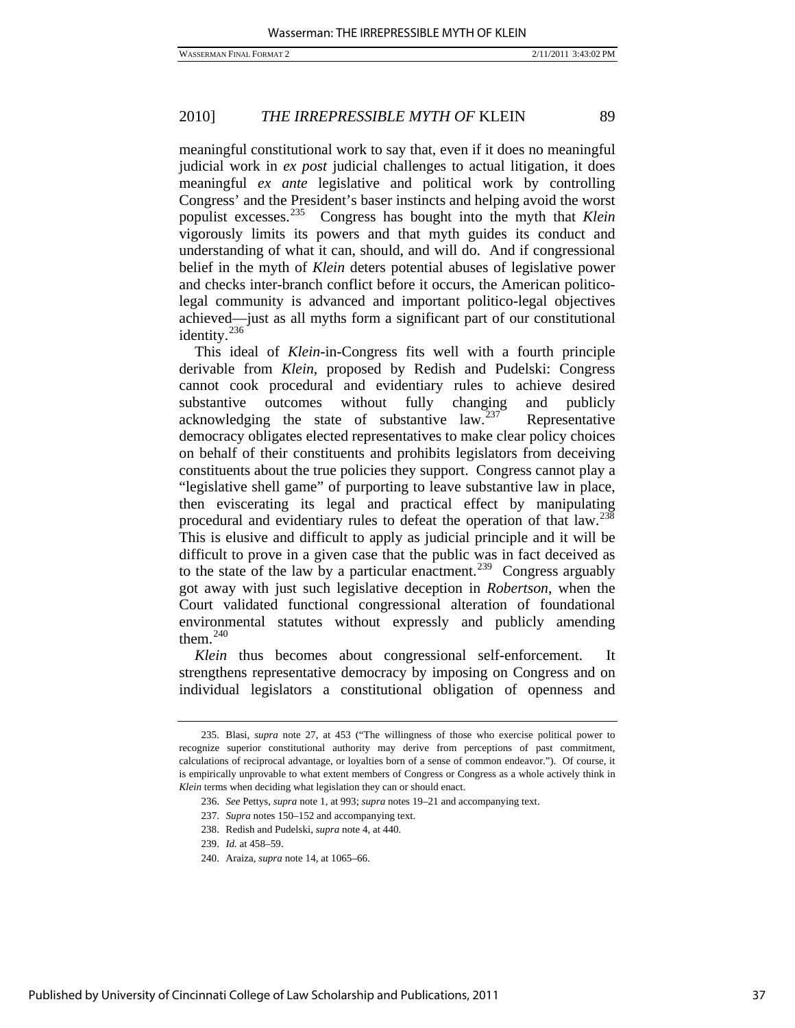meaningful constitutional work to say that, even if it does no meaningful judicial work in *ex post* judicial challenges to actual litigation, it does meaningful *ex ante* legislative and political work by controlling Congress' and the President's baser instincts and helping avoid the worst populist excesses.<sup>235</sup> Congress has bought into the myth that *Klein* Congress has bought into the myth that *Klein* vigorously limits its powers and that myth guides its conduct and understanding of what it can, should, and will do. And if congressional belief in the myth of *Klein* deters potential abuses of legislative power and checks inter-branch conflict before it occurs, the American politicolegal community is advanced and important politico-legal objectives achieved—just as all myths form a significant part of our constitutional identity.<sup>[236](#page-37-1)</sup>

This ideal of *Klein*-in-Congress fits well with a fourth principle derivable from *Klein*, proposed by Redish and Pudelski: Congress cannot cook procedural and evidentiary rules to achieve desired substantive outcomes without fully changing and publicly acknowledging the state of substantive law. $237$  Representative democracy obligates elected representatives to make clear policy choices on behalf of their constituents and prohibits legislators from deceiving constituents about the true policies they support. Congress cannot play a "legislative shell game" of purporting to leave substantive law in place, then eviscerating its legal and practical effect by manipulating procedural and evidentiary rules to defeat the operation of that law.<sup>[238](#page-37-3)</sup> This is elusive and difficult to apply as judicial principle and it will be difficult to prove in a given case that the public was in fact deceived as to the state of the law by a particular enactment.<sup>[239](#page-37-4)</sup> Congress arguably got away with just such legislative deception in *Robertson*, when the Court validated functional congressional alteration of foundational environmental statutes without expressly and publicly amending them. $240$ 

*Klein* thus becomes about congressional self-enforcement. It strengthens representative democracy by imposing on Congress and on individual legislators a constitutional obligation of openness and

<span id="page-37-2"></span><span id="page-37-1"></span><span id="page-37-0"></span> <sup>235.</sup> Blasi, *supra* note 27, at 453 ("The willingness of those who exercise political power to recognize superior constitutional authority may derive from perceptions of past commitment, calculations of reciprocal advantage, or loyalties born of a sense of common endeavor."). Of course, it is empirically unprovable to what extent members of Congress or Congress as a whole actively think in *Klein* terms when deciding what legislation they can or should enact.

<sup>236.</sup> *See* Pettys, *supra* note 1, at 993; *supra* notes 19–21 and accompanying text.

<sup>237.</sup> *Supra* notes 150–152 and accompanying text.

 <sup>238.</sup> Redish and Pudelski, *supra* note 4, at 440.

<span id="page-37-5"></span><span id="page-37-4"></span><span id="page-37-3"></span><sup>239.</sup> *Id.* at 458–59.

 <sup>240.</sup> Araiza, *supra* note 14, at 1065–66.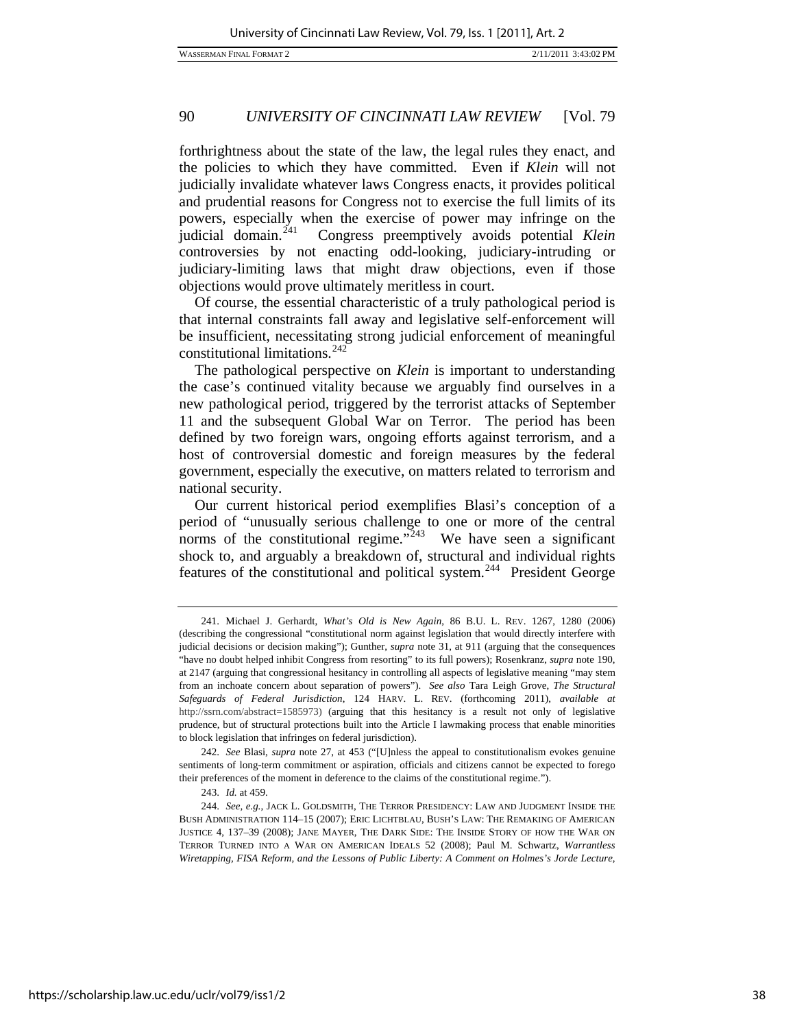forthrightness about the state of the law, the legal rules they enact, and the policies to which they have committed. Even if *Klein* will not judicially invalidate whatever laws Congress enacts, it provides political and prudential reasons for Congress not to exercise the full limits of its powers, especially when the exercise of power may infringe on the judicial domain.[241](#page-38-0) Congress preemptively avoids potential *Klein* controversies by not enacting odd-looking, judiciary-intruding or judiciary-limiting laws that might draw objections, even if those objections would prove ultimately meritless in court.

Of course, the essential characteristic of a truly pathological period is that internal constraints fall away and legislative self-enforcement will be insufficient, necessitating strong judicial enforcement of meaningful constitutional limitations.<sup>[242](#page-38-1)</sup>

The pathological perspective on *Klein* is important to understanding the case's continued vitality because we arguably find ourselves in a new pathological period, triggered by the terrorist attacks of September 11 and the subsequent Global War on Terror. The period has been defined by two foreign wars, ongoing efforts against terrorism, and a host of controversial domestic and foreign measures by the federal government, especially the executive, on matters related to terrorism and national security.

Our current historical period exemplifies Blasi's conception of a period of "unusually serious challenge to one or more of the central norms of the constitutional regime. $\frac{1}{243}$  $\frac{1}{243}$  $\frac{1}{243}$  We have seen a significant shock to, and arguably a breakdown of, structural and individual rights features of the constitutional and political system.<sup>[244](#page-38-3)</sup> President George

<span id="page-38-0"></span> <sup>241.</sup> Michael J. Gerhardt, *What's Old is New Again*, 86 B.U. L. REV. 1267, 1280 (2006) (describing the congressional "constitutional norm against legislation that would directly interfere with judicial decisions or decision making"); Gunther, *supra* note 31, at 911 (arguing that the consequences "have no doubt helped inhibit Congress from resorting" to its full powers); Rosenkranz, *supra* note 190, at 2147 (arguing that congressional hesitancy in controlling all aspects of legislative meaning "may stem from an inchoate concern about separation of powers").*See also* Tara Leigh Grove, *The Structural Safeguards of Federal Jurisdiction*, 124 HARV. L. REV. (forthcoming 2011), *available at*  http://ssrn.com/abstract=1585973) (arguing that this hesitancy is a result not only of legislative prudence, but of structural protections built into the Article I lawmaking process that enable minorities to block legislation that infringes on federal jurisdiction).

<span id="page-38-1"></span><sup>242.</sup> *See* Blasi, *supra* note 27, at 453 ("[U]nless the appeal to constitutionalism evokes genuine sentiments of long-term commitment or aspiration, officials and citizens cannot be expected to forego their preferences of the moment in deference to the claims of the constitutional regime.").

 <sup>243.</sup> *Id.* at 459.

<span id="page-38-3"></span><span id="page-38-2"></span><sup>244.</sup> *See, e.g.*, JACK L. GOLDSMITH, THE TERROR PRESIDENCY: LAW AND JUDGMENT INSIDE THE BUSH ADMINISTRATION 114–15 (2007); ERIC LICHTBLAU, BUSH'S LAW: THE REMAKING OF AMERICAN JUSTICE 4, 137–39 (2008); JANE MAYER, THE DARK SIDE: THE INSIDE STORY OF HOW THE WAR ON TERROR TURNED INTO A WAR ON AMERICAN IDEALS 52 (2008); Paul M. Schwartz, *Warrantless Wiretapping, FISA Reform, and the Lessons of Public Liberty: A Comment on Holmes's Jorde Lecture*,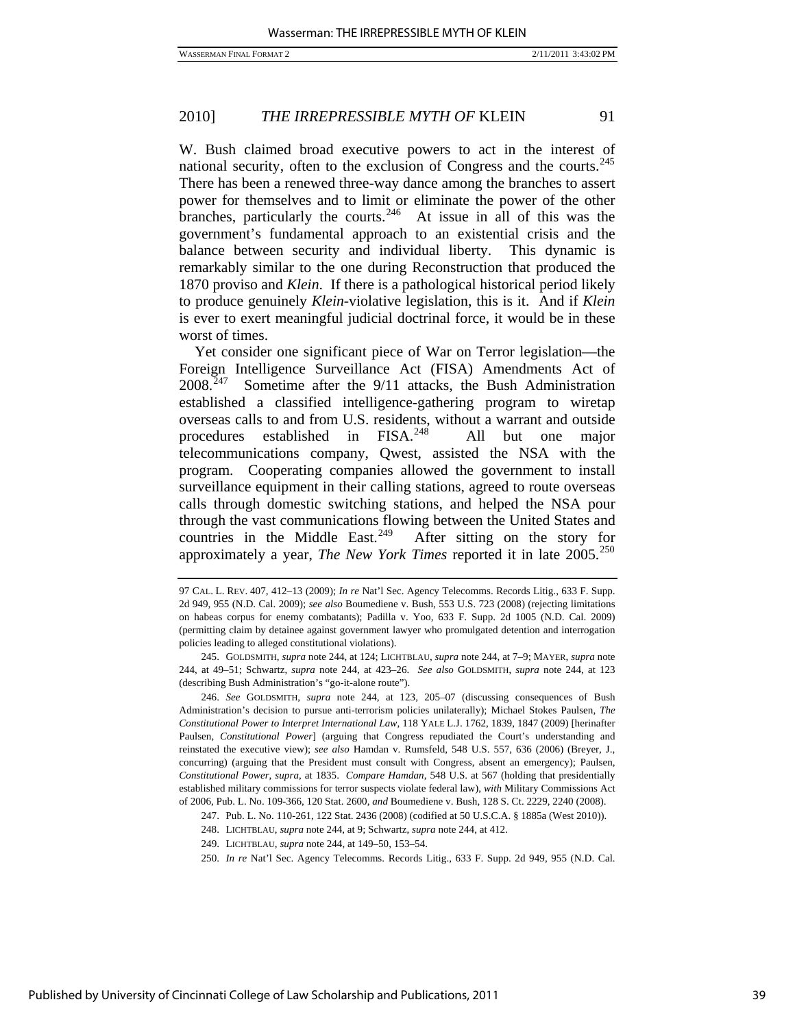W. Bush claimed broad executive powers to act in the interest of national security, often to the exclusion of Congress and the courts.<sup>[245](#page-39-0)</sup> There has been a renewed three-way dance among the branches to assert power for themselves and to limit or eliminate the power of the other branches, particularly the courts.<sup>[246](#page-39-1)</sup> At issue in all of this was the government's fundamental approach to an existential crisis and the balance between security and individual liberty. This dynamic is remarkably similar to the one during Reconstruction that produced the 1870 proviso and *Klein*. If there is a pathological historical period likely to produce genuinely *Klein*-violative legislation, this is it. And if *Klein* is ever to exert meaningful judicial doctrinal force, it would be in these worst of times.

Yet consider one significant piece of War on Terror legislation—the Foreign Intelligence Surveillance Act (FISA) Amendments Act of 2008.[247](#page-39-2) Sometime after the 9/11 attacks, the Bush Administration established a classified intelligence-gathering program to wiretap overseas calls to and from U.S. residents, without a warrant and outside procedures established in FISA.<sup>[248](#page-39-3)</sup> All but one major telecommunications company, Qwest, assisted the NSA with the program. Cooperating companies allowed the government to install surveillance equipment in their calling stations, agreed to route overseas calls through domestic switching stations, and helped the NSA pour through the vast communications flowing between the United States and countries in the Middle East. $249$  After sitting on the story for approximately a year, *The New York Times* reported it in late 2005.<sup>[250](#page-39-5)</sup>

<span id="page-39-0"></span> 245. GOLDSMITH, *supra* note 244, at 124; LICHTBLAU, *supra* note 244, at 7–9; MAYER, *supra* note 244, at 49–51; Schwartz, *supra* note 244, at 423–26. *See also* GOLDSMITH, *supra* note 244, at 123 (describing Bush Administration's "go-it-alone route").

<span id="page-39-1"></span>246. *See* GOLDSMITH, *supra* note 244, at 123, 205–07 (discussing consequences of Bush Administration's decision to pursue anti-terrorism policies unilaterally); Michael Stokes Paulsen, *The Constitutional Power to Interpret International Law*, 118 YALE L.J. 1762, 1839, 1847 (2009) [herinafter Paulsen, *Constitutional Power*] (arguing that Congress repudiated the Court's understanding and reinstated the executive view); *see also* Hamdan v. Rumsfeld, 548 U.S. 557, 636 (2006) (Breyer, J., concurring) (arguing that the President must consult with Congress, absent an emergency); Paulsen, *Constitutional Power*, *supra*, at 1835. *Compare Hamdan*, 548 U.S. at 567 (holding that presidentially established military commissions for terror suspects violate federal law), *with* Military Commissions Act of 2006, Pub. L. No. 109-366, 120 Stat. 2600, *and* Boumediene v. Bush, 128 S. Ct. 2229, 2240 (2008).

<span id="page-39-4"></span><span id="page-39-3"></span><span id="page-39-2"></span>247. Pub. L. No. 110-261, 122 Stat. 2436 (2008) (codified at 50 U.S.C.A. § 1885a (West 2010)).

248. LICHTBLAU, *supra* note 244, at 9; Schwartz, *supra* note 244, at 412.

249. LICHTBLAU, *supra* note 244, at 149–50, 153–54.

<span id="page-39-5"></span>250. *In re* Nat'l Sec. Agency Telecomms. Records Litig., 633 F. Supp. 2d 949, 955 (N.D. Cal.

<sup>97</sup> CAL. L. REV. 407, 412–13 (2009); *In re* Nat'l Sec. Agency Telecomms. Records Litig., 633 F. Supp. 2d 949, 955 (N.D. Cal. 2009); *see also* Boumediene v. Bush, 553 U.S. 723 (2008) (rejecting limitations on habeas corpus for enemy combatants); Padilla v. Yoo, 633 F. Supp. 2d 1005 (N.D. Cal. 2009) (permitting claim by detainee against government lawyer who promulgated detention and interrogation policies leading to alleged constitutional violations).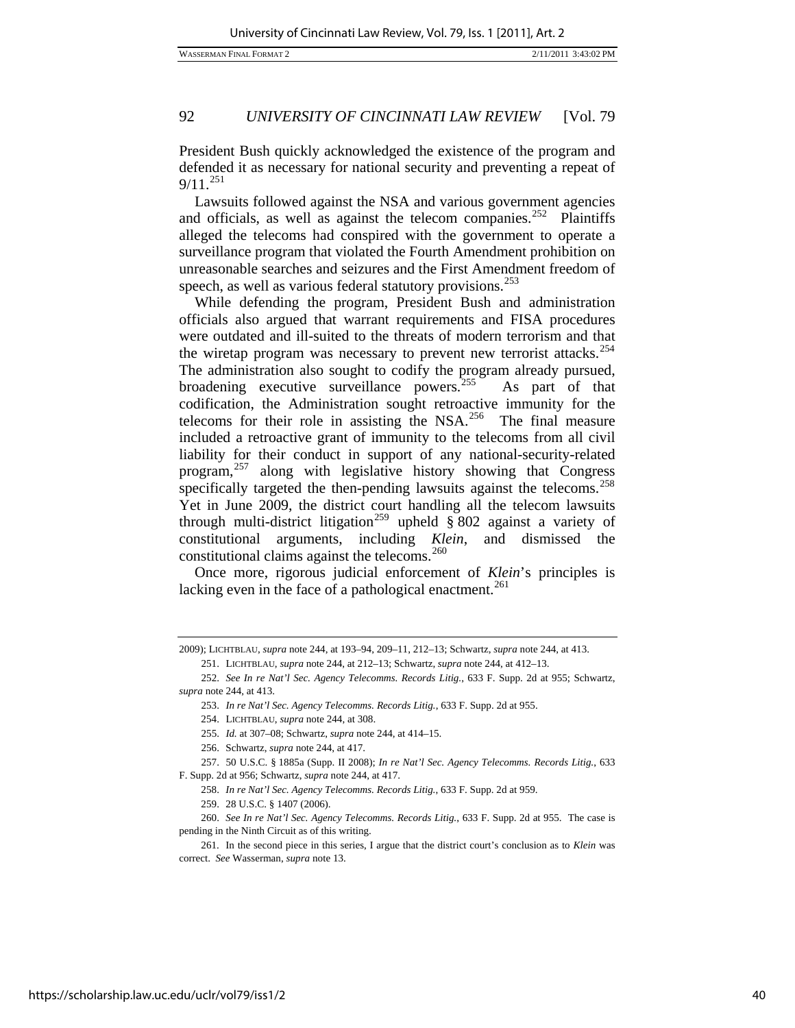President Bush quickly acknowledged the existence of the program and defended it as necessary for national security and preventing a repeat of  $9/11.^{251}$  $9/11.^{251}$  $9/11.^{251}$ 

Lawsuits followed against the NSA and various government agencies and officials, as well as against the telecom companies.<sup>[252](#page-40-1)</sup> Plaintiffs alleged the telecoms had conspired with the government to operate a surveillance program that violated the Fourth Amendment prohibition on unreasonable searches and seizures and the First Amendment freedom of speech, as well as various federal statutory provisions.<sup>[253](#page-40-2)</sup>

While defending the program, President Bush and administration officials also argued that warrant requirements and FISA procedures were outdated and ill-suited to the threats of modern terrorism and that the wiretap program was necessary to prevent new terrorist attacks.<sup>[254](#page-40-3)</sup> The administration also sought to codify the program already pursued, broadening executive surveillance powers.<sup>[255](#page-40-4)</sup> As part of that codification, the Administration sought retroactive immunity for the telecoms for their role in assisting the NSA.<sup>[256](#page-40-5)</sup> The final measure included a retroactive grant of immunity to the telecoms from all civil liability for their conduct in support of any national-security-related program,[257](#page-40-6) along with legislative history showing that Congress specifically targeted the then-pending lawsuits against the telecoms.<sup>[258](#page-40-7)</sup> Yet in June 2009, the district court handling all the telecom lawsuits through multi-district litigation<sup>[259](#page-40-8)</sup> upheld § 802 against a variety of constitutional arguments, including *Klein*, and dismissed the constitutional claims against the telecoms.<sup>[260](#page-40-9)</sup>

Once more, rigorous judicial enforcement of *Klein*'s principles is lacking even in the face of a pathological enactment.<sup>[261](#page-40-10)</sup>

<span id="page-40-9"></span><span id="page-40-8"></span><span id="page-40-7"></span>260. *See In re Nat'l Sec. Agency Telecomms. Records Litig.*, 633 F. Supp. 2d at 955. The case is pending in the Ninth Circuit as of this writing.

<span id="page-40-0"></span><sup>2009);</sup> LICHTBLAU, *supra* note 244, at 193–94, 209–11, 212–13; Schwartz, *supra* note 244, at 413. 251. LICHTBLAU, *supra* note 244, at 212–13; Schwartz, *supra* note 244, at 412–13.

<span id="page-40-2"></span><span id="page-40-1"></span><sup>252.</sup> *See In re Nat'l Sec. Agency Telecomms. Records Litig.*, 633 F. Supp. 2d at 955; Schwartz, *supra* note 244, at 413.

<sup>253.</sup> *In re Nat'l Sec. Agency Telecomms. Records Litig.*, 633 F. Supp. 2d at 955.

 <sup>254.</sup> LICHTBLAU, *supra* note 244, at 308.

<sup>255.</sup> *Id.* at 307–08; Schwartz, *supra* note 244, at 414–15.

 <sup>256.</sup> Schwartz, *supra* note 244, at 417.

<span id="page-40-6"></span><span id="page-40-5"></span><span id="page-40-4"></span><span id="page-40-3"></span><sup>257.</sup> 50 U.S.C. § 1885a (Supp. II 2008); *In re Nat'l Sec. Agency Telecomms. Records Litig.*, 633 F. Supp. 2d at 956; Schwartz, *supra* note 244, at 417.

<sup>258.</sup> *In re Nat'l Sec. Agency Telecomms. Records Litig.*, 633 F. Supp. 2d at 959.

 <sup>259. 28</sup> U.S.C. § 1407 (2006).

<span id="page-40-10"></span> <sup>261.</sup> In the second piece in this series, I argue that the district court's conclusion as to *Klein* was correct. *See* Wasserman, *supra* note 13.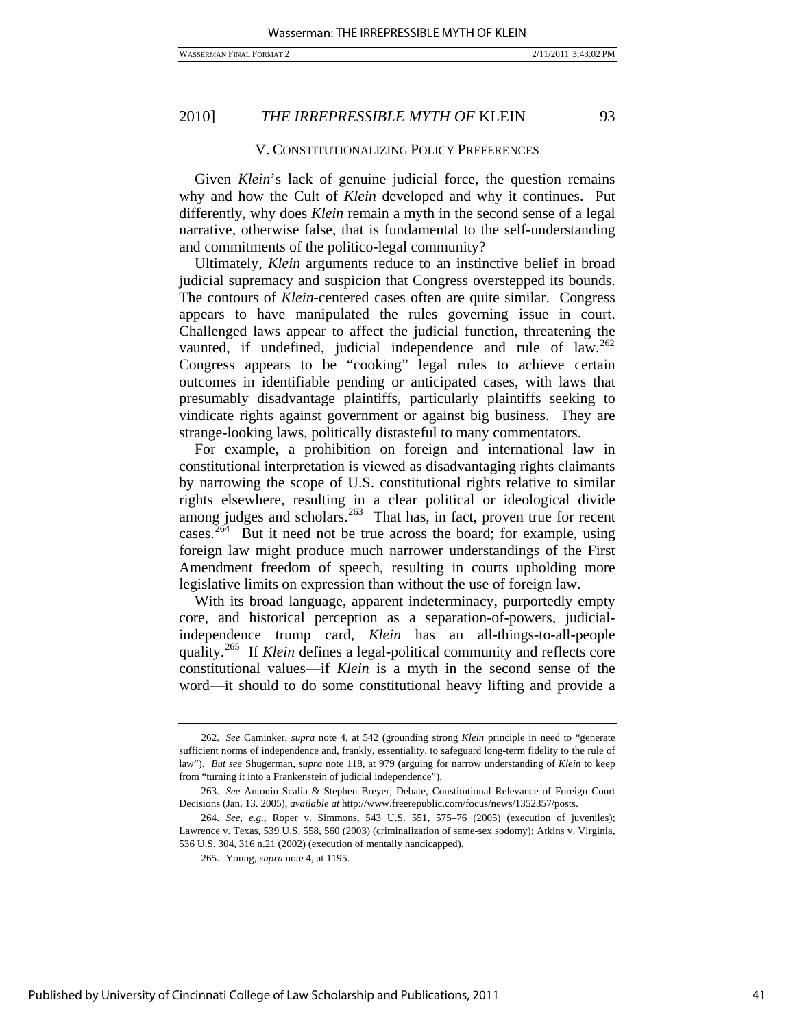#### V. CONSTITUTIONALIZING POLICY PREFERENCES

Given *Klein*'s lack of genuine judicial force, the question remains why and how the Cult of *Klein* developed and why it continues. Put differently, why does *Klein* remain a myth in the second sense of a legal narrative, otherwise false, that is fundamental to the self-understanding and commitments of the politico-legal community?

Ultimately, *Klein* arguments reduce to an instinctive belief in broad judicial supremacy and suspicion that Congress overstepped its bounds. The contours of *Klein*-centered cases often are quite similar. Congress appears to have manipulated the rules governing issue in court. Challenged laws appear to affect the judicial function, threatening the vaunted, if undefined, judicial independence and rule of law.<sup>[262](#page-41-0)</sup> Congress appears to be "cooking" legal rules to achieve certain outcomes in identifiable pending or anticipated cases, with laws that presumably disadvantage plaintiffs, particularly plaintiffs seeking to vindicate rights against government or against big business. They are strange-looking laws, politically distasteful to many commentators.

For example, a prohibition on foreign and international law in constitutional interpretation is viewed as disadvantaging rights claimants by narrowing the scope of U.S. constitutional rights relative to similar rights elsewhere, resulting in a clear political or ideological divide among judges and scholars.<sup>[263](#page-41-1)</sup> That has, in fact, proven true for recent cases.<sup>[264](#page-41-2)</sup> But it need not be true across the board; for example, using foreign law might produce much narrower understandings of the First Amendment freedom of speech, resulting in courts upholding more legislative limits on expression than without the use of foreign law.

With its broad language, apparent indeterminacy, purportedly empty core, and historical perception as a separation-of-powers, judicialindependence trump card, *Klein* has an all-things-to-all-people quality.[265](#page-41-3) If *Klein* defines a legal-political community and reflects core constitutional values—if *Klein* is a myth in the second sense of the word—it should to do some constitutional heavy lifting and provide a

<span id="page-41-0"></span><sup>262.</sup> *See* Caminker, *supra* note 4, at 542 (grounding strong *Klein* principle in need to "generate sufficient norms of independence and, frankly, essentiality, to safeguard long-term fidelity to the rule of law"). *But see* Shugerman, *supra* note 118, at 979 (arguing for narrow understanding of *Klein* to keep from "turning it into a Frankenstein of judicial independence").

<span id="page-41-1"></span><sup>263.</sup> *See* Antonin Scalia & Stephen Breyer, Debate, Constitutional Relevance of Foreign Court Decisions (Jan. 13. 2005), *available at* http://www.freerepublic.com/focus/news/1352357/posts.

<span id="page-41-3"></span><span id="page-41-2"></span><sup>264.</sup> *See, e.g*., Roper v. Simmons, 543 U.S. 551, 575–76 (2005) (execution of juveniles); Lawrence v. Texas, 539 U.S. 558, 560 (2003) (criminalization of same-sex sodomy); Atkins v. Virginia, 536 U.S. 304, 316 n.21 (2002) (execution of mentally handicapped).

 <sup>265.</sup> Young, *supra* note 4, at 1195.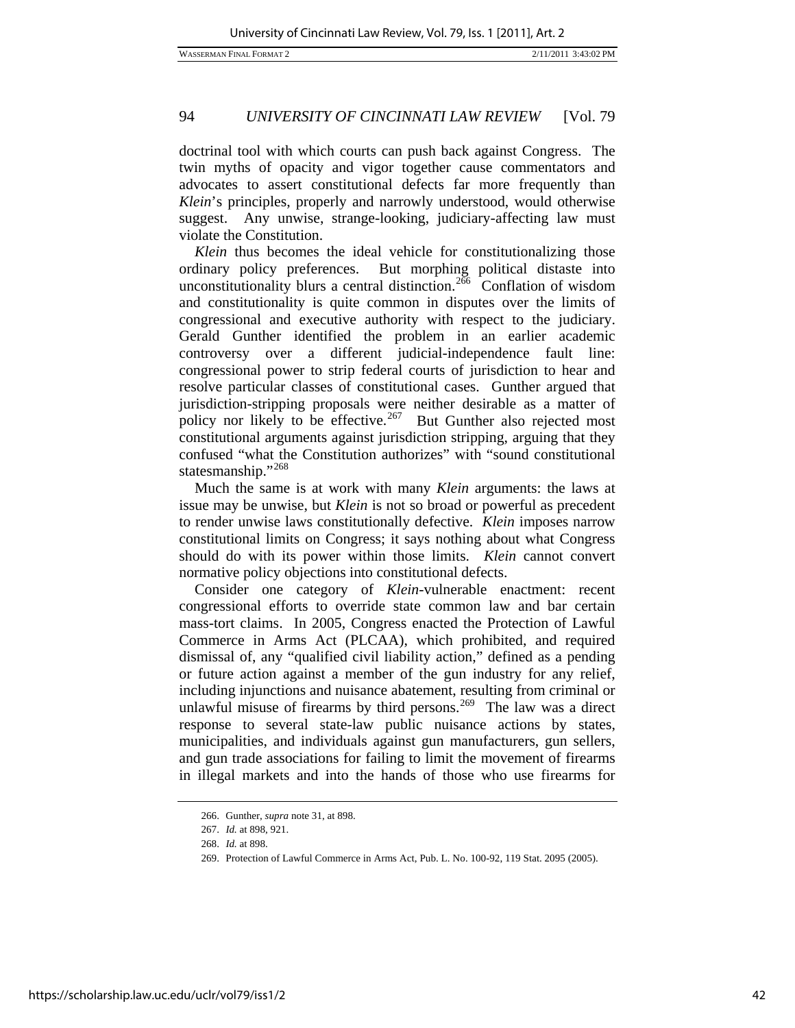doctrinal tool with which courts can push back against Congress. The twin myths of opacity and vigor together cause commentators and advocates to assert constitutional defects far more frequently than *Klein*'s principles, properly and narrowly understood, would otherwise suggest. Any unwise, strange-looking, judiciary-affecting law must violate the Constitution.

*Klein* thus becomes the ideal vehicle for constitutionalizing those ordinary policy preferences. But morphing political distaste into unconstitutionality blurs a central distinction.<sup>[266](#page-42-0)</sup> Conflation of wisdom and constitutionality is quite common in disputes over the limits of congressional and executive authority with respect to the judiciary. Gerald Gunther identified the problem in an earlier academic controversy over a different judicial-independence fault line: congressional power to strip federal courts of jurisdiction to hear and resolve particular classes of constitutional cases. Gunther argued that jurisdiction-stripping proposals were neither desirable as a matter of policy nor likely to be effective.<sup>[267](#page-42-1)</sup> But Gunther also rejected most constitutional arguments against jurisdiction stripping, arguing that they confused "what the Constitution authorizes" with "sound constitutional statesmanship."[268](#page-42-2)

Much the same is at work with many *Klein* arguments: the laws at issue may be unwise, but *Klein* is not so broad or powerful as precedent to render unwise laws constitutionally defective. *Klein* imposes narrow constitutional limits on Congress; it says nothing about what Congress should do with its power within those limits. *Klein* cannot convert normative policy objections into constitutional defects.

Consider one category of *Klein*-vulnerable enactment: recent congressional efforts to override state common law and bar certain mass-tort claims. In 2005, Congress enacted the Protection of Lawful Commerce in Arms Act (PLCAA), which prohibited, and required dismissal of, any "qualified civil liability action," defined as a pending or future action against a member of the gun industry for any relief, including injunctions and nuisance abatement, resulting from criminal or unlawful misuse of firearms by third persons.<sup>[269](#page-42-3)</sup> The law was a direct response to several state-law public nuisance actions by states, municipalities, and individuals against gun manufacturers, gun sellers, and gun trade associations for failing to limit the movement of firearms in illegal markets and into the hands of those who use firearms for

 <sup>266.</sup> Gunther, *supra* note 31, at 898.

<sup>267.</sup> *Id.* at 898, 921.

<span id="page-42-3"></span><span id="page-42-2"></span><span id="page-42-1"></span><span id="page-42-0"></span><sup>268.</sup> *Id.* at 898.

 <sup>269.</sup> Protection of Lawful Commerce in Arms Act, Pub. L. No. 100-92, 119 Stat. 2095 (2005).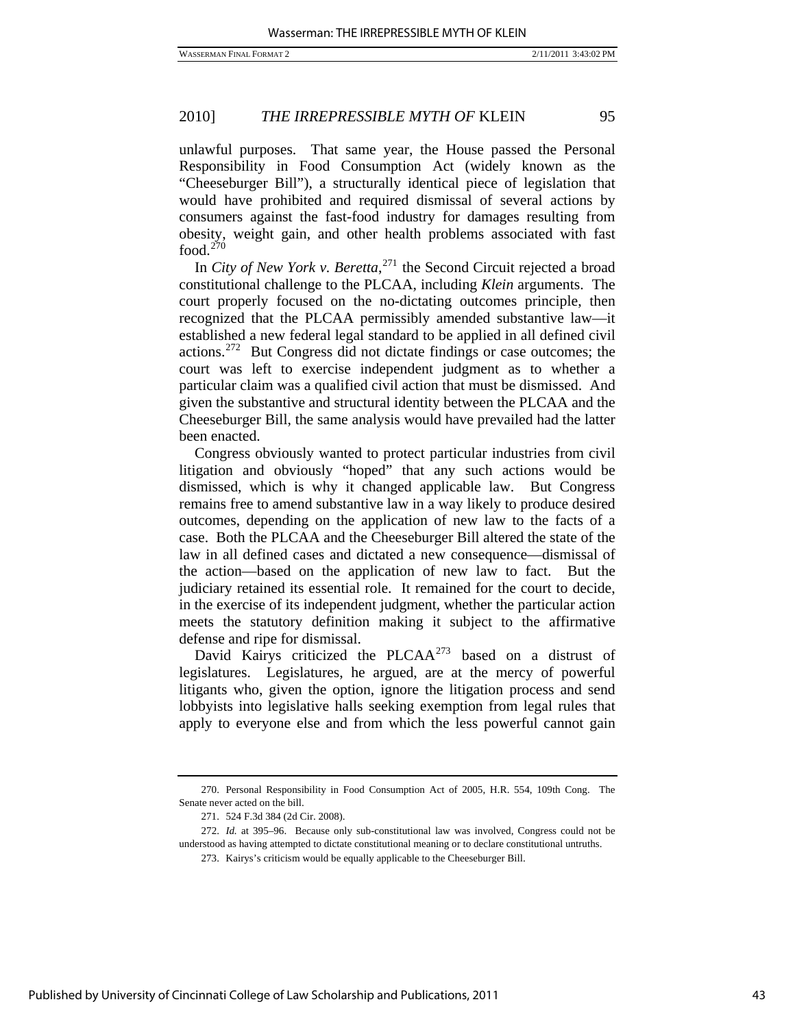unlawful purposes. That same year, the House passed the Personal Responsibility in Food Consumption Act (widely known as the "Cheeseburger Bill"), a structurally identical piece of legislation that would have prohibited and required dismissal of several actions by consumers against the fast-food industry for damages resulting from obesity, weight gain, and other health problems associated with fast food. $270$ 

In *City of New York v. Beretta*, [271](#page-43-1) the Second Circuit rejected a broad constitutional challenge to the PLCAA, including *Klein* arguments. The court properly focused on the no-dictating outcomes principle, then recognized that the PLCAA permissibly amended substantive law—it established a new federal legal standard to be applied in all defined civil actions.[272](#page-43-2) But Congress did not dictate findings or case outcomes; the court was left to exercise independent judgment as to whether a particular claim was a qualified civil action that must be dismissed. And given the substantive and structural identity between the PLCAA and the Cheeseburger Bill, the same analysis would have prevailed had the latter been enacted.

Congress obviously wanted to protect particular industries from civil litigation and obviously "hoped" that any such actions would be dismissed, which is why it changed applicable law. But Congress remains free to amend substantive law in a way likely to produce desired outcomes, depending on the application of new law to the facts of a case. Both the PLCAA and the Cheeseburger Bill altered the state of the law in all defined cases and dictated a new consequence—dismissal of the action—based on the application of new law to fact. But the judiciary retained its essential role. It remained for the court to decide, in the exercise of its independent judgment, whether the particular action meets the statutory definition making it subject to the affirmative defense and ripe for dismissal.

David Kairys criticized the PLCAA<sup>[273](#page-43-3)</sup> based on a distrust of legislatures. Legislatures, he argued, are at the mercy of powerful litigants who, given the option, ignore the litigation process and send lobbyists into legislative halls seeking exemption from legal rules that apply to everyone else and from which the less powerful cannot gain

<span id="page-43-0"></span> <sup>270.</sup> Personal Responsibility in Food Consumption Act of 2005, H.R. 554, 109th Cong. The Senate never acted on the bill.

 <sup>271. 524</sup> F.3d 384 (2d Cir. 2008).

<span id="page-43-3"></span><span id="page-43-2"></span><span id="page-43-1"></span><sup>272.</sup> *Id.* at 395–96. Because only sub-constitutional law was involved, Congress could not be understood as having attempted to dictate constitutional meaning or to declare constitutional untruths.

 <sup>273.</sup> Kairys's criticism would be equally applicable to the Cheeseburger Bill.